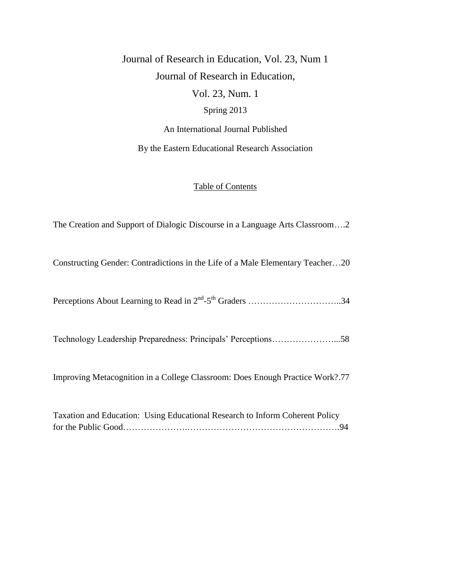Journal of Research in Education, Vol. 23, Num 1 Journal of Research in Education, Vol. 23, Num. 1 Spring 2013

An International Journal Published

By the Eastern Educational Research Association

#### Table of Contents

The Creation and Support of Dialogic Discourse in a Language Arts Classroom….2

Constructing Gender: Contradictions in the Life of a Male Elementary Teacher…20

Perceptions About Learning to Read in 2nd -5 th Graders …………………………..34

Technology Leadership Preparedness: Principals' Perceptions…………………...58

Improving Metacognition in a College Classroom: Does Enough Practice Work?.77

Taxation and Education: Using Educational Research to Inform Coherent Policy for the Public Good………………….…………………………………………….94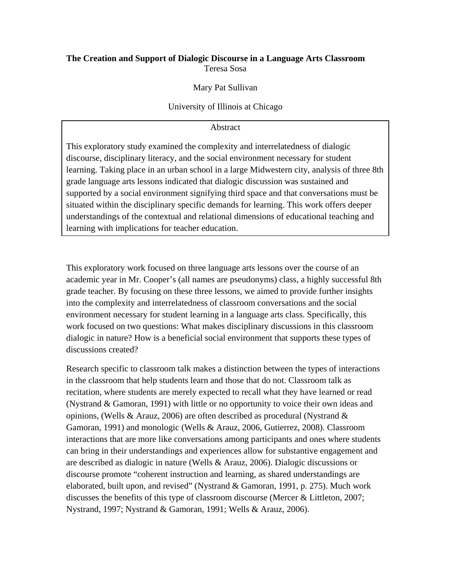# **The Creation and Support of Dialogic Discourse in a Language Arts Classroom**  Teresa Sosa

# Mary Pat Sullivan

#### University of Illinois at Chicago

#### Abstract

This exploratory study examined the complexity and interrelatedness of dialogic discourse, disciplinary literacy, and the social environment necessary for student learning. Taking place in an urban school in a large Midwestern city, analysis of three 8th grade language arts lessons indicated that dialogic discussion was sustained and supported by a social environment signifying third space and that conversations must be situated within the disciplinary specific demands for learning. This work offers deeper understandings of the contextual and relational dimensions of educational teaching and learning with implications for teacher education.

This exploratory work focused on three language arts lessons over the course of an academic year in Mr. Cooper's (all names are pseudonyms) class, a highly successful 8th grade teacher. By focusing on these three lessons, we aimed to provide further insights into the complexity and interrelatedness of classroom conversations and the social environment necessary for student learning in a language arts class. Specifically, this work focused on two questions: What makes disciplinary discussions in this classroom dialogic in nature? How is a beneficial social environment that supports these types of discussions created?

Research specific to classroom talk makes a distinction between the types of interactions in the classroom that help students learn and those that do not. Classroom talk as recitation, where students are merely expected to recall what they have learned or read (Nystrand & Gamoran, 1991) with little or no opportunity to voice their own ideas and opinions, (Wells & Arauz, 2006) are often described as procedural (Nystrand  $\&$ Gamoran, 1991) and monologic (Wells & Arauz, 2006, Gutierrez, 2008). Classroom interactions that are more like conversations among participants and ones where students can bring in their understandings and experiences allow for substantive engagement and are described as dialogic in nature (Wells & Arauz, 2006). Dialogic discussions or discourse promote "coherent instruction and learning, as shared understandings are elaborated, built upon, and revised" (Nystrand & Gamoran, 1991, p. 275). Much work discusses the benefits of this type of classroom discourse (Mercer & Littleton, 2007; Nystrand, 1997; Nystrand & Gamoran, 1991; Wells & Arauz, 2006).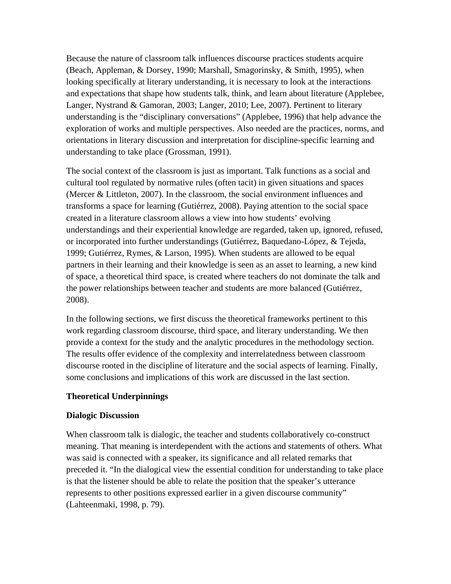Because the nature of classroom talk influences discourse practices students acquire (Beach, Appleman, & Dorsey, 1990; Marshall, Smagorinsky, & Smith, 1995), when looking specifically at literary understanding, it is necessary to look at the interactions and expectations that shape how students talk, think, and learn about literature (Applebee, Langer, Nystrand & Gamoran, 2003; Langer, 2010; Lee, 2007). Pertinent to literary understanding is the "disciplinary conversations" (Applebee, 1996) that help advance the exploration of works and multiple perspectives. Also needed are the practices, norms, and orientations in literary discussion and interpretation for discipline-specific learning and understanding to take place (Grossman, 1991).

The social context of the classroom is just as important. Talk functions as a social and cultural tool regulated by normative rules (often tacit) in given situations and spaces (Mercer & Littleton, 2007). In the classroom, the social environment influences and transforms a space for learning (Gutiérrez, 2008). Paying attention to the social space created in a literature classroom allows a view into how students' evolving understandings and their experiential knowledge are regarded, taken up, ignored, refused, or incorporated into further understandings (Gutiérrez, Baquedano-López, & Tejeda, 1999; Gutiérrez, Rymes, & Larson, 1995). When students are allowed to be equal partners in their learning and their knowledge is seen as an asset to learning, a new kind of space, a theoretical third space, is created where teachers do not dominate the talk and the power relationships between teacher and students are more balanced (Gutiérrez, 2008).

In the following sections, we first discuss the theoretical frameworks pertinent to this work regarding classroom discourse, third space, and literary understanding. We then provide a context for the study and the analytic procedures in the methodology section. The results offer evidence of the complexity and interrelatedness between classroom discourse rooted in the discipline of literature and the social aspects of learning. Finally, some conclusions and implications of this work are discussed in the last section.

#### **Theoretical Underpinnings**

#### **Dialogic Discussion**

When classroom talk is dialogic, the teacher and students collaboratively co-construct meaning. That meaning is interdependent with the actions and statements of others. What was said is connected with a speaker, its significance and all related remarks that preceded it. "In the dialogical view the essential condition for understanding to take place is that the listener should be able to relate the position that the speaker's utterance represents to other positions expressed earlier in a given discourse community" (Lahteenmaki, 1998, p. 79).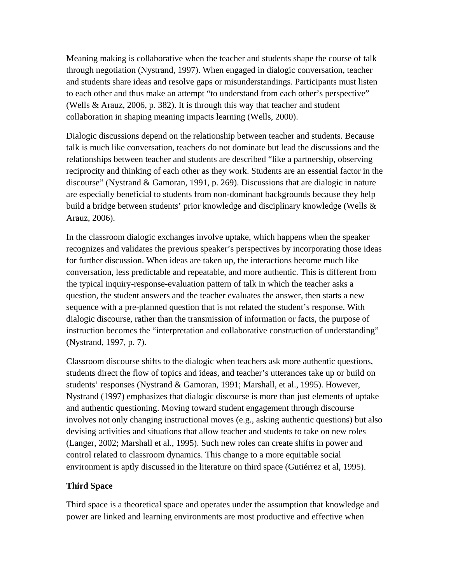Meaning making is collaborative when the teacher and students shape the course of talk through negotiation (Nystrand, 1997). When engaged in dialogic conversation, teacher and students share ideas and resolve gaps or misunderstandings. Participants must listen to each other and thus make an attempt "to understand from each other's perspective" (Wells & Arauz, 2006, p. 382). It is through this way that teacher and student collaboration in shaping meaning impacts learning (Wells, 2000).

Dialogic discussions depend on the relationship between teacher and students. Because talk is much like conversation, teachers do not dominate but lead the discussions and the relationships between teacher and students are described "like a partnership, observing reciprocity and thinking of each other as they work. Students are an essential factor in the discourse" (Nystrand & Gamoran, 1991, p. 269). Discussions that are dialogic in nature are especially beneficial to students from non-dominant backgrounds because they help build a bridge between students' prior knowledge and disciplinary knowledge (Wells & Arauz, 2006).

In the classroom dialogic exchanges involve uptake, which happens when the speaker recognizes and validates the previous speaker's perspectives by incorporating those ideas for further discussion. When ideas are taken up, the interactions become much like conversation, less predictable and repeatable, and more authentic. This is different from the typical inquiry-response-evaluation pattern of talk in which the teacher asks a question, the student answers and the teacher evaluates the answer, then starts a new sequence with a pre-planned question that is not related the student's response. With dialogic discourse, rather than the transmission of information or facts, the purpose of instruction becomes the "interpretation and collaborative construction of understanding" (Nystrand, 1997, p. 7).

Classroom discourse shifts to the dialogic when teachers ask more authentic questions, students direct the flow of topics and ideas, and teacher's utterances take up or build on students' responses (Nystrand & Gamoran, 1991; Marshall, et al., 1995). However, Nystrand (1997) emphasizes that dialogic discourse is more than just elements of uptake and authentic questioning. Moving toward student engagement through discourse involves not only changing instructional moves (e.g., asking authentic questions) but also devising activities and situations that allow teacher and students to take on new roles (Langer, 2002; Marshall et al., 1995). Such new roles can create shifts in power and control related to classroom dynamics. This change to a more equitable social environment is aptly discussed in the literature on third space (Gutiérrez et al, 1995).

#### **Third Space**

Third space is a theoretical space and operates under the assumption that knowledge and power are linked and learning environments are most productive and effective when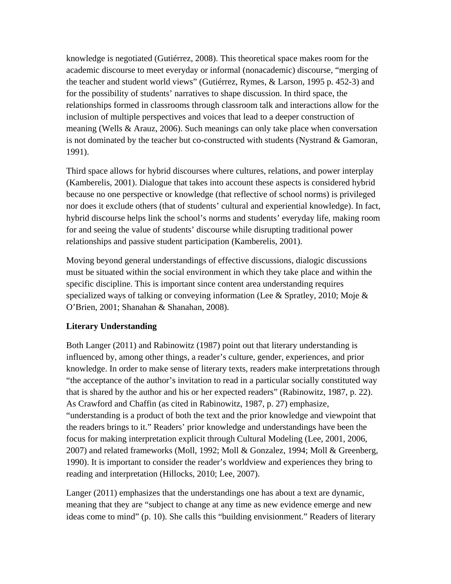knowledge is negotiated (Gutiérrez, 2008). This theoretical space makes room for the academic discourse to meet everyday or informal (nonacademic) discourse, "merging of the teacher and student world views" (Gutiérrez, Rymes, & Larson, 1995 p. 452-3) and for the possibility of students' narratives to shape discussion. In third space, the relationships formed in classrooms through classroom talk and interactions allow for the inclusion of multiple perspectives and voices that lead to a deeper construction of meaning (Wells & Arauz, 2006). Such meanings can only take place when conversation is not dominated by the teacher but co-constructed with students (Nystrand & Gamoran, 1991).

Third space allows for hybrid discourses where cultures, relations, and power interplay (Kamberelis, 2001). Dialogue that takes into account these aspects is considered hybrid because no one perspective or knowledge (that reflective of school norms) is privileged nor does it exclude others (that of students' cultural and experiential knowledge). In fact, hybrid discourse helps link the school's norms and students' everyday life, making room for and seeing the value of students' discourse while disrupting traditional power relationships and passive student participation (Kamberelis, 2001).

Moving beyond general understandings of effective discussions, dialogic discussions must be situated within the social environment in which they take place and within the specific discipline. This is important since content area understanding requires specialized ways of talking or conveying information (Lee & Spratley, 2010; Moje  $\&$ O'Brien, 2001; Shanahan & Shanahan, 2008).

# **Literary Understanding**

Both Langer (2011) and Rabinowitz (1987) point out that literary understanding is influenced by, among other things, a reader's culture, gender, experiences, and prior knowledge. In order to make sense of literary texts, readers make interpretations through "the acceptance of the author's invitation to read in a particular socially constituted way that is shared by the author and his or her expected readers" (Rabinowitz, 1987, p. 22). As Crawford and Chaffin (as cited in Rabinowitz, 1987, p. 27) emphasize, "understanding is a product of both the text and the prior knowledge and viewpoint that the readers brings to it." Readers' prior knowledge and understandings have been the focus for making interpretation explicit through Cultural Modeling (Lee, 2001, 2006, 2007) and related frameworks (Moll, 1992; Moll & Gonzalez, 1994; Moll & Greenberg, 1990). It is important to consider the reader's worldview and experiences they bring to reading and interpretation (Hillocks, 2010; Lee, 2007).

Langer (2011) emphasizes that the understandings one has about a text are dynamic, meaning that they are "subject to change at any time as new evidence emerge and new ideas come to mind" (p. 10). She calls this "building envisionment." Readers of literary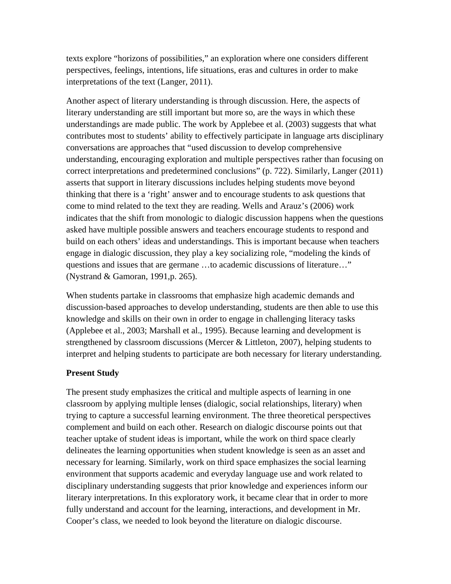texts explore "horizons of possibilities," an exploration where one considers different perspectives, feelings, intentions, life situations, eras and cultures in order to make interpretations of the text (Langer, 2011).

Another aspect of literary understanding is through discussion. Here, the aspects of literary understanding are still important but more so, are the ways in which these understandings are made public. The work by Applebee et al. (2003) suggests that what contributes most to students' ability to effectively participate in language arts disciplinary conversations are approaches that "used discussion to develop comprehensive understanding, encouraging exploration and multiple perspectives rather than focusing on correct interpretations and predetermined conclusions" (p. 722). Similarly, Langer (2011) asserts that support in literary discussions includes helping students move beyond thinking that there is a 'right' answer and to encourage students to ask questions that come to mind related to the text they are reading. Wells and Arauz's (2006) work indicates that the shift from monologic to dialogic discussion happens when the questions asked have multiple possible answers and teachers encourage students to respond and build on each others' ideas and understandings. This is important because when teachers engage in dialogic discussion, they play a key socializing role, "modeling the kinds of questions and issues that are germane …to academic discussions of literature…" (Nystrand & Gamoran, 1991,p. 265).

When students partake in classrooms that emphasize high academic demands and discussion-based approaches to develop understanding, students are then able to use this knowledge and skills on their own in order to engage in challenging literacy tasks (Applebee et al., 2003; Marshall et al., 1995). Because learning and development is strengthened by classroom discussions (Mercer & Littleton, 2007), helping students to interpret and helping students to participate are both necessary for literary understanding.

# **Present Study**

The present study emphasizes the critical and multiple aspects of learning in one classroom by applying multiple lenses (dialogic, social relationships, literary) when trying to capture a successful learning environment. The three theoretical perspectives complement and build on each other. Research on dialogic discourse points out that teacher uptake of student ideas is important, while the work on third space clearly delineates the learning opportunities when student knowledge is seen as an asset and necessary for learning. Similarly, work on third space emphasizes the social learning environment that supports academic and everyday language use and work related to disciplinary understanding suggests that prior knowledge and experiences inform our literary interpretations. In this exploratory work, it became clear that in order to more fully understand and account for the learning, interactions, and development in Mr. Cooper's class, we needed to look beyond the literature on dialogic discourse.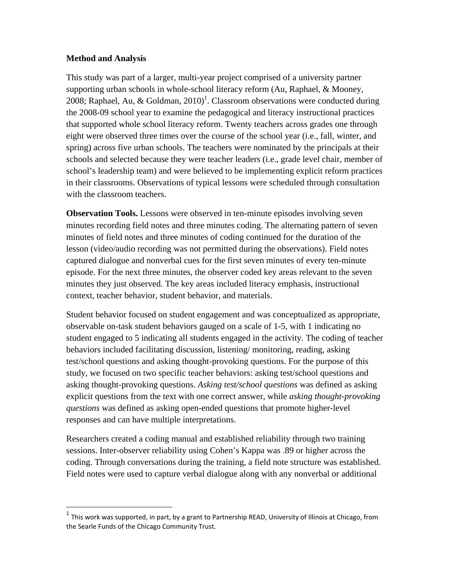## **Method and Analysis**

 $\overline{a}$ 

This study was part of a larger, multi-year project comprised of a university partner supporting urban schools in whole-school literacy reform (Au, Raphael, & Mooney, 2008; Raphael, Au, & Goldman, 2010)<sup>1</sup>. Classroom observations were conducted during the 2008-09 school year to examine the pedagogical and literacy instructional practices that supported whole school literacy reform. Twenty teachers across grades one through eight were observed three times over the course of the school year (i.e., fall, winter, and spring) across five urban schools. The teachers were nominated by the principals at their schools and selected because they were teacher leaders (i.e., grade level chair, member of school's leadership team) and were believed to be implementing explicit reform practices in their classrooms. Observations of typical lessons were scheduled through consultation with the classroom teachers.

**Observation Tools.** Lessons were observed in ten-minute episodes involving seven minutes recording field notes and three minutes coding. The alternating pattern of seven minutes of field notes and three minutes of coding continued for the duration of the lesson (video/audio recording was not permitted during the observations). Field notes captured dialogue and nonverbal cues for the first seven minutes of every ten-minute episode. For the next three minutes, the observer coded key areas relevant to the seven minutes they just observed. The key areas included literacy emphasis, instructional context, teacher behavior, student behavior, and materials.

Student behavior focused on student engagement and was conceptualized as appropriate, observable on-task student behaviors gauged on a scale of 1-5, with 1 indicating no student engaged to 5 indicating all students engaged in the activity. The coding of teacher behaviors included facilitating discussion, listening/ monitoring, reading, asking test/school questions and asking thought-provoking questions. For the purpose of this study, we focused on two specific teacher behaviors: asking test/school questions and asking thought-provoking questions. *Asking test/school questions* was defined as asking explicit questions from the text with one correct answer, while *asking thought-provoking questions* was defined as asking open-ended questions that promote higher-level responses and can have multiple interpretations.

Researchers created a coding manual and established reliability through two training sessions. Inter-observer reliability using Cohen's Kappa was .89 or higher across the coding. Through conversations during the training, a field note structure was established. Field notes were used to capture verbal dialogue along with any nonverbal or additional

 $1$  This work was supported, in part, by a grant to Partnership READ, University of Illinois at Chicago, from the Searle Funds of the Chicago Community Trust.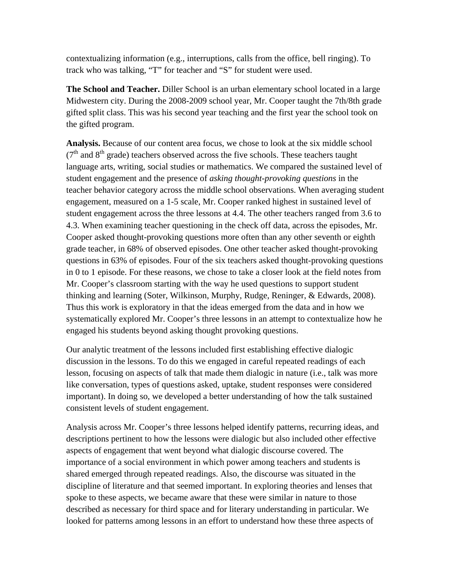contextualizing information (e.g., interruptions, calls from the office, bell ringing). To track who was talking, "T" for teacher and "S" for student were used.

**The School and Teacher.** Diller School is an urban elementary school located in a large Midwestern city. During the 2008-2009 school year, Mr. Cooper taught the 7th/8th grade gifted split class. This was his second year teaching and the first year the school took on the gifted program.

**Analysis.** Because of our content area focus, we chose to look at the six middle school  $(7<sup>th</sup>$  and  $8<sup>th</sup>$  grade) teachers observed across the five schools. These teachers taught language arts, writing, social studies or mathematics. We compared the sustained level of student engagement and the presence of *asking thought-provoking questions* in the teacher behavior category across the middle school observations. When averaging student engagement, measured on a 1-5 scale, Mr. Cooper ranked highest in sustained level of student engagement across the three lessons at 4.4. The other teachers ranged from 3.6 to 4.3. When examining teacher questioning in the check off data, across the episodes, Mr. Cooper asked thought-provoking questions more often than any other seventh or eighth grade teacher, in 68% of observed episodes. One other teacher asked thought-provoking questions in 63% of episodes. Four of the six teachers asked thought-provoking questions in 0 to 1 episode. For these reasons, we chose to take a closer look at the field notes from Mr. Cooper's classroom starting with the way he used questions to support student thinking and learning (Soter, Wilkinson, Murphy, Rudge, Reninger, & Edwards, 2008). Thus this work is exploratory in that the ideas emerged from the data and in how we systematically explored Mr. Cooper's three lessons in an attempt to contextualize how he engaged his students beyond asking thought provoking questions.

Our analytic treatment of the lessons included first establishing effective dialogic discussion in the lessons. To do this we engaged in careful repeated readings of each lesson, focusing on aspects of talk that made them dialogic in nature (i.e., talk was more like conversation, types of questions asked, uptake, student responses were considered important). In doing so, we developed a better understanding of how the talk sustained consistent levels of student engagement.

Analysis across Mr. Cooper's three lessons helped identify patterns, recurring ideas, and descriptions pertinent to how the lessons were dialogic but also included other effective aspects of engagement that went beyond what dialogic discourse covered. The importance of a social environment in which power among teachers and students is shared emerged through repeated readings. Also, the discourse was situated in the discipline of literature and that seemed important. In exploring theories and lenses that spoke to these aspects, we became aware that these were similar in nature to those described as necessary for third space and for literary understanding in particular. We looked for patterns among lessons in an effort to understand how these three aspects of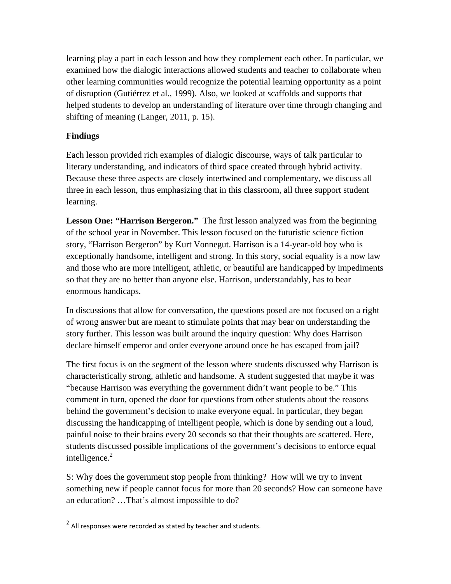learning play a part in each lesson and how they complement each other. In particular, we examined how the dialogic interactions allowed students and teacher to collaborate when other learning communities would recognize the potential learning opportunity as a point of disruption (Gutiérrez et al., 1999). Also, we looked at scaffolds and supports that helped students to develop an understanding of literature over time through changing and shifting of meaning (Langer, 2011, p. 15).

# **Findings**

 $\overline{a}$ 

Each lesson provided rich examples of dialogic discourse, ways of talk particular to literary understanding, and indicators of third space created through hybrid activity. Because these three aspects are closely intertwined and complementary, we discuss all three in each lesson, thus emphasizing that in this classroom, all three support student learning.

**Lesson One: "Harrison Bergeron."** The first lesson analyzed was from the beginning of the school year in November. This lesson focused on the futuristic science fiction story, "Harrison Bergeron" by Kurt Vonnegut. Harrison is a 14-year-old boy who is exceptionally handsome, intelligent and strong. In this story, social equality is a now law and those who are more intelligent, athletic, or beautiful are handicapped by impediments so that they are no better than anyone else. Harrison, understandably, has to bear enormous handicaps.

In discussions that allow for conversation, the questions posed are not focused on a right of wrong answer but are meant to stimulate points that may bear on understanding the story further. This lesson was built around the inquiry question: Why does Harrison declare himself emperor and order everyone around once he has escaped from jail?

The first focus is on the segment of the lesson where students discussed why Harrison is characteristically strong, athletic and handsome. A student suggested that maybe it was "because Harrison was everything the government didn't want people to be." This comment in turn, opened the door for questions from other students about the reasons behind the government's decision to make everyone equal. In particular, they began discussing the handicapping of intelligent people, which is done by sending out a loud, painful noise to their brains every 20 seconds so that their thoughts are scattered. Here, students discussed possible implications of the government's decisions to enforce equal intelligence. $2$ 

S: Why does the government stop people from thinking? How will we try to invent something new if people cannot focus for more than 20 seconds? How can someone have an education? …That's almost impossible to do?

 $^2$  All responses were recorded as stated by teacher and students.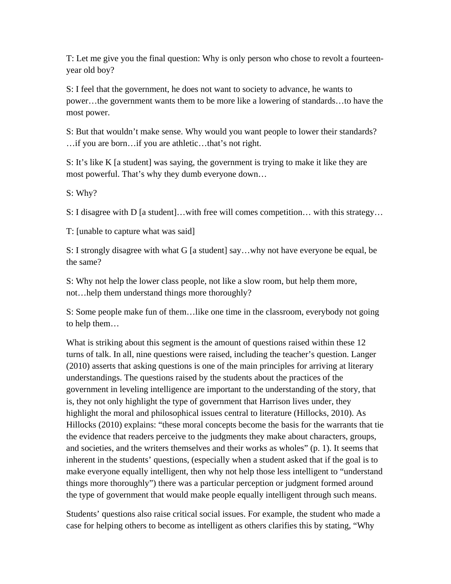T: Let me give you the final question: Why is only person who chose to revolt a fourteenyear old boy?

S: I feel that the government, he does not want to society to advance, he wants to power…the government wants them to be more like a lowering of standards…to have the most power.

S: But that wouldn't make sense. Why would you want people to lower their standards? …if you are born…if you are athletic…that's not right.

S: It's like K [a student] was saying, the government is trying to make it like they are most powerful. That's why they dumb everyone down…

S: Why?

S: I disagree with D [a student]...with free will comes competition... with this strategy...

T: [unable to capture what was said]

S: I strongly disagree with what G [a student] say…why not have everyone be equal, be the same?

S: Why not help the lower class people, not like a slow room, but help them more, not…help them understand things more thoroughly?

S: Some people make fun of them…like one time in the classroom, everybody not going to help them…

What is striking about this segment is the amount of questions raised within these 12 turns of talk. In all, nine questions were raised, including the teacher's question. Langer (2010) asserts that asking questions is one of the main principles for arriving at literary understandings. The questions raised by the students about the practices of the government in leveling intelligence are important to the understanding of the story, that is, they not only highlight the type of government that Harrison lives under, they highlight the moral and philosophical issues central to literature (Hillocks, 2010). As Hillocks (2010) explains: "these moral concepts become the basis for the warrants that tie the evidence that readers perceive to the judgments they make about characters, groups, and societies, and the writers themselves and their works as wholes" (p. 1). It seems that inherent in the students' questions, (especially when a student asked that if the goal is to make everyone equally intelligent, then why not help those less intelligent to "understand things more thoroughly") there was a particular perception or judgment formed around the type of government that would make people equally intelligent through such means.

Students' questions also raise critical social issues. For example, the student who made a case for helping others to become as intelligent as others clarifies this by stating, "Why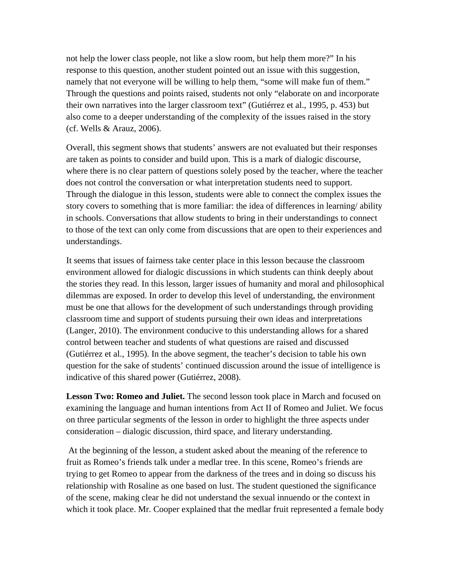not help the lower class people, not like a slow room, but help them more?" In his response to this question, another student pointed out an issue with this suggestion, namely that not everyone will be willing to help them, "some will make fun of them." Through the questions and points raised, students not only "elaborate on and incorporate their own narratives into the larger classroom text" (Gutiérrez et al., 1995, p. 453) but also come to a deeper understanding of the complexity of the issues raised in the story (cf. Wells & Arauz, 2006).

Overall, this segment shows that students' answers are not evaluated but their responses are taken as points to consider and build upon. This is a mark of dialogic discourse, where there is no clear pattern of questions solely posed by the teacher, where the teacher does not control the conversation or what interpretation students need to support. Through the dialogue in this lesson, students were able to connect the complex issues the story covers to something that is more familiar: the idea of differences in learning/ ability in schools. Conversations that allow students to bring in their understandings to connect to those of the text can only come from discussions that are open to their experiences and understandings.

It seems that issues of fairness take center place in this lesson because the classroom environment allowed for dialogic discussions in which students can think deeply about the stories they read. In this lesson, larger issues of humanity and moral and philosophical dilemmas are exposed. In order to develop this level of understanding, the environment must be one that allows for the development of such understandings through providing classroom time and support of students pursuing their own ideas and interpretations (Langer, 2010). The environment conducive to this understanding allows for a shared control between teacher and students of what questions are raised and discussed (Gutiérrez et al., 1995). In the above segment, the teacher's decision to table his own question for the sake of students' continued discussion around the issue of intelligence is indicative of this shared power (Gutiérrez, 2008).

**Lesson Two: Romeo and Juliet.** The second lesson took place in March and focused on examining the language and human intentions from Act II of Romeo and Juliet. We focus on three particular segments of the lesson in order to highlight the three aspects under consideration – dialogic discussion, third space, and literary understanding.

 At the beginning of the lesson, a student asked about the meaning of the reference to fruit as Romeo's friends talk under a medlar tree. In this scene, Romeo's friends are trying to get Romeo to appear from the darkness of the trees and in doing so discuss his relationship with Rosaline as one based on lust. The student questioned the significance of the scene, making clear he did not understand the sexual innuendo or the context in which it took place. Mr. Cooper explained that the medlar fruit represented a female body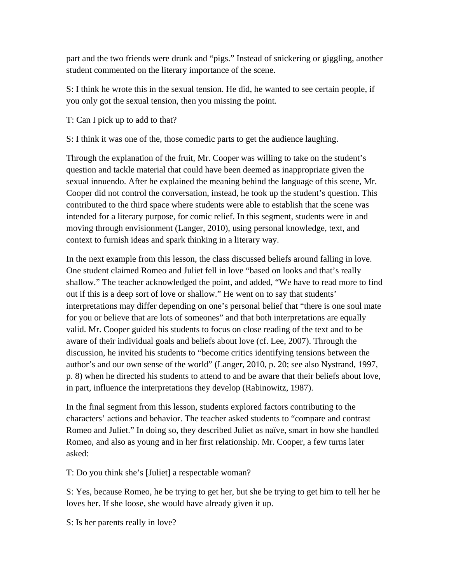part and the two friends were drunk and "pigs." Instead of snickering or giggling, another student commented on the literary importance of the scene.

S: I think he wrote this in the sexual tension. He did, he wanted to see certain people, if you only got the sexual tension, then you missing the point.

T: Can I pick up to add to that?

S: I think it was one of the, those comedic parts to get the audience laughing.

Through the explanation of the fruit, Mr. Cooper was willing to take on the student's question and tackle material that could have been deemed as inappropriate given the sexual innuendo. After he explained the meaning behind the language of this scene, Mr. Cooper did not control the conversation, instead, he took up the student's question. This contributed to the third space where students were able to establish that the scene was intended for a literary purpose, for comic relief. In this segment, students were in and moving through envisionment (Langer, 2010), using personal knowledge, text, and context to furnish ideas and spark thinking in a literary way.

In the next example from this lesson, the class discussed beliefs around falling in love. One student claimed Romeo and Juliet fell in love "based on looks and that's really shallow." The teacher acknowledged the point, and added, "We have to read more to find out if this is a deep sort of love or shallow." He went on to say that students' interpretations may differ depending on one's personal belief that "there is one soul mate for you or believe that are lots of someones" and that both interpretations are equally valid. Mr. Cooper guided his students to focus on close reading of the text and to be aware of their individual goals and beliefs about love (cf. Lee, 2007). Through the discussion, he invited his students to "become critics identifying tensions between the author's and our own sense of the world" (Langer, 2010, p. 20; see also Nystrand, 1997, p. 8) when he directed his students to attend to and be aware that their beliefs about love, in part, influence the interpretations they develop (Rabinowitz, 1987).

In the final segment from this lesson, students explored factors contributing to the characters' actions and behavior. The teacher asked students to "compare and contrast Romeo and Juliet." In doing so, they described Juliet as naïve, smart in how she handled Romeo, and also as young and in her first relationship. Mr. Cooper, a few turns later asked:

T: Do you think she's [Juliet] a respectable woman?

S: Yes, because Romeo, he be trying to get her, but she be trying to get him to tell her he loves her. If she loose, she would have already given it up.

S: Is her parents really in love?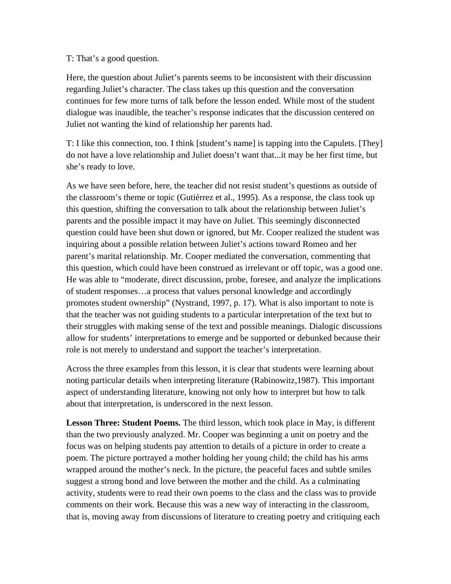#### T: That's a good question.

Here, the question about Juliet's parents seems to be inconsistent with their discussion regarding Juliet's character. The class takes up this question and the conversation continues for few more turns of talk before the lesson ended. While most of the student dialogue was inaudible, the teacher's response indicates that the discussion centered on Juliet not wanting the kind of relationship her parents had.

T: I like this connection, too. I think [student's name] is tapping into the Capulets. [They] do not have a love relationship and Juliet doesn't want that...it may be her first time, but she's ready to love.

As we have seen before, here, the teacher did not resist student's questions as outside of the classroom's theme or topic (Gutiérrez et al., 1995). As a response, the class took up this question, shifting the conversation to talk about the relationship between Juliet's parents and the possible impact it may have on Juliet. This seemingly disconnected question could have been shut down or ignored, but Mr. Cooper realized the student was inquiring about a possible relation between Juliet's actions toward Romeo and her parent's marital relationship. Mr. Cooper mediated the conversation, commenting that this question, which could have been construed as irrelevant or off topic, was a good one. He was able to "moderate, direct discussion, probe, foresee, and analyze the implications of student responses…a process that values personal knowledge and accordingly promotes student ownership" (Nystrand, 1997, p. 17). What is also important to note is that the teacher was not guiding students to a particular interpretation of the text but to their struggles with making sense of the text and possible meanings. Dialogic discussions allow for students' interpretations to emerge and be supported or debunked because their role is not merely to understand and support the teacher's interpretation.

Across the three examples from this lesson, it is clear that students were learning about noting particular details when interpreting literature (Rabinowitz,1987). This important aspect of understanding literature, knowing not only how to interpret but how to talk about that interpretation, is underscored in the next lesson.

**Lesson Three: Student Poems.** The third lesson, which took place in May, is different than the two previously analyzed. Mr. Cooper was beginning a unit on poetry and the focus was on helping students pay attention to details of a picture in order to create a poem. The picture portrayed a mother holding her young child; the child has his arms wrapped around the mother's neck. In the picture, the peaceful faces and subtle smiles suggest a strong bond and love between the mother and the child. As a culminating activity, students were to read their own poems to the class and the class was to provide comments on their work. Because this was a new way of interacting in the classroom, that is, moving away from discussions of literature to creating poetry and critiquing each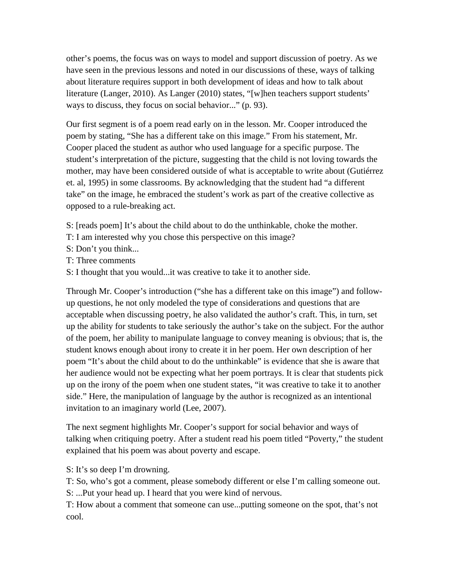other's poems, the focus was on ways to model and support discussion of poetry. As we have seen in the previous lessons and noted in our discussions of these, ways of talking about literature requires support in both development of ideas and how to talk about literature (Langer, 2010). As Langer (2010) states, "[w]hen teachers support students' ways to discuss, they focus on social behavior..." (p. 93).

Our first segment is of a poem read early on in the lesson. Mr. Cooper introduced the poem by stating, "She has a different take on this image." From his statement, Mr. Cooper placed the student as author who used language for a specific purpose. The student's interpretation of the picture, suggesting that the child is not loving towards the mother, may have been considered outside of what is acceptable to write about (Gutiérrez et. al, 1995) in some classrooms. By acknowledging that the student had "a different take" on the image, he embraced the student's work as part of the creative collective as opposed to a rule-breaking act.

- S: [reads poem] It's about the child about to do the unthinkable, choke the mother.
- T: I am interested why you chose this perspective on this image?
- S: Don't you think...
- T: Three comments
- S: I thought that you would...it was creative to take it to another side.

Through Mr. Cooper's introduction ("she has a different take on this image") and followup questions, he not only modeled the type of considerations and questions that are acceptable when discussing poetry, he also validated the author's craft. This, in turn, set up the ability for students to take seriously the author's take on the subject. For the author of the poem, her ability to manipulate language to convey meaning is obvious; that is, the student knows enough about irony to create it in her poem. Her own description of her poem "It's about the child about to do the unthinkable" is evidence that she is aware that her audience would not be expecting what her poem portrays. It is clear that students pick up on the irony of the poem when one student states, "it was creative to take it to another side." Here, the manipulation of language by the author is recognized as an intentional invitation to an imaginary world (Lee, 2007).

The next segment highlights Mr. Cooper's support for social behavior and ways of talking when critiquing poetry. After a student read his poem titled "Poverty," the student explained that his poem was about poverty and escape.

S: It's so deep I'm drowning.

T: So, who's got a comment, please somebody different or else I'm calling someone out. S: ...Put your head up. I heard that you were kind of nervous.

T: How about a comment that someone can use...putting someone on the spot, that's not cool.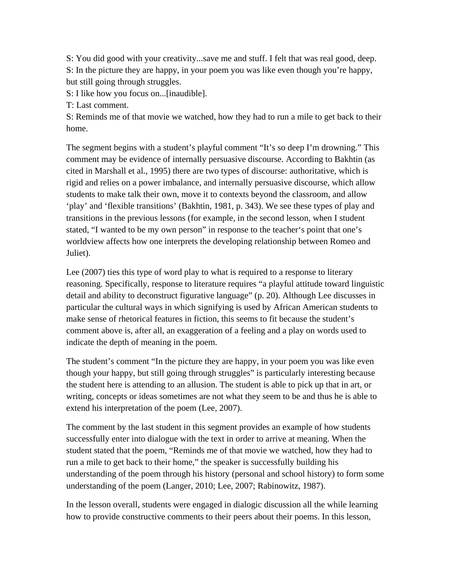S: You did good with your creativity...save me and stuff. I felt that was real good, deep. S: In the picture they are happy, in your poem you was like even though you're happy, but still going through struggles.

S: I like how you focus on...[inaudible].

T: Last comment.

S: Reminds me of that movie we watched, how they had to run a mile to get back to their home.

The segment begins with a student's playful comment "It's so deep I'm drowning." This comment may be evidence of internally persuasive discourse. According to Bakhtin (as cited in Marshall et al., 1995) there are two types of discourse: authoritative, which is rigid and relies on a power imbalance, and internally persuasive discourse, which allow students to make talk their own, move it to contexts beyond the classroom, and allow 'play' and 'flexible transitions' (Bakhtin, 1981, p. 343). We see these types of play and transitions in the previous lessons (for example, in the second lesson, when I student stated, "I wanted to be my own person" in response to the teacher's point that one's worldview affects how one interprets the developing relationship between Romeo and Juliet).

Lee (2007) ties this type of word play to what is required to a response to literary reasoning. Specifically, response to literature requires "a playful attitude toward linguistic detail and ability to deconstruct figurative language" (p. 20). Although Lee discusses in particular the cultural ways in which signifying is used by African American students to make sense of rhetorical features in fiction, this seems to fit because the student's comment above is, after all, an exaggeration of a feeling and a play on words used to indicate the depth of meaning in the poem.

The student's comment "In the picture they are happy, in your poem you was like even though your happy, but still going through struggles" is particularly interesting because the student here is attending to an allusion. The student is able to pick up that in art, or writing, concepts or ideas sometimes are not what they seem to be and thus he is able to extend his interpretation of the poem (Lee, 2007).

The comment by the last student in this segment provides an example of how students successfully enter into dialogue with the text in order to arrive at meaning. When the student stated that the poem, "Reminds me of that movie we watched, how they had to run a mile to get back to their home," the speaker is successfully building his understanding of the poem through his history (personal and school history) to form some understanding of the poem (Langer, 2010; Lee, 2007; Rabinowitz, 1987).

In the lesson overall, students were engaged in dialogic discussion all the while learning how to provide constructive comments to their peers about their poems. In this lesson,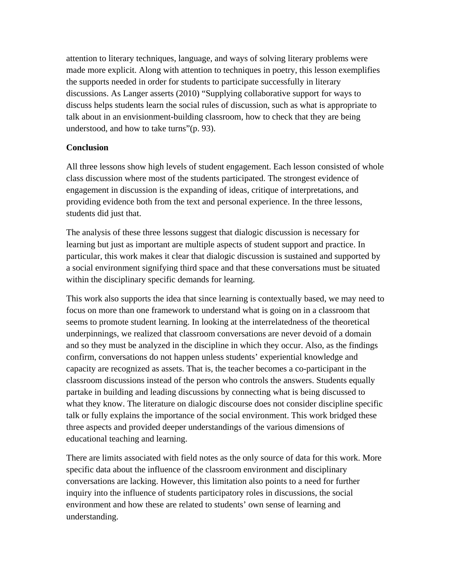attention to literary techniques, language, and ways of solving literary problems were made more explicit. Along with attention to techniques in poetry, this lesson exemplifies the supports needed in order for students to participate successfully in literary discussions. As Langer asserts (2010) "Supplying collaborative support for ways to discuss helps students learn the social rules of discussion, such as what is appropriate to talk about in an envisionment-building classroom, how to check that they are being understood, and how to take turns"(p. 93).

# **Conclusion**

All three lessons show high levels of student engagement. Each lesson consisted of whole class discussion where most of the students participated. The strongest evidence of engagement in discussion is the expanding of ideas, critique of interpretations, and providing evidence both from the text and personal experience. In the three lessons, students did just that.

The analysis of these three lessons suggest that dialogic discussion is necessary for learning but just as important are multiple aspects of student support and practice. In particular, this work makes it clear that dialogic discussion is sustained and supported by a social environment signifying third space and that these conversations must be situated within the disciplinary specific demands for learning.

This work also supports the idea that since learning is contextually based, we may need to focus on more than one framework to understand what is going on in a classroom that seems to promote student learning. In looking at the interrelatedness of the theoretical underpinnings, we realized that classroom conversations are never devoid of a domain and so they must be analyzed in the discipline in which they occur. Also, as the findings confirm, conversations do not happen unless students' experiential knowledge and capacity are recognized as assets. That is, the teacher becomes a co-participant in the classroom discussions instead of the person who controls the answers. Students equally partake in building and leading discussions by connecting what is being discussed to what they know. The literature on dialogic discourse does not consider discipline specific talk or fully explains the importance of the social environment. This work bridged these three aspects and provided deeper understandings of the various dimensions of educational teaching and learning.

There are limits associated with field notes as the only source of data for this work. More specific data about the influence of the classroom environment and disciplinary conversations are lacking. However, this limitation also points to a need for further inquiry into the influence of students participatory roles in discussions, the social environment and how these are related to students' own sense of learning and understanding.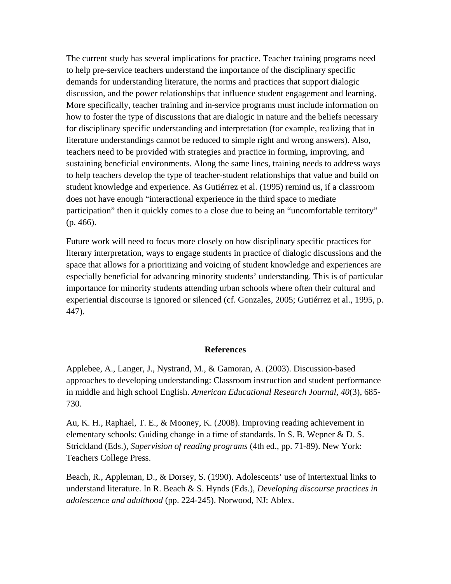The current study has several implications for practice. Teacher training programs need to help pre-service teachers understand the importance of the disciplinary specific demands for understanding literature, the norms and practices that support dialogic discussion, and the power relationships that influence student engagement and learning. More specifically, teacher training and in-service programs must include information on how to foster the type of discussions that are dialogic in nature and the beliefs necessary for disciplinary specific understanding and interpretation (for example, realizing that in literature understandings cannot be reduced to simple right and wrong answers). Also, teachers need to be provided with strategies and practice in forming, improving, and sustaining beneficial environments. Along the same lines, training needs to address ways to help teachers develop the type of teacher-student relationships that value and build on student knowledge and experience. As Gutiérrez et al. (1995) remind us, if a classroom does not have enough "interactional experience in the third space to mediate participation" then it quickly comes to a close due to being an "uncomfortable territory" (p. 466).

Future work will need to focus more closely on how disciplinary specific practices for literary interpretation, ways to engage students in practice of dialogic discussions and the space that allows for a prioritizing and voicing of student knowledge and experiences are especially beneficial for advancing minority students' understanding. This is of particular importance for minority students attending urban schools where often their cultural and experiential discourse is ignored or silenced (cf. Gonzales, 2005; Gutiérrez et al., 1995, p. 447).

#### **References**

Applebee, A., Langer, J., Nystrand, M., & Gamoran, A. (2003). Discussion-based approaches to developing understanding: Classroom instruction and student performance in middle and high school English. *American Educational Research Journal, 40*(3), 685- 730.

Au, K. H., Raphael, T. E., & Mooney, K. (2008). Improving reading achievement in elementary schools: Guiding change in a time of standards. In S. B. Wepner & D. S. Strickland (Eds.), *Supervision of reading programs* (4th ed., pp. 71-89). New York: Teachers College Press.

Beach, R., Appleman, D., & Dorsey, S. (1990). Adolescents' use of intertextual links to understand literature. In R. Beach & S. Hynds (Eds.), *Developing discourse practices in adolescence and adulthood* (pp. 224-245). Norwood, NJ: Ablex.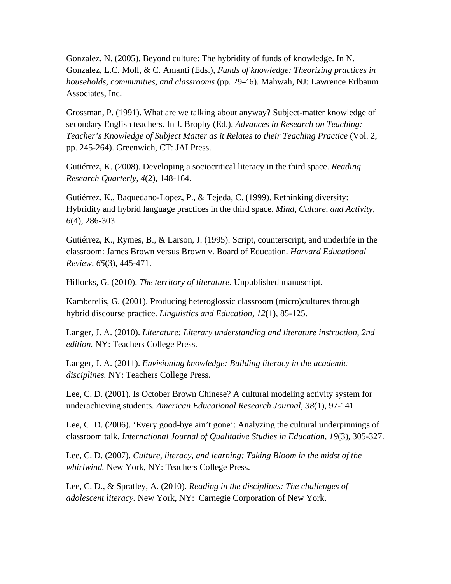Gonzalez, N. (2005). Beyond culture: The hybridity of funds of knowledge. In N. Gonzalez, L.C. Moll, & C. Amanti (Eds.), *Funds of knowledge: Theorizing practices in households, communities, and classrooms* (pp. 29-46). Mahwah, NJ: Lawrence Erlbaum Associates, Inc.

Grossman, P. (1991). What are we talking about anyway? Subject-matter knowledge of secondary English teachers. In J. Brophy (Ed.), *Advances in Research on Teaching: Teacher's Knowledge of Subject Matter as it Relates to their Teaching Practice* (Vol. 2, pp. 245-264). Greenwich, CT: JAI Press.

Gutiérrez, K. (2008). Developing a sociocritical literacy in the third space. *Reading Research Quarterly, 4*(2), 148-164.

Gutiérrez, K., Baquedano-Lopez, P., & Tejeda, C. (1999). Rethinking diversity: Hybridity and hybrid language practices in the third space. *Mind, Culture, and Activity, 6*(4), 286-303

Gutiérrez, K., Rymes, B., & Larson, J. (1995). Script, counterscript, and underlife in the classroom: James Brown versus Brown v. Board of Education. *Harvard Educational Review, 65*(3), 445-471.

Hillocks, G. (2010). *The territory of literature*. Unpublished manuscript.

Kamberelis, G. (2001). Producing heteroglossic classroom (micro)cultures through hybrid discourse practice. *Linguistics and Education, 12*(1), 85-125.

Langer, J. A. (2010). *Literature: Literary understanding and literature instruction, 2nd edition.* NY: Teachers College Press.

Langer, J. A. (2011). *Envisioning knowledge: Building literacy in the academic disciplines.* NY: Teachers College Press.

Lee, C. D. (2001). Is October Brown Chinese? A cultural modeling activity system for underachieving students. *American Educational Research Journal, 38*(1), 97-141.

Lee, C. D. (2006). 'Every good-bye ain't gone': Analyzing the cultural underpinnings of classroom talk. *International Journal of Qualitative Studies in Education, 19*(3), 305-327.

Lee, C. D. (2007). *Culture, literacy, and learning: Taking Bloom in the midst of the whirlwind.* New York, NY: Teachers College Press.

Lee, C. D., & Spratley, A. (2010). *Reading in the disciplines: The challenges of adolescent literacy.* New York, NY: Carnegie Corporation of New York.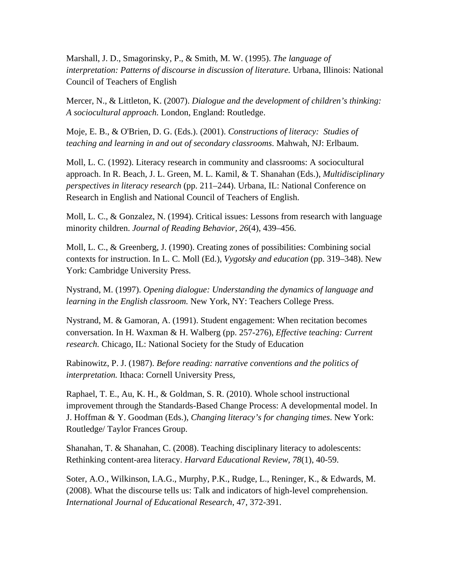Marshall, J. D., Smagorinsky, P., & Smith, M. W. (1995). *The language of interpretation: Patterns of discourse in discussion of literature.* Urbana, Illinois: National Council of Teachers of English

Mercer, N., & Littleton, K. (2007). *Dialogue and the development of children's thinking: A sociocultural approach.* London, England: Routledge.

Moje, E. B., & O'Brien, D. G. (Eds.). (2001). *Constructions of literacy: Studies of teaching and learning in and out of secondary classrooms*. Mahwah, NJ: Erlbaum.

Moll, L. C. (1992). Literacy research in community and classrooms: A sociocultural approach. In R. Beach, J. L. Green, M. L. Kamil, & T. Shanahan (Eds.), *Multidisciplinary perspectives in literacy research* (pp. 211–244). Urbana, IL: National Conference on Research in English and National Council of Teachers of English.

Moll, L. C., & Gonzalez, N. (1994). Critical issues: Lessons from research with language minority children. *Journal of Reading Behavior, 26*(4), 439–456.

Moll, L. C., & Greenberg, J. (1990). Creating zones of possibilities: Combining social contexts for instruction. In L. C. Moll (Ed.), *Vygotsky and education* (pp. 319–348). New York: Cambridge University Press.

Nystrand, M. (1997). *Opening dialogue: Understanding the dynamics of language and learning in the English classroom.* New York, NY: Teachers College Press.

Nystrand, M. & Gamoran, A. (1991). Student engagement: When recitation becomes conversation. In H. Waxman & H. Walberg (pp. 257-276), *Effective teaching: Current research.* Chicago, IL: National Society for the Study of Education

Rabinowitz, P. J. (1987). *Before reading: narrative conventions and the politics of interpretation.* Ithaca: Cornell University Press,

Raphael, T. E., Au, K. H., & Goldman, S. R. (2010). Whole school instructional improvement through the Standards-Based Change Process: A developmental model. In J. Hoffman & Y. Goodman (Eds.), *Changing literacy's for changing times*. New York: Routledge/ Taylor Frances Group.

Shanahan, T. & Shanahan, C. (2008). Teaching disciplinary literacy to adolescents: Rethinking content-area literacy. *Harvard Educational Review, 78*(1), 40-59.

Soter, A.O., Wilkinson, I.A.G., Murphy, P.K., Rudge, L., Reninger, K., & Edwards, M. (2008). What the discourse tells us: Talk and indicators of high-level comprehension. *International Journal of Educational Research*, 47, 372-391.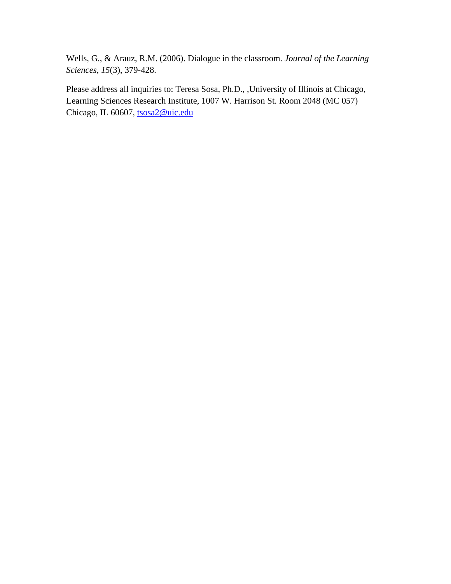Wells, G., & Arauz, R.M. (2006). Dialogue in the classroom. *Journal of the Learning Sciences, 15*(3), 379-428.

Please address all inquiries to: Teresa Sosa, Ph.D., ,University of Illinois at Chicago, Learning Sciences Research Institute, 1007 W. Harrison St. Room 2048 (MC 057) Chicago, IL 60607, tsosa2@uic.edu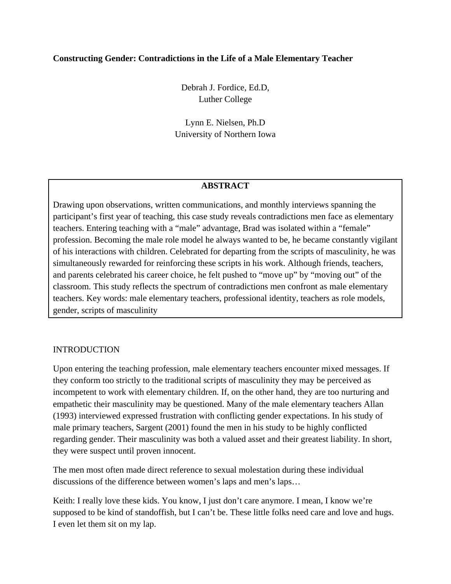## **Constructing Gender: Contradictions in the Life of a Male Elementary Teacher**

Debrah J. Fordice, Ed.D, Luther College

Lynn E. Nielsen, Ph.D University of Northern Iowa

## **ABSTRACT**

Drawing upon observations, written communications, and monthly interviews spanning the participant's first year of teaching, this case study reveals contradictions men face as elementary teachers. Entering teaching with a "male" advantage, Brad was isolated within a "female" profession. Becoming the male role model he always wanted to be, he became constantly vigilant of his interactions with children. Celebrated for departing from the scripts of masculinity, he was simultaneously rewarded for reinforcing these scripts in his work. Although friends, teachers, and parents celebrated his career choice, he felt pushed to "move up" by "moving out" of the classroom. This study reflects the spectrum of contradictions men confront as male elementary teachers. Key words: male elementary teachers, professional identity, teachers as role models, gender, scripts of masculinity

#### INTRODUCTION

Upon entering the teaching profession, male elementary teachers encounter mixed messages. If they conform too strictly to the traditional scripts of masculinity they may be perceived as incompetent to work with elementary children. If, on the other hand, they are too nurturing and empathetic their masculinity may be questioned. Many of the male elementary teachers Allan (1993) interviewed expressed frustration with conflicting gender expectations. In his study of male primary teachers, Sargent (2001) found the men in his study to be highly conflicted regarding gender. Their masculinity was both a valued asset and their greatest liability. In short, they were suspect until proven innocent.

The men most often made direct reference to sexual molestation during these individual discussions of the difference between women's laps and men's laps…

Keith: I really love these kids. You know, I just don't care anymore. I mean, I know we're supposed to be kind of standoffish, but I can't be. These little folks need care and love and hugs. I even let them sit on my lap.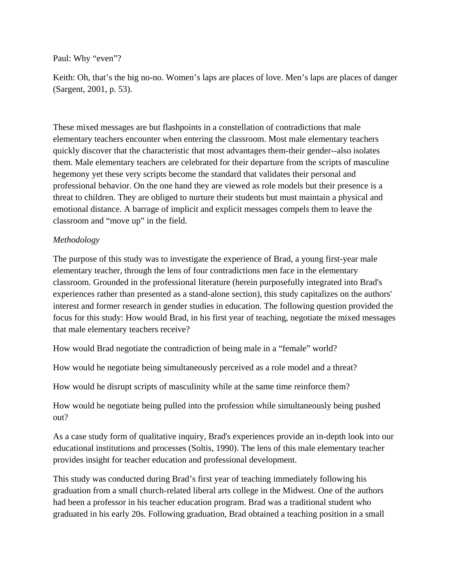Paul: Why "even"?

Keith: Oh, that's the big no-no. Women's laps are places of love. Men's laps are places of danger (Sargent, 2001, p. 53).

These mixed messages are but flashpoints in a constellation of contradictions that male elementary teachers encounter when entering the classroom. Most male elementary teachers quickly discover that the characteristic that most advantages them-their gender--also isolates them. Male elementary teachers are celebrated for their departure from the scripts of masculine hegemony yet these very scripts become the standard that validates their personal and professional behavior. On the one hand they are viewed as role models but their presence is a threat to children. They are obliged to nurture their students but must maintain a physical and emotional distance. A barrage of implicit and explicit messages compels them to leave the classroom and "move up" in the field.

# *Methodology*

The purpose of this study was to investigate the experience of Brad, a young first-year male elementary teacher, through the lens of four contradictions men face in the elementary classroom. Grounded in the professional literature (herein purposefully integrated into Brad's experiences rather than presented as a stand-alone section), this study capitalizes on the authors' interest and former research in gender studies in education. The following question provided the focus for this study: How would Brad, in his first year of teaching, negotiate the mixed messages that male elementary teachers receive?

How would Brad negotiate the contradiction of being male in a "female" world?

How would he negotiate being simultaneously perceived as a role model and a threat?

How would he disrupt scripts of masculinity while at the same time reinforce them?

How would he negotiate being pulled into the profession while simultaneously being pushed out?

As a case study form of qualitative inquiry, Brad's experiences provide an in-depth look into our educational institutions and processes (Soltis, 1990). The lens of this male elementary teacher provides insight for teacher education and professional development.

This study was conducted during Brad's first year of teaching immediately following his graduation from a small church-related liberal arts college in the Midwest. One of the authors had been a professor in his teacher education program. Brad was a traditional student who graduated in his early 20s. Following graduation, Brad obtained a teaching position in a small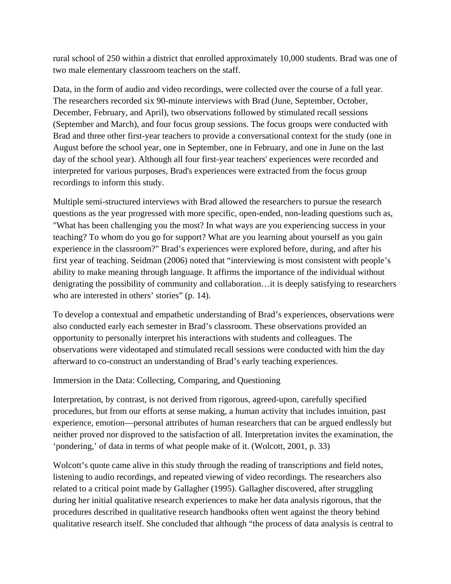rural school of 250 within a district that enrolled approximately 10,000 students. Brad was one of two male elementary classroom teachers on the staff.

Data, in the form of audio and video recordings, were collected over the course of a full year. The researchers recorded six 90-minute interviews with Brad (June, September, October, December, February, and April), two observations followed by stimulated recall sessions (September and March), and four focus group sessions. The focus groups were conducted with Brad and three other first-year teachers to provide a conversational context for the study (one in August before the school year, one in September, one in February, and one in June on the last day of the school year). Although all four first-year teachers' experiences were recorded and interpreted for various purposes, Brad's experiences were extracted from the focus group recordings to inform this study.

Multiple semi-structured interviews with Brad allowed the researchers to pursue the research questions as the year progressed with more specific, open-ended, non-leading questions such as, "What has been challenging you the most? In what ways are you experiencing success in your teaching? To whom do you go for support? What are you learning about yourself as you gain experience in the classroom?" Brad's experiences were explored before, during, and after his first year of teaching. Seidman (2006) noted that "interviewing is most consistent with people's ability to make meaning through language. It affirms the importance of the individual without denigrating the possibility of community and collaboration…it is deeply satisfying to researchers who are interested in others' stories" (p. 14).

To develop a contextual and empathetic understanding of Brad's experiences, observations were also conducted early each semester in Brad's classroom. These observations provided an opportunity to personally interpret his interactions with students and colleagues. The observations were videotaped and stimulated recall sessions were conducted with him the day afterward to co-construct an understanding of Brad's early teaching experiences.

Immersion in the Data: Collecting, Comparing, and Questioning

Interpretation, by contrast, is not derived from rigorous, agreed-upon, carefully specified procedures, but from our efforts at sense making, a human activity that includes intuition, past experience, emotion—personal attributes of human researchers that can be argued endlessly but neither proved nor disproved to the satisfaction of all. Interpretation invites the examination, the 'pondering,' of data in terms of what people make of it. (Wolcott, 2001, p. 33)

Wolcott's quote came alive in this study through the reading of transcriptions and field notes, listening to audio recordings, and repeated viewing of video recordings. The researchers also related to a critical point made by Gallagher (1995). Gallagher discovered, after struggling during her initial qualitative research experiences to make her data analysis rigorous, that the procedures described in qualitative research handbooks often went against the theory behind qualitative research itself. She concluded that although "the process of data analysis is central to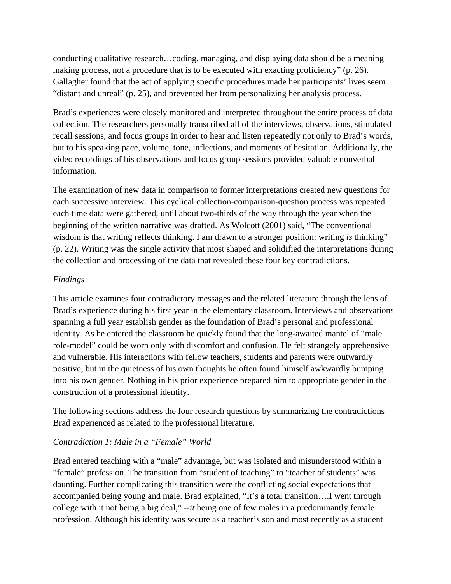conducting qualitative research…coding, managing, and displaying data should be a meaning making process, not a procedure that is to be executed with exacting proficiency" (p. 26). Gallagher found that the act of applying specific procedures made her participants' lives seem "distant and unreal" (p. 25), and prevented her from personalizing her analysis process.

Brad's experiences were closely monitored and interpreted throughout the entire process of data collection. The researchers personally transcribed all of the interviews, observations, stimulated recall sessions, and focus groups in order to hear and listen repeatedly not only to Brad's words, but to his speaking pace, volume, tone, inflections, and moments of hesitation. Additionally, the video recordings of his observations and focus group sessions provided valuable nonverbal information.

The examination of new data in comparison to former interpretations created new questions for each successive interview. This cyclical collection-comparison-question process was repeated each time data were gathered, until about two-thirds of the way through the year when the beginning of the written narrative was drafted. As Wolcott (2001) said, "The conventional wisdom is that writing reflects thinking. I am drawn to a stronger position: writing *is* thinking" (p. 22). Writing was the single activity that most shaped and solidified the interpretations during the collection and processing of the data that revealed these four key contradictions.

# *Findings*

This article examines four contradictory messages and the related literature through the lens of Brad's experience during his first year in the elementary classroom. Interviews and observations spanning a full year establish gender as the foundation of Brad's personal and professional identity. As he entered the classroom he quickly found that the long-awaited mantel of "male role-model" could be worn only with discomfort and confusion. He felt strangely apprehensive and vulnerable. His interactions with fellow teachers, students and parents were outwardly positive, but in the quietness of his own thoughts he often found himself awkwardly bumping into his own gender. Nothing in his prior experience prepared him to appropriate gender in the construction of a professional identity.

The following sections address the four research questions by summarizing the contradictions Brad experienced as related to the professional literature.

# *Contradiction 1: Male in a "Female" World*

Brad entered teaching with a "male" advantage, but was isolated and misunderstood within a "female" profession. The transition from "student of teaching" to "teacher of students" was daunting. Further complicating this transition were the conflicting social expectations that accompanied being young and male. Brad explained, "It's a total transition….I went through college with it not being a big deal," --*it* being one of few males in a predominantly female profession. Although his identity was secure as a teacher's son and most recently as a student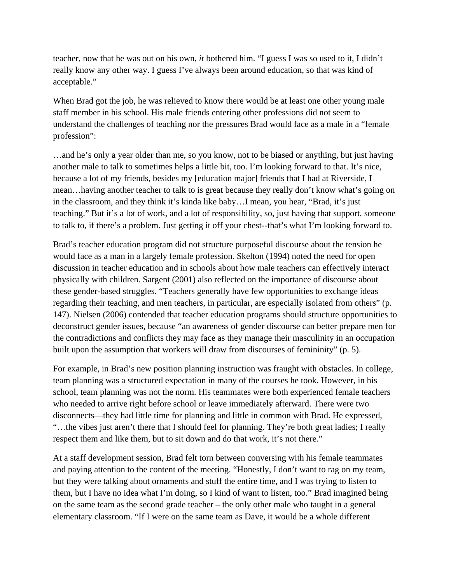teacher, now that he was out on his own, *it* bothered him. "I guess I was so used to it, I didn't really know any other way. I guess I've always been around education, so that was kind of acceptable."

When Brad got the job, he was relieved to know there would be at least one other young male staff member in his school. His male friends entering other professions did not seem to understand the challenges of teaching nor the pressures Brad would face as a male in a "female profession":

…and he's only a year older than me, so you know, not to be biased or anything, but just having another male to talk to sometimes helps a little bit, too. I'm looking forward to that. It's nice, because a lot of my friends, besides my [education major] friends that I had at Riverside, I mean…having another teacher to talk to is great because they really don't know what's going on in the classroom, and they think it's kinda like baby…I mean, you hear, "Brad, it's just teaching." But it's a lot of work, and a lot of responsibility, so, just having that support, someone to talk to, if there's a problem. Just getting it off your chest--that's what I'm looking forward to.

Brad's teacher education program did not structure purposeful discourse about the tension he would face as a man in a largely female profession. Skelton (1994) noted the need for open discussion in teacher education and in schools about how male teachers can effectively interact physically with children. Sargent (2001) also reflected on the importance of discourse about these gender-based struggles. "Teachers generally have few opportunities to exchange ideas regarding their teaching, and men teachers, in particular, are especially isolated from others" (p. 147). Nielsen (2006) contended that teacher education programs should structure opportunities to deconstruct gender issues, because "an awareness of gender discourse can better prepare men for the contradictions and conflicts they may face as they manage their masculinity in an occupation built upon the assumption that workers will draw from discourses of femininity" (p. 5).

For example, in Brad's new position planning instruction was fraught with obstacles. In college, team planning was a structured expectation in many of the courses he took. However, in his school, team planning was not the norm. His teammates were both experienced female teachers who needed to arrive right before school or leave immediately afterward. There were two disconnects—they had little time for planning and little in common with Brad. He expressed, "…the vibes just aren't there that I should feel for planning. They're both great ladies; I really respect them and like them, but to sit down and do that work, it's not there."

At a staff development session, Brad felt torn between conversing with his female teammates and paying attention to the content of the meeting. "Honestly, I don't want to rag on my team, but they were talking about ornaments and stuff the entire time, and I was trying to listen to them, but I have no idea what I'm doing, so I kind of want to listen, too." Brad imagined being on the same team as the second grade teacher – the only other male who taught in a general elementary classroom. "If I were on the same team as Dave, it would be a whole different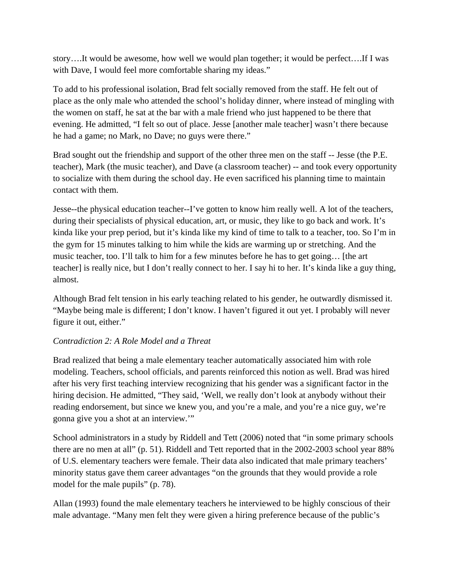story….It would be awesome, how well we would plan together; it would be perfect….If I was with Dave, I would feel more comfortable sharing my ideas."

To add to his professional isolation, Brad felt socially removed from the staff. He felt out of place as the only male who attended the school's holiday dinner, where instead of mingling with the women on staff, he sat at the bar with a male friend who just happened to be there that evening. He admitted, "I felt so out of place. Jesse [another male teacher] wasn't there because he had a game; no Mark, no Dave; no guys were there."

Brad sought out the friendship and support of the other three men on the staff -- Jesse (the P.E. teacher), Mark (the music teacher), and Dave (a classroom teacher) -- and took every opportunity to socialize with them during the school day. He even sacrificed his planning time to maintain contact with them.

Jesse--the physical education teacher--I've gotten to know him really well. A lot of the teachers, during their specialists of physical education, art, or music, they like to go back and work. It's kinda like your prep period, but it's kinda like my kind of time to talk to a teacher, too. So I'm in the gym for 15 minutes talking to him while the kids are warming up or stretching. And the music teacher, too. I'll talk to him for a few minutes before he has to get going… [the art teacher] is really nice, but I don't really connect to her. I say hi to her. It's kinda like a guy thing, almost.

Although Brad felt tension in his early teaching related to his gender, he outwardly dismissed it. "Maybe being male is different; I don't know. I haven't figured it out yet. I probably will never figure it out, either."

# *Contradiction 2: A Role Model and a Threat*

Brad realized that being a male elementary teacher automatically associated him with role modeling. Teachers, school officials, and parents reinforced this notion as well. Brad was hired after his very first teaching interview recognizing that his gender was a significant factor in the hiring decision. He admitted, "They said, 'Well, we really don't look at anybody without their reading endorsement, but since we knew you, and you're a male, and you're a nice guy, we're gonna give you a shot at an interview.'"

School administrators in a study by Riddell and Tett (2006) noted that "in some primary schools there are no men at all" (p. 51). Riddell and Tett reported that in the 2002-2003 school year 88% of U.S. elementary teachers were female. Their data also indicated that male primary teachers' minority status gave them career advantages "on the grounds that they would provide a role model for the male pupils" (p. 78).

Allan (1993) found the male elementary teachers he interviewed to be highly conscious of their male advantage. "Many men felt they were given a hiring preference because of the public's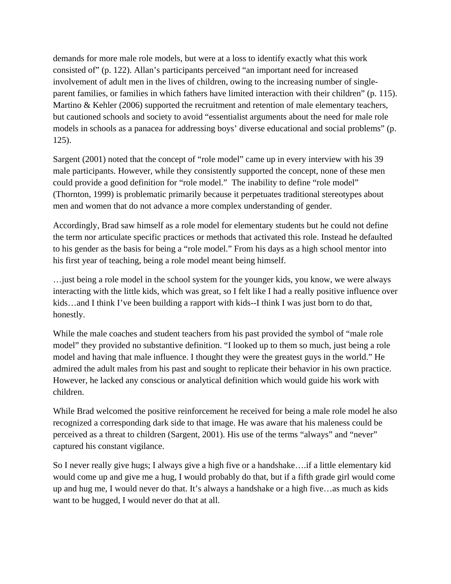demands for more male role models, but were at a loss to identify exactly what this work consisted of" (p. 122). Allan's participants perceived "an important need for increased involvement of adult men in the lives of children, owing to the increasing number of singleparent families, or families in which fathers have limited interaction with their children" (p. 115). Martino & Kehler (2006) supported the recruitment and retention of male elementary teachers, but cautioned schools and society to avoid "essentialist arguments about the need for male role models in schools as a panacea for addressing boys' diverse educational and social problems" (p. 125).

Sargent (2001) noted that the concept of "role model" came up in every interview with his 39 male participants. However, while they consistently supported the concept, none of these men could provide a good definition for "role model." The inability to define "role model" (Thornton, 1999) is problematic primarily because it perpetuates traditional stereotypes about men and women that do not advance a more complex understanding of gender.

Accordingly, Brad saw himself as a role model for elementary students but he could not define the term nor articulate specific practices or methods that activated this role. Instead he defaulted to his gender as the basis for being a "role model." From his days as a high school mentor into his first year of teaching, being a role model meant being himself.

…just being a role model in the school system for the younger kids, you know, we were always interacting with the little kids, which was great, so I felt like I had a really positive influence over kids…and I think I've been building a rapport with kids--I think I was just born to do that, honestly.

While the male coaches and student teachers from his past provided the symbol of "male role model" they provided no substantive definition. "I looked up to them so much, just being a role model and having that male influence. I thought they were the greatest guys in the world." He admired the adult males from his past and sought to replicate their behavior in his own practice. However, he lacked any conscious or analytical definition which would guide his work with children.

While Brad welcomed the positive reinforcement he received for being a male role model he also recognized a corresponding dark side to that image. He was aware that his maleness could be perceived as a threat to children (Sargent, 2001). His use of the terms "always" and "never" captured his constant vigilance.

So I never really give hugs; I always give a high five or a handshake….if a little elementary kid would come up and give me a hug, I would probably do that, but if a fifth grade girl would come up and hug me, I would never do that. It's always a handshake or a high five…as much as kids want to be hugged, I would never do that at all.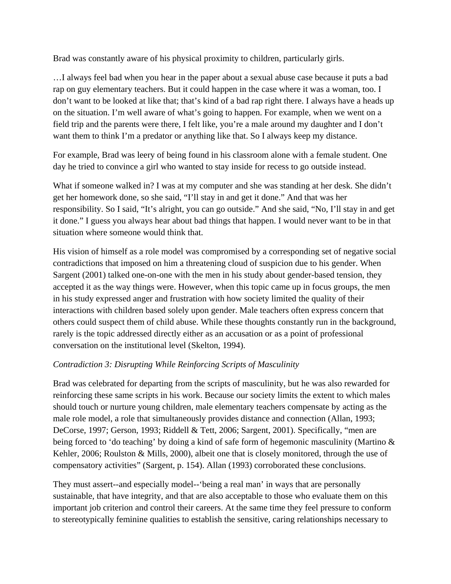Brad was constantly aware of his physical proximity to children, particularly girls.

…I always feel bad when you hear in the paper about a sexual abuse case because it puts a bad rap on guy elementary teachers. But it could happen in the case where it was a woman, too. I don't want to be looked at like that; that's kind of a bad rap right there. I always have a heads up on the situation. I'm well aware of what's going to happen. For example, when we went on a field trip and the parents were there, I felt like, you're a male around my daughter and I don't want them to think I'm a predator or anything like that. So I always keep my distance.

For example, Brad was leery of being found in his classroom alone with a female student. One day he tried to convince a girl who wanted to stay inside for recess to go outside instead.

What if someone walked in? I was at my computer and she was standing at her desk. She didn't get her homework done, so she said, "I'll stay in and get it done." And that was her responsibility. So I said, "It's alright, you can go outside." And she said, "No, I'll stay in and get it done." I guess you always hear about bad things that happen. I would never want to be in that situation where someone would think that.

His vision of himself as a role model was compromised by a corresponding set of negative social contradictions that imposed on him a threatening cloud of suspicion due to his gender. When Sargent (2001) talked one-on-one with the men in his study about gender-based tension, they accepted it as the way things were. However, when this topic came up in focus groups, the men in his study expressed anger and frustration with how society limited the quality of their interactions with children based solely upon gender. Male teachers often express concern that others could suspect them of child abuse. While these thoughts constantly run in the background, rarely is the topic addressed directly either as an accusation or as a point of professional conversation on the institutional level (Skelton, 1994).

# *Contradiction 3: Disrupting While Reinforcing Scripts of Masculinity*

Brad was celebrated for departing from the scripts of masculinity, but he was also rewarded for reinforcing these same scripts in his work. Because our society limits the extent to which males should touch or nurture young children, male elementary teachers compensate by acting as the male role model, a role that simultaneously provides distance and connection (Allan, 1993; DeCorse, 1997; Gerson, 1993; Riddell & Tett, 2006; Sargent, 2001). Specifically, "men are being forced to 'do teaching' by doing a kind of safe form of hegemonic masculinity (Martino & Kehler, 2006; Roulston & Mills, 2000), albeit one that is closely monitored, through the use of compensatory activities" (Sargent, p. 154). Allan (1993) corroborated these conclusions.

They must assert--and especially model--'being a real man' in ways that are personally sustainable, that have integrity, and that are also acceptable to those who evaluate them on this important job criterion and control their careers. At the same time they feel pressure to conform to stereotypically feminine qualities to establish the sensitive, caring relationships necessary to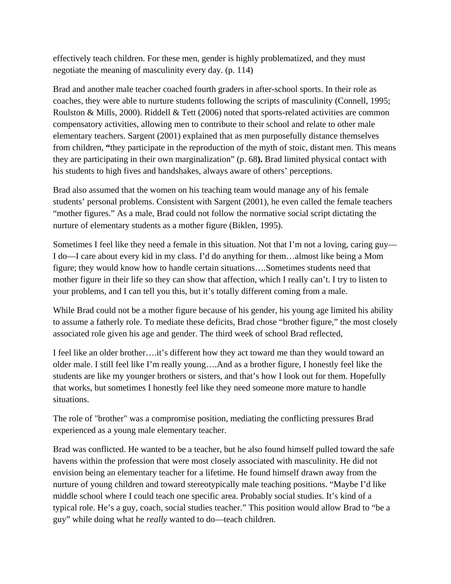effectively teach children. For these men, gender is highly problematized, and they must negotiate the meaning of masculinity every day. (p. 114)

Brad and another male teacher coached fourth graders in after-school sports. In their role as coaches, they were able to nurture students following the scripts of masculinity (Connell, 1995; Roulston & Mills, 2000). Riddell & Tett (2006) noted that sports-related activities are common compensatory activities, allowing men to contribute to their school and relate to other male elementary teachers. Sargent (2001) explained that as men purposefully distance themselves from children, **"**they participate in the reproduction of the myth of stoic, distant men. This means they are participating in their own marginalization" (p. 68**).** Brad limited physical contact with his students to high fives and handshakes, always aware of others' perceptions.

Brad also assumed that the women on his teaching team would manage any of his female students' personal problems. Consistent with Sargent (2001), he even called the female teachers "mother figures." As a male, Brad could not follow the normative social script dictating the nurture of elementary students as a mother figure (Biklen, 1995).

Sometimes I feel like they need a female in this situation. Not that I'm not a loving, caring guy— I do—I care about every kid in my class. I'd do anything for them…almost like being a Mom figure; they would know how to handle certain situations….Sometimes students need that mother figure in their life so they can show that affection, which I really can't. I try to listen to your problems, and I can tell you this, but it's totally different coming from a male.

While Brad could not be a mother figure because of his gender, his young age limited his ability to assume a fatherly role. To mediate these deficits, Brad chose "brother figure," the most closely associated role given his age and gender. The third week of school Brad reflected,

I feel like an older brother….it's different how they act toward me than they would toward an older male. I still feel like I'm really young….And as a brother figure, I honestly feel like the students are like my younger brothers or sisters, and that's how I look out for them. Hopefully that works, but sometimes I honestly feel like they need someone more mature to handle situations.

The role of "brother" was a compromise position, mediating the conflicting pressures Brad experienced as a young male elementary teacher.

Brad was conflicted. He wanted to be a teacher, but he also found himself pulled toward the safe havens within the profession that were most closely associated with masculinity. He did not envision being an elementary teacher for a lifetime. He found himself drawn away from the nurture of young children and toward stereotypically male teaching positions. "Maybe I'd like middle school where I could teach one specific area. Probably social studies. It's kind of a typical role. He's a guy, coach, social studies teacher." This position would allow Brad to "be a guy" while doing what he *really* wanted to do—teach children.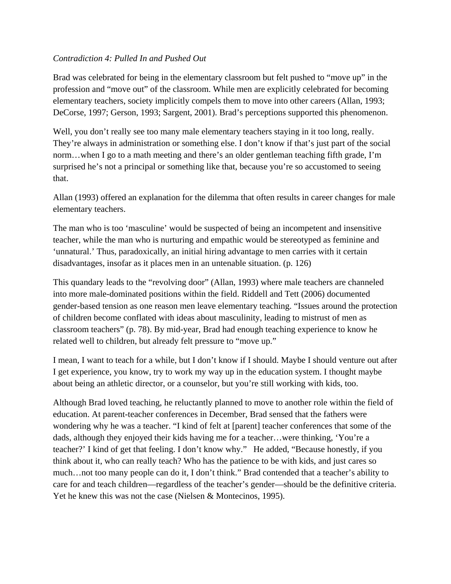# *Contradiction 4: Pulled In and Pushed Out*

Brad was celebrated for being in the elementary classroom but felt pushed to "move up" in the profession and "move out" of the classroom. While men are explicitly celebrated for becoming elementary teachers, society implicitly compels them to move into other careers (Allan, 1993; DeCorse, 1997; Gerson, 1993; Sargent, 2001). Brad's perceptions supported this phenomenon.

Well, you don't really see too many male elementary teachers staying in it too long, really. They're always in administration or something else. I don't know if that's just part of the social norm…when I go to a math meeting and there's an older gentleman teaching fifth grade, I'm surprised he's not a principal or something like that, because you're so accustomed to seeing that.

Allan (1993) offered an explanation for the dilemma that often results in career changes for male elementary teachers.

The man who is too 'masculine' would be suspected of being an incompetent and insensitive teacher, while the man who is nurturing and empathic would be stereotyped as feminine and 'unnatural.' Thus, paradoxically, an initial hiring advantage to men carries with it certain disadvantages, insofar as it places men in an untenable situation. (p. 126)

This quandary leads to the "revolving door" (Allan, 1993) where male teachers are channeled into more male-dominated positions within the field. Riddell and Tett (2006) documented gender-based tension as one reason men leave elementary teaching. "Issues around the protection of children become conflated with ideas about masculinity, leading to mistrust of men as classroom teachers" (p. 78). By mid-year, Brad had enough teaching experience to know he related well to children, but already felt pressure to "move up."

I mean, I want to teach for a while, but I don't know if I should. Maybe I should venture out after I get experience, you know, try to work my way up in the education system. I thought maybe about being an athletic director, or a counselor, but you're still working with kids, too.

Although Brad loved teaching, he reluctantly planned to move to another role within the field of education. At parent-teacher conferences in December, Brad sensed that the fathers were wondering why he was a teacher. "I kind of felt at [parent] teacher conferences that some of the dads, although they enjoyed their kids having me for a teacher…were thinking, 'You're a teacher?' I kind of get that feeling. I don't know why." He added, "Because honestly, if you think about it, who can really teach? Who has the patience to be with kids, and just cares so much…not too many people can do it, I don't think." Brad contended that a teacher's ability to care for and teach children—regardless of the teacher's gender—should be the definitive criteria. Yet he knew this was not the case (Nielsen & Montecinos, 1995).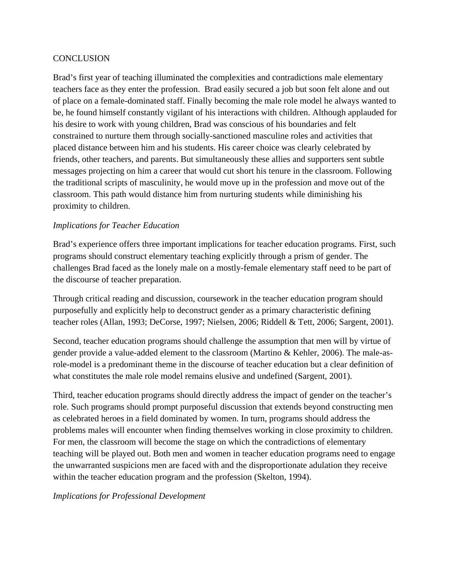# **CONCLUSION**

Brad's first year of teaching illuminated the complexities and contradictions male elementary teachers face as they enter the profession. Brad easily secured a job but soon felt alone and out of place on a female-dominated staff. Finally becoming the male role model he always wanted to be, he found himself constantly vigilant of his interactions with children. Although applauded for his desire to work with young children, Brad was conscious of his boundaries and felt constrained to nurture them through socially-sanctioned masculine roles and activities that placed distance between him and his students. His career choice was clearly celebrated by friends, other teachers, and parents. But simultaneously these allies and supporters sent subtle messages projecting on him a career that would cut short his tenure in the classroom. Following the traditional scripts of masculinity, he would move up in the profession and move out of the classroom. This path would distance him from nurturing students while diminishing his proximity to children.

# *Implications for Teacher Education*

Brad's experience offers three important implications for teacher education programs. First, such programs should construct elementary teaching explicitly through a prism of gender. The challenges Brad faced as the lonely male on a mostly-female elementary staff need to be part of the discourse of teacher preparation.

Through critical reading and discussion, coursework in the teacher education program should purposefully and explicitly help to deconstruct gender as a primary characteristic defining teacher roles (Allan, 1993; DeCorse, 1997; Nielsen, 2006; Riddell & Tett, 2006; Sargent, 2001).

Second, teacher education programs should challenge the assumption that men will by virtue of gender provide a value-added element to the classroom (Martino & Kehler, 2006). The male-asrole-model is a predominant theme in the discourse of teacher education but a clear definition of what constitutes the male role model remains elusive and undefined (Sargent, 2001).

Third, teacher education programs should directly address the impact of gender on the teacher's role. Such programs should prompt purposeful discussion that extends beyond constructing men as celebrated heroes in a field dominated by women. In turn, programs should address the problems males will encounter when finding themselves working in close proximity to children. For men, the classroom will become the stage on which the contradictions of elementary teaching will be played out. Both men and women in teacher education programs need to engage the unwarranted suspicions men are faced with and the disproportionate adulation they receive within the teacher education program and the profession (Skelton, 1994).

*Implications for Professional Development*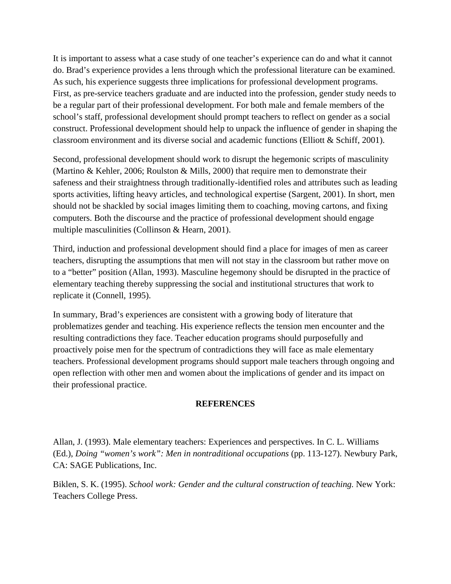It is important to assess what a case study of one teacher's experience can do and what it cannot do. Brad's experience provides a lens through which the professional literature can be examined. As such, his experience suggests three implications for professional development programs. First, as pre-service teachers graduate and are inducted into the profession, gender study needs to be a regular part of their professional development. For both male and female members of the school's staff, professional development should prompt teachers to reflect on gender as a social construct. Professional development should help to unpack the influence of gender in shaping the classroom environment and its diverse social and academic functions (Elliott & Schiff, 2001).

Second, professional development should work to disrupt the hegemonic scripts of masculinity (Martino & Kehler, 2006; Roulston & Mills, 2000) that require men to demonstrate their safeness and their straightness through traditionally-identified roles and attributes such as leading sports activities, lifting heavy articles, and technological expertise (Sargent, 2001). In short, men should not be shackled by social images limiting them to coaching, moving cartons, and fixing computers. Both the discourse and the practice of professional development should engage multiple masculinities (Collinson & Hearn, 2001).

Third, induction and professional development should find a place for images of men as career teachers, disrupting the assumptions that men will not stay in the classroom but rather move on to a "better" position (Allan, 1993). Masculine hegemony should be disrupted in the practice of elementary teaching thereby suppressing the social and institutional structures that work to replicate it (Connell, 1995).

In summary, Brad's experiences are consistent with a growing body of literature that problematizes gender and teaching. His experience reflects the tension men encounter and the resulting contradictions they face. Teacher education programs should purposefully and proactively poise men for the spectrum of contradictions they will face as male elementary teachers. Professional development programs should support male teachers through ongoing and open reflection with other men and women about the implications of gender and its impact on their professional practice.

#### **REFERENCES**

Allan, J. (1993). Male elementary teachers: Experiences and perspectives. In C. L. Williams (Ed.), *Doing "women's work": Men in nontraditional occupations* (pp. 113-127). Newbury Park, CA: SAGE Publications, Inc.

Biklen, S. K. (1995). *School work: Gender and the cultural construction of teaching.* New York: Teachers College Press.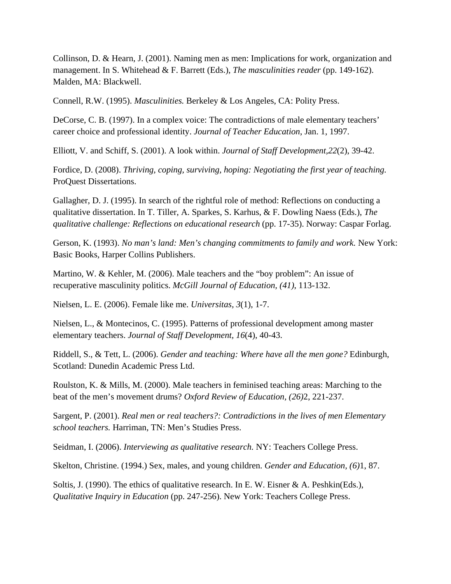Collinson, D. & Hearn, J. (2001). Naming men as men: Implications for work, organization and management. In S. Whitehead & F. Barrett (Eds.), *The masculinities reader* (pp. 149-162). Malden, MA: Blackwell.

Connell, R.W. (1995). *Masculinities.* Berkeley & Los Angeles, CA: Polity Press.

DeCorse, C. B. (1997). In a complex voice: The contradictions of male elementary teachers' career choice and professional identity. *Journal of Teacher Education*, Jan. 1, 1997.

Elliott, V. and Schiff, S. (2001). A look within. *Journal of Staff Development,22*(2), 39-42.

Fordice, D. (2008). *Thriving, coping, surviving, hoping: Negotiating the first year of teaching.* ProQuest Dissertations.

Gallagher, D. J. (1995). In search of the rightful role of method: Reflections on conducting a qualitative dissertation. In T. Tiller, A. Sparkes, S. Karhus, & F. Dowling Naess (Eds.), *The qualitative challenge: Reflections on educational research* (pp. 17-35). Norway: Caspar Forlag.

Gerson, K. (1993). *No man's land: Men's changing commitments to family and work.* New York: Basic Books, Harper Collins Publishers.

Martino, W. & Kehler, M. (2006). Male teachers and the "boy problem": An issue of recuperative masculinity politics. *McGill Journal of Education, (41)*, 113-132.

Nielsen, L. E. (2006). Female like me. *Universitas, 3*(1), 1-7.

Nielsen, L., & Montecinos, C. (1995). Patterns of professional development among master elementary teachers. *Journal of Staff Development, 16*(4), 40-43.

Riddell, S., & Tett, L. (2006). *Gender and teaching: Where have all the men gone?* Edinburgh, Scotland: Dunedin Academic Press Ltd.

Roulston, K. & Mills, M. (2000). Male teachers in feminised teaching areas: Marching to the beat of the men's movement drums? *Oxford Review of Education, (26)*2, 221-237.

Sargent, P. (2001). *Real men or real teachers?: Contradictions in the lives of men Elementary school teachers.* Harriman, TN: Men's Studies Press.

Seidman, I. (2006). *Interviewing as qualitative research.* NY: Teachers College Press.

Skelton, Christine. (1994.) Sex, males, and young children. *Gender and Education, (6)*1, 87.

Soltis, J. (1990). The ethics of qualitative research. In E. W. Eisner & A. Peshkin(Eds.), *Qualitative Inquiry in Education* (pp. 247-256). New York: Teachers College Press.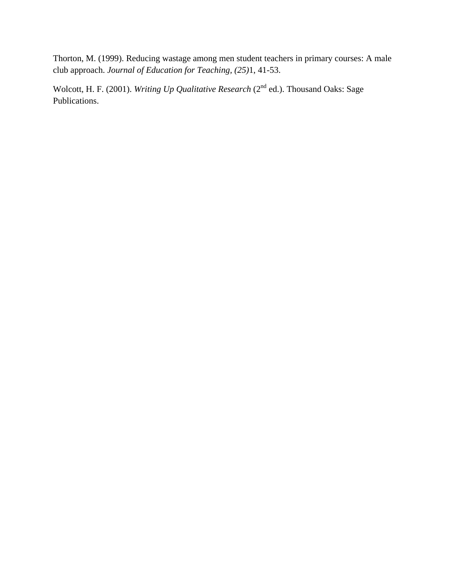Thorton, M. (1999). Reducing wastage among men student teachers in primary courses: A male club approach. *Journal of Education for Teaching, (25)*1, 41-53.

Wolcott, H. F. (2001). *Writing Up Qualitative Research* (2<sup>nd</sup> ed.). Thousand Oaks: Sage Publications.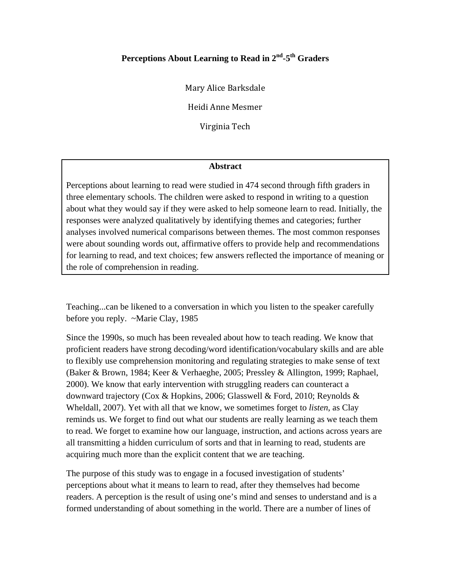# Perceptions About Learning to Read in 2<sup>nd</sup>-5<sup>th</sup> Graders

Mary Alice Barksdale 

Heidi Anne Mesmer 

Virginia Tech

#### **Abstract**

Perceptions about learning to read were studied in 474 second through fifth graders in three elementary schools. The children were asked to respond in writing to a question about what they would say if they were asked to help someone learn to read. Initially, the responses were analyzed qualitatively by identifying themes and categories; further analyses involved numerical comparisons between themes. The most common responses were about sounding words out, affirmative offers to provide help and recommendations for learning to read, and text choices; few answers reflected the importance of meaning or the role of comprehension in reading.

Teaching...can be likened to a conversation in which you listen to the speaker carefully before you reply. ~Marie Clay, 1985

Since the 1990s, so much has been revealed about how to teach reading. We know that proficient readers have strong decoding/word identification/vocabulary skills and are able to flexibly use comprehension monitoring and regulating strategies to make sense of text (Baker & Brown, 1984; Keer & Verhaeghe, 2005; Pressley & Allington, 1999; Raphael, 2000). We know that early intervention with struggling readers can counteract a downward trajectory (Cox & Hopkins, 2006; Glasswell & Ford, 2010; Reynolds & Wheldall, 2007). Yet with all that we know, we sometimes forget to *listen*, as Clay reminds us. We forget to find out what our students are really learning as we teach them to read. We forget to examine how our language, instruction, and actions across years are all transmitting a hidden curriculum of sorts and that in learning to read, students are acquiring much more than the explicit content that we are teaching.

The purpose of this study was to engage in a focused investigation of students' perceptions about what it means to learn to read, after they themselves had become readers. A perception is the result of using one's mind and senses to understand and is a formed understanding of about something in the world. There are a number of lines of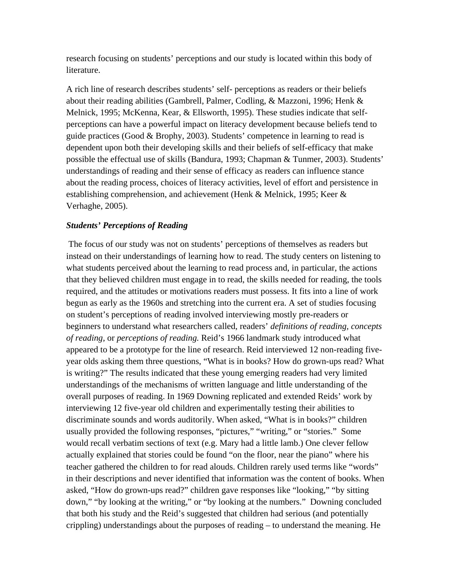research focusing on students' perceptions and our study is located within this body of literature.

A rich line of research describes students' self- perceptions as readers or their beliefs about their reading abilities (Gambrell, Palmer, Codling, & Mazzoni, 1996; Henk & Melnick, 1995; McKenna, Kear, & Ellsworth, 1995). These studies indicate that selfperceptions can have a powerful impact on literacy development because beliefs tend to guide practices (Good & Brophy, 2003). Students' competence in learning to read is dependent upon both their developing skills and their beliefs of self-efficacy that make possible the effectual use of skills (Bandura, 1993; Chapman & Tunmer, 2003). Students' understandings of reading and their sense of efficacy as readers can influence stance about the reading process, choices of literacy activities, level of effort and persistence in establishing comprehension, and achievement (Henk & Melnick, 1995; Keer & Verhaghe, 2005).

## *Students' Perceptions of Reading*

 The focus of our study was not on students' perceptions of themselves as readers but instead on their understandings of learning how to read. The study centers on listening to what students perceived about the learning to read process and, in particular, the actions that they believed children must engage in to read, the skills needed for reading, the tools required, and the attitudes or motivations readers must possess. It fits into a line of work begun as early as the 1960s and stretching into the current era. A set of studies focusing on student's perceptions of reading involved interviewing mostly pre-readers or beginners to understand what researchers called, readers' *definitions of reading, concepts of reading,* or *perceptions of reading.* Reid's 1966 landmark study introduced what appeared to be a prototype for the line of research. Reid interviewed 12 non-reading fiveyear olds asking them three questions, "What is in books? How do grown-ups read? What is writing?" The results indicated that these young emerging readers had very limited understandings of the mechanisms of written language and little understanding of the overall purposes of reading. In 1969 Downing replicated and extended Reids' work by interviewing 12 five-year old children and experimentally testing their abilities to discriminate sounds and words auditorily. When asked, "What is in books?" children usually provided the following responses, "pictures," "writing," or "stories." Some would recall verbatim sections of text (e.g. Mary had a little lamb.) One clever fellow actually explained that stories could be found "on the floor, near the piano" where his teacher gathered the children to for read alouds. Children rarely used terms like "words" in their descriptions and never identified that information was the content of books. When asked, "How do grown-ups read?" children gave responses like "looking," "by sitting down," "by looking at the writing," or "by looking at the numbers." Downing concluded that both his study and the Reid's suggested that children had serious (and potentially crippling) understandings about the purposes of reading – to understand the meaning. He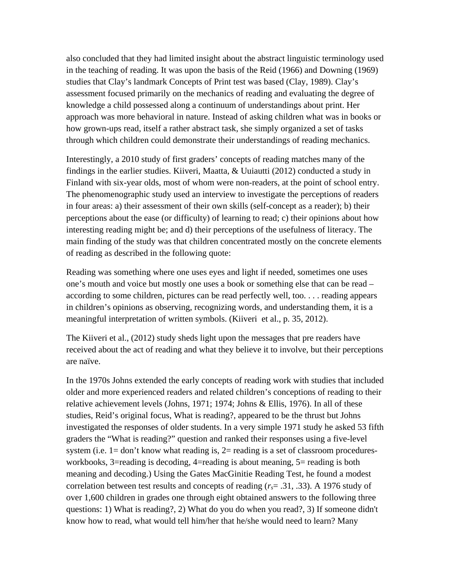also concluded that they had limited insight about the abstract linguistic terminology used in the teaching of reading. It was upon the basis of the Reid (1966) and Downing (1969) studies that Clay's landmark Concepts of Print test was based (Clay, 1989). Clay's assessment focused primarily on the mechanics of reading and evaluating the degree of knowledge a child possessed along a continuum of understandings about print. Her approach was more behavioral in nature. Instead of asking children what was in books or how grown-ups read, itself a rather abstract task, she simply organized a set of tasks through which children could demonstrate their understandings of reading mechanics.

Interestingly, a 2010 study of first graders' concepts of reading matches many of the findings in the earlier studies. Kiiveri, Maatta, & Uuiautti (2012) conducted a study in Finland with six-year olds, most of whom were non-readers, at the point of school entry. The phenomenographic study used an interview to investigate the perceptions of readers in four areas: a) their assessment of their own skills (self-concept as a reader); b) their perceptions about the ease (or difficulty) of learning to read; c) their opinions about how interesting reading might be; and d) their perceptions of the usefulness of literacy. The main finding of the study was that children concentrated mostly on the concrete elements of reading as described in the following quote:

Reading was something where one uses eyes and light if needed, sometimes one uses one's mouth and voice but mostly one uses a book or something else that can be read – according to some children, pictures can be read perfectly well, too. . . . reading appears in children's opinions as observing, recognizing words, and understanding them, it is a meaningful interpretation of written symbols. (Kiiveri et al., p. 35, 2012).

The Kiiveri et al., (2012) study sheds light upon the messages that pre readers have received about the act of reading and what they believe it to involve, but their perceptions are naïve.

In the 1970s Johns extended the early concepts of reading work with studies that included older and more experienced readers and related children's conceptions of reading to their relative achievement levels (Johns, 1971; 1974; Johns & Ellis, 1976). In all of these studies, Reid's original focus, What is reading?, appeared to be the thrust but Johns investigated the responses of older students. In a very simple 1971 study he asked 53 fifth graders the "What is reading?" question and ranked their responses using a five-level system (i.e.  $1 =$  don't know what reading is,  $2 =$  reading is a set of classroom proceduresworkbooks, 3=reading is decoding, 4=reading is about meaning, 5= reading is both meaning and decoding.) Using the Gates MacGinitie Reading Test, he found a modest correlation between test results and concepts of reading (*rs*= .31, .33). A 1976 study of over 1,600 children in grades one through eight obtained answers to the following three questions: 1) What is reading?, 2) What do you do when you read?, 3) If someone didn't know how to read, what would tell him/her that he/she would need to learn? Many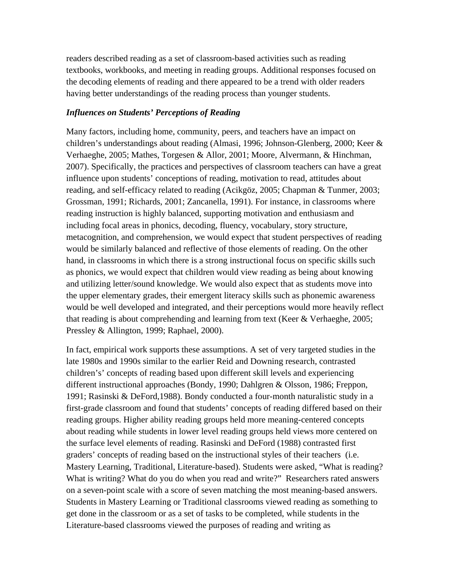readers described reading as a set of classroom-based activities such as reading textbooks, workbooks, and meeting in reading groups. Additional responses focused on the decoding elements of reading and there appeared to be a trend with older readers having better understandings of the reading process than younger students.

### *Influences on Students' Perceptions of Reading*

Many factors, including home, community, peers, and teachers have an impact on children's understandings about reading (Almasi, 1996; Johnson-Glenberg, 2000; Keer & Verhaeghe, 2005; Mathes, Torgesen & Allor, 2001; Moore, Alvermann, & Hinchman, 2007). Specifically, the practices and perspectives of classroom teachers can have a great influence upon students' conceptions of reading, motivation to read, attitudes about reading, and self-efficacy related to reading (Acikgöz, 2005; Chapman & Tunmer, 2003; Grossman, 1991; Richards, 2001; Zancanella, 1991). For instance, in classrooms where reading instruction is highly balanced, supporting motivation and enthusiasm and including focal areas in phonics, decoding, fluency, vocabulary, story structure, metacognition, and comprehension, we would expect that student perspectives of reading would be similarly balanced and reflective of those elements of reading. On the other hand, in classrooms in which there is a strong instructional focus on specific skills such as phonics, we would expect that children would view reading as being about knowing and utilizing letter/sound knowledge. We would also expect that as students move into the upper elementary grades, their emergent literacy skills such as phonemic awareness would be well developed and integrated, and their perceptions would more heavily reflect that reading is about comprehending and learning from text (Keer & Verhaeghe, 2005; Pressley & Allington, 1999; Raphael, 2000).

In fact, empirical work supports these assumptions. A set of very targeted studies in the late 1980s and 1990s similar to the earlier Reid and Downing research, contrasted children's' concepts of reading based upon different skill levels and experiencing different instructional approaches (Bondy, 1990; Dahlgren & Olsson, 1986; Freppon, 1991; Rasinski & DeFord,1988). Bondy conducted a four-month naturalistic study in a first-grade classroom and found that students' concepts of reading differed based on their reading groups. Higher ability reading groups held more meaning-centered concepts about reading while students in lower level reading groups held views more centered on the surface level elements of reading. Rasinski and DeFord (1988) contrasted first graders' concepts of reading based on the instructional styles of their teachers (i.e. Mastery Learning, Traditional, Literature-based). Students were asked, "What is reading? What is writing? What do you do when you read and write?" Researchers rated answers on a seven-point scale with a score of seven matching the most meaning-based answers. Students in Mastery Learning or Traditional classrooms viewed reading as something to get done in the classroom or as a set of tasks to be completed, while students in the Literature-based classrooms viewed the purposes of reading and writing as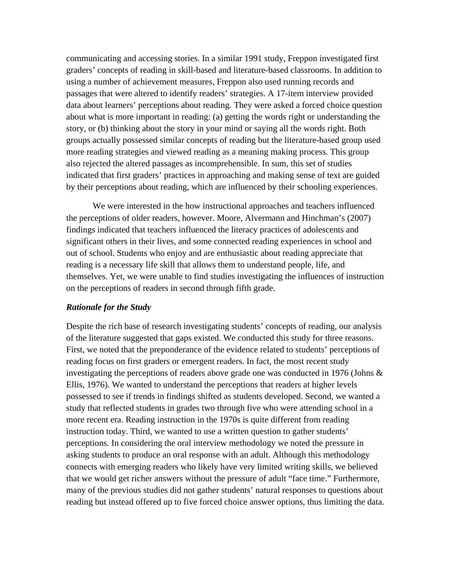communicating and accessing stories. In a similar 1991 study, Freppon investigated first graders' concepts of reading in skill-based and literature-based classrooms. In addition to using a number of achievement measures, Freppon also used running records and passages that were altered to identify readers' strategies. A 17-item interview provided data about learners' perceptions about reading. They were asked a forced choice question about what is more important in reading: (a) getting the words right or understanding the story, or (b) thinking about the story in your mind or saying all the words right. Both groups actually possessed similar concepts of reading but the literature-based group used more reading strategies and viewed reading as a meaning making process. This group also rejected the altered passages as incomprehensible. In sum, this set of studies indicated that first graders' practices in approaching and making sense of text are guided by their perceptions about reading, which are influenced by their schooling experiences.

 We were interested in the how instructional approaches and teachers influenced the perceptions of older readers, however. Moore, Alvermann and Hinchman's (2007) findings indicated that teachers influenced the literacy practices of adolescents and significant others in their lives, and some connected reading experiences in school and out of school. Students who enjoy and are enthusiastic about reading appreciate that reading is a necessary life skill that allows them to understand people, life, and themselves. Yet, we were unable to find studies investigating the influences of instruction on the perceptions of readers in second through fifth grade.

#### *Rationale for the Study*

Despite the rich base of research investigating students' concepts of reading, our analysis of the literature suggested that gaps existed. We conducted this study for three reasons. First, we noted that the preponderance of the evidence related to students' perceptions of reading focus on first graders or emergent readers. In fact, the most recent study investigating the perceptions of readers above grade one was conducted in 1976 (Johns & Ellis, 1976). We wanted to understand the perceptions that readers at higher levels possessed to see if trends in findings shifted as students developed. Second, we wanted a study that reflected students in grades two through five who were attending school in a more recent era. Reading instruction in the 1970s is quite different from reading instruction today. Third, we wanted to use a written question to gather students' perceptions. In considering the oral interview methodology we noted the pressure in asking students to produce an oral response with an adult. Although this methodology connects with emerging readers who likely have very limited writing skills, we believed that we would get richer answers without the pressure of adult "face time." Furthermore, many of the previous studies did not gather students' natural responses to questions about reading but instead offered up to five forced choice answer options, thus limiting the data.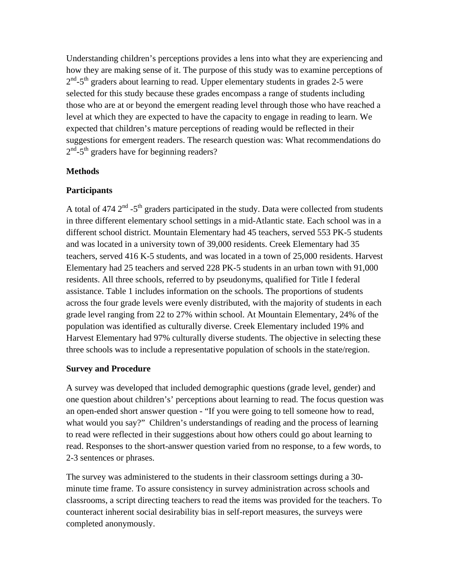Understanding children's perceptions provides a lens into what they are experiencing and how they are making sense of it. The purpose of this study was to examine perceptions of  $2<sup>nd</sup> - 5<sup>th</sup>$  graders about learning to read. Upper elementary students in grades 2-5 were selected for this study because these grades encompass a range of students including those who are at or beyond the emergent reading level through those who have reached a level at which they are expected to have the capacity to engage in reading to learn. We expected that children's mature perceptions of reading would be reflected in their suggestions for emergent readers. The research question was: What recommendations do  $2<sup>nd</sup> - 5<sup>th</sup>$  graders have for beginning readers?

## **Methods**

## **Participants**

A total of 474  $2<sup>nd</sup>$  -5<sup>th</sup> graders participated in the study. Data were collected from students in three different elementary school settings in a mid-Atlantic state. Each school was in a different school district. Mountain Elementary had 45 teachers, served 553 PK-5 students and was located in a university town of 39,000 residents. Creek Elementary had 35 teachers, served 416 K-5 students, and was located in a town of 25,000 residents. Harvest Elementary had 25 teachers and served 228 PK-5 students in an urban town with 91,000 residents. All three schools, referred to by pseudonyms, qualified for Title I federal assistance. Table 1 includes information on the schools. The proportions of students across the four grade levels were evenly distributed, with the majority of students in each grade level ranging from 22 to 27% within school. At Mountain Elementary, 24% of the population was identified as culturally diverse. Creek Elementary included 19% and Harvest Elementary had 97% culturally diverse students. The objective in selecting these three schools was to include a representative population of schools in the state/region.

### **Survey and Procedure**

A survey was developed that included demographic questions (grade level, gender) and one question about children's' perceptions about learning to read. The focus question was an open-ended short answer question - "If you were going to tell someone how to read, what would you say?" Children's understandings of reading and the process of learning to read were reflected in their suggestions about how others could go about learning to read. Responses to the short-answer question varied from no response, to a few words, to 2-3 sentences or phrases.

The survey was administered to the students in their classroom settings during a 30 minute time frame. To assure consistency in survey administration across schools and classrooms, a script directing teachers to read the items was provided for the teachers. To counteract inherent social desirability bias in self-report measures, the surveys were completed anonymously.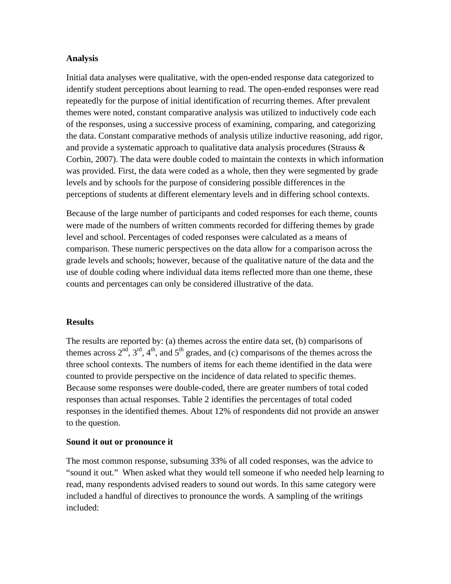### **Analysis**

Initial data analyses were qualitative, with the open-ended response data categorized to identify student perceptions about learning to read. The open-ended responses were read repeatedly for the purpose of initial identification of recurring themes. After prevalent themes were noted, constant comparative analysis was utilized to inductively code each of the responses, using a successive process of examining, comparing, and categorizing the data. Constant comparative methods of analysis utilize inductive reasoning, add rigor, and provide a systematic approach to qualitative data analysis procedures (Strauss  $\&$ Corbin, 2007). The data were double coded to maintain the contexts in which information was provided. First, the data were coded as a whole, then they were segmented by grade levels and by schools for the purpose of considering possible differences in the perceptions of students at different elementary levels and in differing school contexts.

Because of the large number of participants and coded responses for each theme, counts were made of the numbers of written comments recorded for differing themes by grade level and school. Percentages of coded responses were calculated as a means of comparison. These numeric perspectives on the data allow for a comparison across the grade levels and schools; however, because of the qualitative nature of the data and the use of double coding where individual data items reflected more than one theme, these counts and percentages can only be considered illustrative of the data.

### **Results**

The results are reported by: (a) themes across the entire data set, (b) comparisons of themes across  $2<sup>nd</sup>$ ,  $3<sup>rd</sup>$ ,  $4<sup>th</sup>$ , and  $5<sup>th</sup>$  grades, and (c) comparisons of the themes across the three school contexts. The numbers of items for each theme identified in the data were counted to provide perspective on the incidence of data related to specific themes. Because some responses were double-coded, there are greater numbers of total coded responses than actual responses. Table 2 identifies the percentages of total coded responses in the identified themes. About 12% of respondents did not provide an answer to the question.

### **Sound it out or pronounce it**

The most common response, subsuming 33% of all coded responses, was the advice to "sound it out." When asked what they would tell someone if who needed help learning to read, many respondents advised readers to sound out words. In this same category were included a handful of directives to pronounce the words. A sampling of the writings included: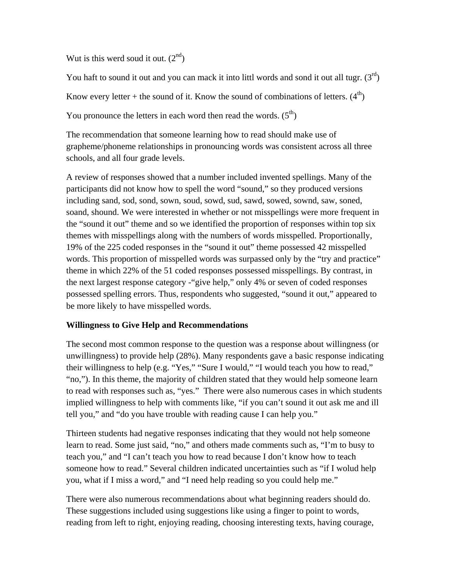Wut is this werd soud it out.  $(2<sup>nd</sup>)$ 

You haft to sound it out and you can mack it into littl words and sond it out all tugr.  $(3<sup>rd</sup>)$ 

Know every letter + the sound of it. Know the sound of combinations of letters.  $(4<sup>th</sup>)$ 

You pronounce the letters in each word then read the words.  $(5<sup>th</sup>)$ 

The recommendation that someone learning how to read should make use of grapheme/phoneme relationships in pronouncing words was consistent across all three schools, and all four grade levels.

A review of responses showed that a number included invented spellings. Many of the participants did not know how to spell the word "sound," so they produced versions including sand, sod, sond, sown, soud, sowd, sud, sawd, sowed, sownd, saw, soned, soand, shound. We were interested in whether or not misspellings were more frequent in the "sound it out" theme and so we identified the proportion of responses within top six themes with misspellings along with the numbers of words misspelled. Proportionally, 19% of the 225 coded responses in the "sound it out" theme possessed 42 misspelled words. This proportion of misspelled words was surpassed only by the "try and practice" theme in which 22% of the 51 coded responses possessed misspellings. By contrast, in the next largest response category -"give help," only 4% or seven of coded responses possessed spelling errors. Thus, respondents who suggested, "sound it out," appeared to be more likely to have misspelled words.

# **Willingness to Give Help and Recommendations**

The second most common response to the question was a response about willingness (or unwillingness) to provide help (28%). Many respondents gave a basic response indicating their willingness to help (e.g. "Yes," "Sure I would," "I would teach you how to read," "no,"). In this theme, the majority of children stated that they would help someone learn to read with responses such as, "yes." There were also numerous cases in which students implied willingness to help with comments like, "if you can't sound it out ask me and ill tell you," and "do you have trouble with reading cause I can help you."

Thirteen students had negative responses indicating that they would not help someone learn to read. Some just said, "no," and others made comments such as, "I'm to busy to teach you," and "I can't teach you how to read because I don't know how to teach someone how to read." Several children indicated uncertainties such as "if I wolud help you, what if I miss a word," and "I need help reading so you could help me."

There were also numerous recommendations about what beginning readers should do. These suggestions included using suggestions like using a finger to point to words, reading from left to right, enjoying reading, choosing interesting texts, having courage,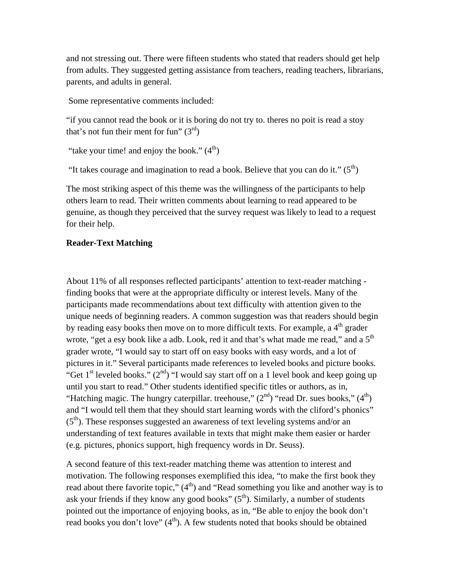and not stressing out. There were fifteen students who stated that readers should get help from adults. They suggested getting assistance from teachers, reading teachers, librarians, parents, and adults in general.

Some representative comments included:

"if you cannot read the book or it is boring do not try to. theres no poit is read a stoy that's not fun their ment for fun"  $(3<sup>rd</sup>)$ 

"take your time! and enjoy the book."  $(4<sup>th</sup>)$ 

"It takes courage and imagination to read a book. Believe that you can do it."  $(5<sup>th</sup>)$ 

The most striking aspect of this theme was the willingness of the participants to help others learn to read. Their written comments about learning to read appeared to be genuine, as though they perceived that the survey request was likely to lead to a request for their help.

### **Reader-Text Matching**

About 11% of all responses reflected participants' attention to text-reader matching finding books that were at the appropriate difficulty or interest levels. Many of the participants made recommendations about text difficulty with attention given to the unique needs of beginning readers. A common suggestion was that readers should begin by reading easy books then move on to more difficult texts. For example, a 4<sup>th</sup> grader wrote, "get a esy book like a adb. Look, red it and that's what made me read," and a  $5<sup>th</sup>$ grader wrote, "I would say to start off on easy books with easy words, and a lot of pictures in it." Several participants made references to leveled books and picture books. "Get 1<sup>st</sup> leveled books." ( $2<sup>nd</sup>$ ) "I would say start off on a 1 level book and keep going up until you start to read." Other students identified specific titles or authors, as in, "Hatching magic. The hungry caterpillar. treehouse,"  $(2<sup>nd</sup>)$  "read Dr. sues books,"  $(4<sup>th</sup>)$ and "I would tell them that they should start learning words with the cliford's phonics"  $(5<sup>th</sup>)$ . These responses suggested an awareness of text leveling systems and/or an understanding of text features available in texts that might make them easier or harder (e.g. pictures, phonics support, high frequency words in Dr. Seuss).

A second feature of this text-reader matching theme was attention to interest and motivation. The following responses exemplified this idea, "to make the first book they read about there favorite topic,"  $(4<sup>th</sup>)$  and "Read something you like and another way is to ask your friends if they know any good books"  $(5<sup>th</sup>)$ . Similarly, a number of students pointed out the importance of enjoying books, as in, "Be able to enjoy the book don't read books you don't love"  $(4<sup>th</sup>)$ . A few students noted that books should be obtained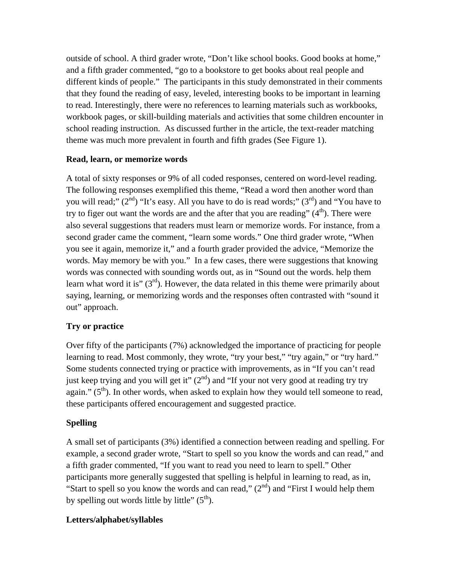outside of school. A third grader wrote, "Don't like school books. Good books at home," and a fifth grader commented, "go to a bookstore to get books about real people and different kinds of people." The participants in this study demonstrated in their comments that they found the reading of easy, leveled, interesting books to be important in learning to read. Interestingly, there were no references to learning materials such as workbooks, workbook pages, or skill-building materials and activities that some children encounter in school reading instruction. As discussed further in the article, the text-reader matching theme was much more prevalent in fourth and fifth grades (See Figure 1).

# **Read, learn, or memorize words**

A total of sixty responses or 9% of all coded responses, centered on word-level reading. The following responses exemplified this theme, "Read a word then another word than you will read;"  $(2^{nd})$  "It's easy. All you have to do is read words;"  $(3^{rd})$  and "You have to try to figer out want the words are and the after that you are reading"  $(4<sup>th</sup>)$ . There were also several suggestions that readers must learn or memorize words. For instance, from a second grader came the comment, "learn some words." One third grader wrote, "When you see it again, memorize it," and a fourth grader provided the advice, "Memorize the words. May memory be with you." In a few cases, there were suggestions that knowing words was connected with sounding words out, as in "Sound out the words. help them learn what word it is"  $(3<sup>rd</sup>)$ . However, the data related in this theme were primarily about saying, learning, or memorizing words and the responses often contrasted with "sound it out" approach.

# **Try or practice**

Over fifty of the participants (7%) acknowledged the importance of practicing for people learning to read. Most commonly, they wrote, "try your best," "try again," or "try hard." Some students connected trying or practice with improvements, as in "If you can't read just keep trying and you will get it"  $(2<sup>nd</sup>)$  and "If your not very good at reading try try again."  $(5<sup>th</sup>)$ . In other words, when asked to explain how they would tell someone to read, these participants offered encouragement and suggested practice.

# **Spelling**

A small set of participants (3%) identified a connection between reading and spelling. For example, a second grader wrote, "Start to spell so you know the words and can read," and a fifth grader commented, "If you want to read you need to learn to spell." Other participants more generally suggested that spelling is helpful in learning to read, as in, "Start to spell so you know the words and can read,"  $(2^{nd})$  and "First I would help them" by spelling out words little by little"  $(5<sup>th</sup>)$ .

# **Letters/alphabet/syllables**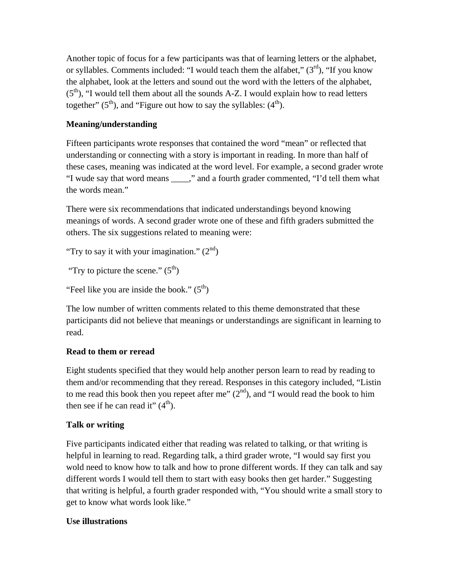Another topic of focus for a few participants was that of learning letters or the alphabet, or syllables. Comments included: "I would teach them the alfabet,"  $(3<sup>rd</sup>)$ , "If you know the alphabet, look at the letters and sound out the word with the letters of the alphabet,  $(5<sup>th</sup>)$ , "I would tell them about all the sounds A-Z. I would explain how to read letters together"  $(5<sup>th</sup>)$ , and "Figure out how to say the syllables:  $(4<sup>th</sup>)$ .

# **Meaning/understanding**

Fifteen participants wrote responses that contained the word "mean" or reflected that understanding or connecting with a story is important in reading. In more than half of these cases, meaning was indicated at the word level. For example, a second grader wrote "I wude say that word means \_\_\_\_," and a fourth grader commented, "I'd tell them what the words mean."

There were six recommendations that indicated understandings beyond knowing meanings of words. A second grader wrote one of these and fifth graders submitted the others. The six suggestions related to meaning were:

"Try to say it with your imagination."  $(2^{nd})$ 

"Try to picture the scene."  $(5^{th})$ 

"Feel like you are inside the book."  $(5<sup>th</sup>)$ 

The low number of written comments related to this theme demonstrated that these participants did not believe that meanings or understandings are significant in learning to read.

# **Read to them or reread**

Eight students specified that they would help another person learn to read by reading to them and/or recommending that they reread. Responses in this category included, "Listin to me read this book then you repeet after me"  $(2<sup>nd</sup>)$ , and "I would read the book to him then see if he can read it"  $(4<sup>th</sup>)$ .

# **Talk or writing**

Five participants indicated either that reading was related to talking, or that writing is helpful in learning to read. Regarding talk, a third grader wrote, "I would say first you wold need to know how to talk and how to prone different words. If they can talk and say different words I would tell them to start with easy books then get harder." Suggesting that writing is helpful, a fourth grader responded with, "You should write a small story to get to know what words look like."

# **Use illustrations**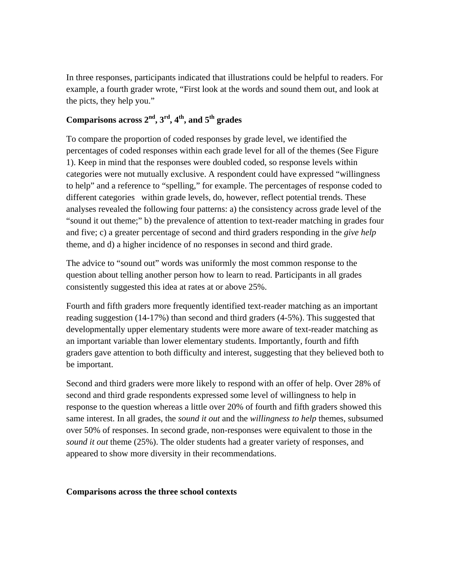In three responses, participants indicated that illustrations could be helpful to readers. For example, a fourth grader wrote, "First look at the words and sound them out, and look at the picts, they help you."

# **Comparisons across 2nd, 3rd, 4th, and 5th grades**

To compare the proportion of coded responses by grade level, we identified the percentages of coded responses within each grade level for all of the themes (See Figure 1). Keep in mind that the responses were doubled coded, so response levels within categories were not mutually exclusive. A respondent could have expressed "willingness to help" and a reference to "spelling," for example. The percentages of response coded to different categories within grade levels, do, however, reflect potential trends. These analyses revealed the following four patterns: a) the consistency across grade level of the "sound it out theme;" b) the prevalence of attention to text-reader matching in grades four and five; c) a greater percentage of second and third graders responding in the *give help*  theme, and d) a higher incidence of no responses in second and third grade.

The advice to "sound out" words was uniformly the most common response to the question about telling another person how to learn to read. Participants in all grades consistently suggested this idea at rates at or above 25%.

Fourth and fifth graders more frequently identified text-reader matching as an important reading suggestion (14-17%) than second and third graders (4-5%). This suggested that developmentally upper elementary students were more aware of text-reader matching as an important variable than lower elementary students. Importantly, fourth and fifth graders gave attention to both difficulty and interest, suggesting that they believed both to be important.

Second and third graders were more likely to respond with an offer of help. Over 28% of second and third grade respondents expressed some level of willingness to help in response to the question whereas a little over 20% of fourth and fifth graders showed this same interest. In all grades, the *sound it out* and the *willingness to help* themes, subsumed over 50% of responses. In second grade, non-responses were equivalent to those in the *sound it out* theme (25%). The older students had a greater variety of responses, and appeared to show more diversity in their recommendations.

### **Comparisons across the three school contexts**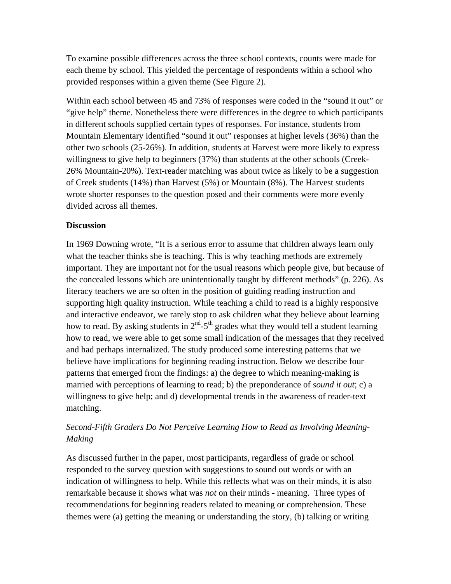To examine possible differences across the three school contexts, counts were made for each theme by school. This yielded the percentage of respondents within a school who provided responses within a given theme (See Figure 2).

Within each school between 45 and 73% of responses were coded in the "sound it out" or "give help" theme. Nonetheless there were differences in the degree to which participants in different schools supplied certain types of responses. For instance, students from Mountain Elementary identified "sound it out" responses at higher levels (36%) than the other two schools (25-26%). In addition, students at Harvest were more likely to express willingness to give help to beginners (37%) than students at the other schools (Creek-26% Mountain-20%). Text-reader matching was about twice as likely to be a suggestion of Creek students (14%) than Harvest (5%) or Mountain (8%). The Harvest students wrote shorter responses to the question posed and their comments were more evenly divided across all themes.

### **Discussion**

In 1969 Downing wrote, "It is a serious error to assume that children always learn only what the teacher thinks she is teaching. This is why teaching methods are extremely important. They are important not for the usual reasons which people give, but because of the concealed lessons which are unintentionally taught by different methods" (p. 226). As literacy teachers we are so often in the position of guiding reading instruction and supporting high quality instruction. While teaching a child to read is a highly responsive and interactive endeavor, we rarely stop to ask children what they believe about learning how to read. By asking students in  $2<sup>nd</sup> - 5<sup>th</sup>$  grades what they would tell a student learning how to read, we were able to get some small indication of the messages that they received and had perhaps internalized. The study produced some interesting patterns that we believe have implications for beginning reading instruction. Below we describe four patterns that emerged from the findings: a) the degree to which meaning-making is married with perceptions of learning to read; b) the preponderance of *sound it out*; c) a willingness to give help; and d) developmental trends in the awareness of reader-text matching.

# *Second-Fifth Graders Do Not Perceive Learning How to Read as Involving Meaning-Making*

As discussed further in the paper, most participants, regardless of grade or school responded to the survey question with suggestions to sound out words or with an indication of willingness to help. While this reflects what was on their minds, it is also remarkable because it shows what was *not* on their minds - meaning. Three types of recommendations for beginning readers related to meaning or comprehension. These themes were (a) getting the meaning or understanding the story, (b) talking or writing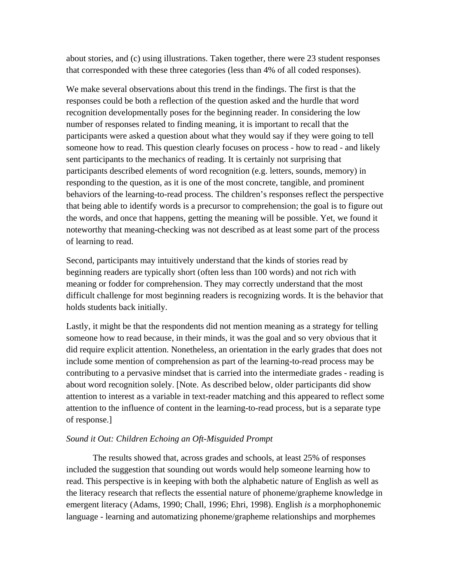about stories, and (c) using illustrations. Taken together, there were 23 student responses that corresponded with these three categories (less than 4% of all coded responses).

We make several observations about this trend in the findings. The first is that the responses could be both a reflection of the question asked and the hurdle that word recognition developmentally poses for the beginning reader. In considering the low number of responses related to finding meaning, it is important to recall that the participants were asked a question about what they would say if they were going to tell someone how to read. This question clearly focuses on process - how to read - and likely sent participants to the mechanics of reading. It is certainly not surprising that participants described elements of word recognition (e.g. letters, sounds, memory) in responding to the question, as it is one of the most concrete, tangible, and prominent behaviors of the learning-to-read process. The children's responses reflect the perspective that being able to identify words is a precursor to comprehension; the goal is to figure out the words, and once that happens, getting the meaning will be possible. Yet, we found it noteworthy that meaning-checking was not described as at least some part of the process of learning to read.

Second, participants may intuitively understand that the kinds of stories read by beginning readers are typically short (often less than 100 words) and not rich with meaning or fodder for comprehension. They may correctly understand that the most difficult challenge for most beginning readers is recognizing words. It is the behavior that holds students back initially.

Lastly, it might be that the respondents did not mention meaning as a strategy for telling someone how to read because, in their minds, it was the goal and so very obvious that it did require explicit attention. Nonetheless, an orientation in the early grades that does not include some mention of comprehension as part of the learning-to-read process may be contributing to a pervasive mindset that is carried into the intermediate grades - reading is about word recognition solely. [Note. As described below, older participants did show attention to interest as a variable in text-reader matching and this appeared to reflect some attention to the influence of content in the learning-to-read process, but is a separate type of response.]

#### *Sound it Out: Children Echoing an Oft-Misguided Prompt*

The results showed that, across grades and schools, at least 25% of responses included the suggestion that sounding out words would help someone learning how to read. This perspective is in keeping with both the alphabetic nature of English as well as the literacy research that reflects the essential nature of phoneme/grapheme knowledge in emergent literacy (Adams, 1990; Chall, 1996; Ehri, 1998). English *is* a morphophonemic language - learning and automatizing phoneme/grapheme relationships and morphemes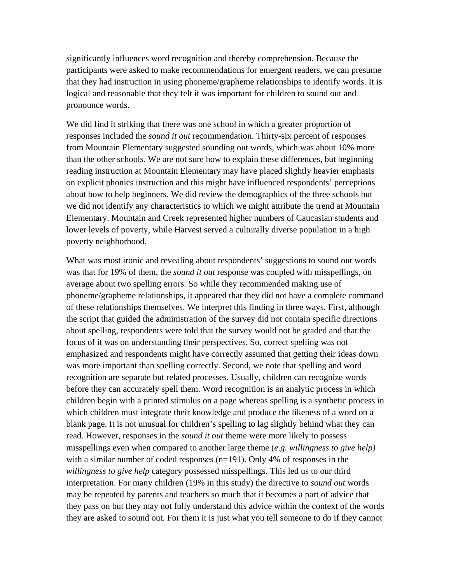significantly influences word recognition and thereby comprehension. Because the participants were asked to make recommendations for emergent readers, we can presume that they had instruction in using phoneme/grapheme relationships to identify words. It is logical and reasonable that they felt it was important for children to sound out and pronounce words.

We did find it striking that there was one school in which a greater proportion of responses included the *sound it out* recommendation. Thirty-six percent of responses from Mountain Elementary suggested sounding out words, which was about 10% more than the other schools. We are not sure how to explain these differences, but beginning reading instruction at Mountain Elementary may have placed slightly heavier emphasis on explicit phonics instruction and this might have influenced respondents' perceptions about how to help beginners. We did review the demographics of the three schools but we did not identify any characteristics to which we might attribute the trend at Mountain Elementary. Mountain and Creek represented higher numbers of Caucasian students and lower levels of poverty, while Harvest served a culturally diverse population in a high poverty neighborhood.

What was most ironic and revealing about respondents' suggestions to sound out words was that for 19% of them, the *sound it out* response was coupled with misspellings, on average about two spelling errors. So while they recommended making use of phoneme/grapheme relationships, it appeared that they did not have a complete command of these relationships themselves. We interpret this finding in three ways. First, although the script that guided the administration of the survey did not contain specific directions about spelling, respondents were told that the survey would not be graded and that the focus of it was on understanding their perspectives. So, correct spelling was not emphasized and respondents might have correctly assumed that getting their ideas down was more important than spelling correctly. Second, we note that spelling and word recognition are separate but related processes. Usually, children can recognize words before they can accurately spell them. Word recognition is an analytic process in which children begin with a printed stimulus on a page whereas spelling is a synthetic process in which children must integrate their knowledge and produce the likeness of a word on a blank page. It is not unusual for children's spelling to lag slightly behind what they can read. However, responses in the *sound it out* theme were more likely to possess misspellings even when compared to another large theme (*e.g. willingness to give help)*  with a similar number of coded responses (n=191). Only 4% of responses in the *willingness to give help* category possessed misspellings. This led us to our third interpretation. For many children (19% in this study) the directive to *sound out* words may be repeated by parents and teachers so much that it becomes a part of advice that they pass on but they may not fully understand this advice within the context of the words they are asked to sound out. For them it is just what you tell someone to do if they cannot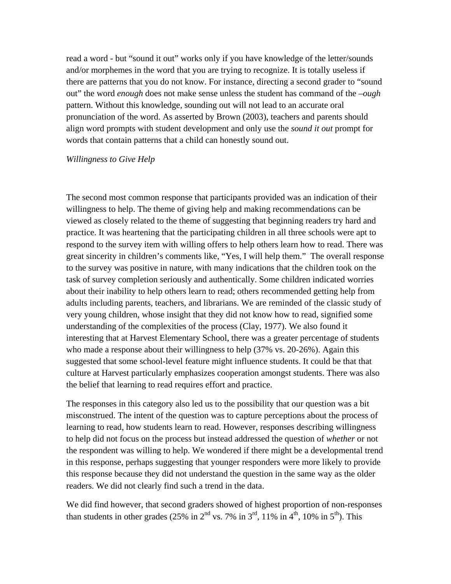read a word - but "sound it out" works only if you have knowledge of the letter/sounds and/or morphemes in the word that you are trying to recognize. It is totally useless if there are patterns that you do not know. For instance, directing a second grader to "sound out" the word *enough* does not make sense unless the student has command of the –*ough* pattern. Without this knowledge, sounding out will not lead to an accurate oral pronunciation of the word. As asserted by Brown (2003), teachers and parents should align word prompts with student development and only use the *sound it out* prompt for words that contain patterns that a child can honestly sound out.

#### *Willingness to Give Help*

The second most common response that participants provided was an indication of their willingness to help. The theme of giving help and making recommendations can be viewed as closely related to the theme of suggesting that beginning readers try hard and practice. It was heartening that the participating children in all three schools were apt to respond to the survey item with willing offers to help others learn how to read. There was great sincerity in children's comments like, "Yes, I will help them." The overall response to the survey was positive in nature, with many indications that the children took on the task of survey completion seriously and authentically. Some children indicated worries about their inability to help others learn to read; others recommended getting help from adults including parents, teachers, and librarians. We are reminded of the classic study of very young children, whose insight that they did not know how to read, signified some understanding of the complexities of the process (Clay, 1977). We also found it interesting that at Harvest Elementary School, there was a greater percentage of students who made a response about their willingness to help (37% vs. 20-26%). Again this suggested that some school-level feature might influence students. It could be that that culture at Harvest particularly emphasizes cooperation amongst students. There was also the belief that learning to read requires effort and practice.

The responses in this category also led us to the possibility that our question was a bit misconstrued. The intent of the question was to capture perceptions about the process of learning to read, how students learn to read. However, responses describing willingness to help did not focus on the process but instead addressed the question of *whether* or not the respondent was willing to help. We wondered if there might be a developmental trend in this response, perhaps suggesting that younger responders were more likely to provide this response because they did not understand the question in the same way as the older readers. We did not clearly find such a trend in the data.

We did find however, that second graders showed of highest proportion of non-responses than students in other grades (25% in  $2<sup>nd</sup>$  vs. 7% in  $3<sup>rd</sup>$ , 11% in  $4<sup>th</sup>$ , 10% in  $5<sup>th</sup>$ ). This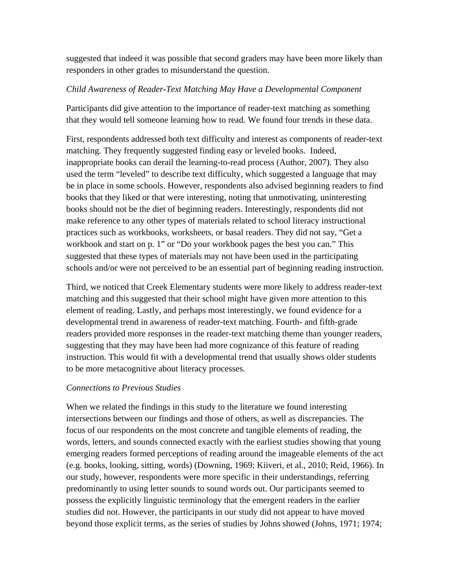suggested that indeed it was possible that second graders may have been more likely than responders in other grades to misunderstand the question.

# *Child Awareness of Reader-Text Matching May Have a Developmental Component*

Participants did give attention to the importance of reader-text matching as something that they would tell someone learning how to read. We found four trends in these data.

First, respondents addressed both text difficulty and interest as components of reader-text matching. They frequently suggested finding easy or leveled books. Indeed, inappropriate books can derail the learning-to-read process (Author, 2007). They also used the term "leveled" to describe text difficulty, which suggested a language that may be in place in some schools. However, respondents also advised beginning readers to find books that they liked or that were interesting, noting that unmotivating, uninteresting books should not be the diet of beginning readers. Interestingly, respondents did not make reference to any other types of materials related to school literacy instructional practices such as workbooks, worksheets, or basal readers. They did not say, "Get a workbook and start on p. 1" or "Do your workbook pages the best you can." This suggested that these types of materials may not have been used in the participating schools and/or were not perceived to be an essential part of beginning reading instruction.

Third, we noticed that Creek Elementary students were more likely to address reader-text matching and this suggested that their school might have given more attention to this element of reading. Lastly, and perhaps most interestingly, we found evidence for a developmental trend in awareness of reader-text matching. Fourth- and fifth-grade readers provided more responses in the reader-text matching theme than younger readers, suggesting that they may have been had more cognizance of this feature of reading instruction. This would fit with a developmental trend that usually shows older students to be more metacognitive about literacy processes.

# *Connections to Previous Studies*

When we related the findings in this study to the literature we found interesting intersections between our findings and those of others, as well as discrepancies. The focus of our respondents on the most concrete and tangible elements of reading, the words, letters, and sounds connected exactly with the earliest studies showing that young emerging readers formed perceptions of reading around the imageable elements of the act (e.g. books, looking, sitting, words) (Downing, 1969; Kiiveri, et al., 2010; Reid, 1966). In our study, however, respondents were more specific in their understandings, referring predominantly to using letter sounds to sound words out. Our participants seemed to possess the explicitly linguistic terminology that the emergent readers in the earlier studies did not. However, the participants in our study did not appear to have moved beyond those explicit terms, as the series of studies by Johns showed (Johns, 1971; 1974;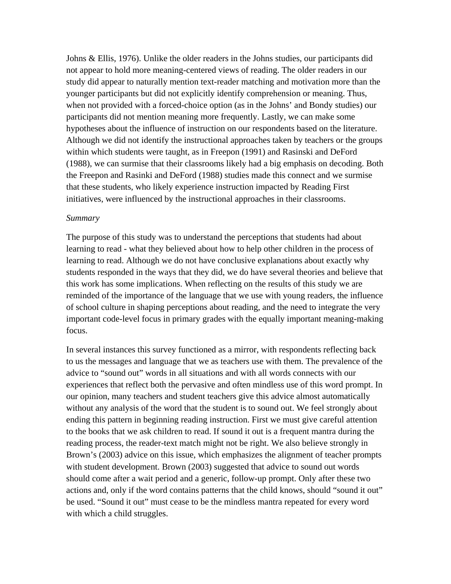Johns & Ellis, 1976). Unlike the older readers in the Johns studies, our participants did not appear to hold more meaning-centered views of reading. The older readers in our study did appear to naturally mention text-reader matching and motivation more than the younger participants but did not explicitly identify comprehension or meaning. Thus, when not provided with a forced-choice option (as in the Johns' and Bondy studies) our participants did not mention meaning more frequently. Lastly, we can make some hypotheses about the influence of instruction on our respondents based on the literature. Although we did not identify the instructional approaches taken by teachers or the groups within which students were taught, as in Freepon (1991) and Rasinski and DeFord (1988), we can surmise that their classrooms likely had a big emphasis on decoding. Both the Freepon and Rasinki and DeFord (1988) studies made this connect and we surmise that these students, who likely experience instruction impacted by Reading First initiatives, were influenced by the instructional approaches in their classrooms.

#### *Summary*

The purpose of this study was to understand the perceptions that students had about learning to read - what they believed about how to help other children in the process of learning to read. Although we do not have conclusive explanations about exactly why students responded in the ways that they did, we do have several theories and believe that this work has some implications. When reflecting on the results of this study we are reminded of the importance of the language that we use with young readers, the influence of school culture in shaping perceptions about reading, and the need to integrate the very important code-level focus in primary grades with the equally important meaning-making focus.

In several instances this survey functioned as a mirror, with respondents reflecting back to us the messages and language that we as teachers use with them. The prevalence of the advice to "sound out" words in all situations and with all words connects with our experiences that reflect both the pervasive and often mindless use of this word prompt. In our opinion, many teachers and student teachers give this advice almost automatically without any analysis of the word that the student is to sound out. We feel strongly about ending this pattern in beginning reading instruction. First we must give careful attention to the books that we ask children to read. If sound it out is a frequent mantra during the reading process, the reader-text match might not be right. We also believe strongly in Brown's (2003) advice on this issue, which emphasizes the alignment of teacher prompts with student development. Brown (2003) suggested that advice to sound out words should come after a wait period and a generic, follow-up prompt. Only after these two actions and, only if the word contains patterns that the child knows, should "sound it out" be used. "Sound it out" must cease to be the mindless mantra repeated for every word with which a child struggles.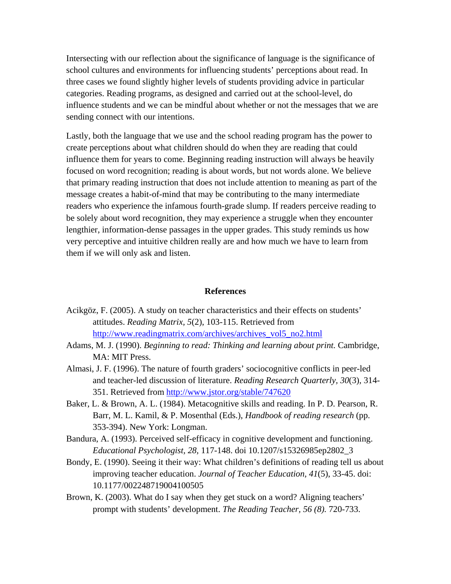Intersecting with our reflection about the significance of language is the significance of school cultures and environments for influencing students' perceptions about read. In three cases we found slightly higher levels of students providing advice in particular categories. Reading programs, as designed and carried out at the school-level, do influence students and we can be mindful about whether or not the messages that we are sending connect with our intentions.

Lastly, both the language that we use and the school reading program has the power to create perceptions about what children should do when they are reading that could influence them for years to come. Beginning reading instruction will always be heavily focused on word recognition; reading is about words, but not words alone. We believe that primary reading instruction that does not include attention to meaning as part of the message creates a habit-of-mind that may be contributing to the many intermediate readers who experience the infamous fourth-grade slump. If readers perceive reading to be solely about word recognition, they may experience a struggle when they encounter lengthier, information-dense passages in the upper grades. This study reminds us how very perceptive and intuitive children really are and how much we have to learn from them if we will only ask and listen.

#### **References**

- Acikgöz, F. (2005). A study on teacher characteristics and their effects on students' attitudes. *Reading Matrix, 5*(2), 103-115. Retrieved from http://www.readingmatrix.com/archives/archives\_vol5\_no2.html
- Adams, M. J. (1990). *Beginning to read: Thinking and learning about print.* Cambridge, MA: MIT Press.
- Almasi, J. F. (1996). The nature of fourth graders' sociocognitive conflicts in peer-led and teacher-led discussion of literature. *Reading Research Quarterly, 30*(3)*,* 314- 351. Retrieved from http://www.jstor.org/stable/747620
- Baker, L. & Brown, A. L. (1984). Metacognitive skills and reading. In P. D. Pearson, R. Barr, M. L. Kamil, & P. Mosenthal (Eds.), *Handbook of reading research* (pp. 353-394). New York: Longman.
- Bandura, A. (1993). Perceived self-efficacy in cognitive development and functioning. *Educational Psychologist, 28,* 117-148. doi 10.1207/s15326985ep2802\_3
- Bondy, E. (1990). Seeing it their way: What children's definitions of reading tell us about improving teacher education. *Journal of Teacher Education, 41*(5), 33-45. doi: 10.1177/002248719004100505
- Brown, K. (2003). What do I say when they get stuck on a word? Aligning teachers' prompt with students' development. *The Reading Teacher, 56 (8).* 720-733.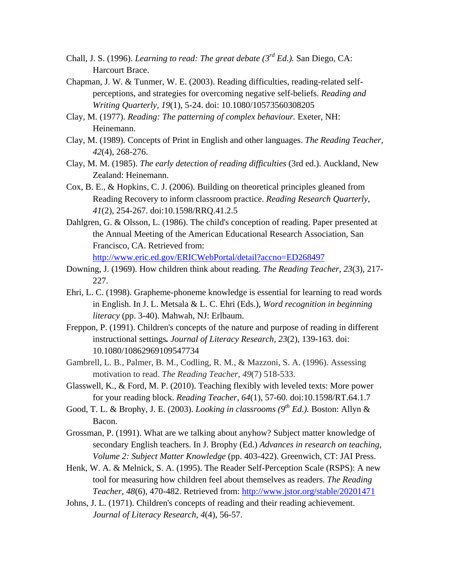- Chall, J. S. (1996). *Learning to read: The great debate (3rd Ed.).* San Diego, CA: Harcourt Brace.
- Chapman, J. W. & Tunmer, W. E. (2003). Reading difficulties, reading-related selfperceptions, and strategies for overcoming negative self-beliefs. *Reading and Writing Quarterly, 19*(1), 5-24. doi: 10.1080/10573560308205
- Clay, M. (1977). *Reading: The patterning of complex behaviour.* Exeter, NH: Heinemann.
- Clay, M. (1989). Concepts of Print in English and other languages. *The Reading Teacher, 42*(4), 268-276.
- Clay, M. M. (1985). *The early detection of reading difficulties* (3rd ed.). Auckland, New Zealand: Heinemann.
- Cox, B. E., & Hopkins, C. J. (2006). Building on theoretical principles gleaned from Reading Recovery to inform classroom practice. *Reading Research Quarterly*, *41*(2), 254-267. doi:10.1598/RRQ.41.2.5
- Dahlgren, G. & Olsson, L. (1986). The child's conception of reading. Paper presented at the Annual Meeting of the American Educational Research Association, San Francisco, CA. Retrieved from: http://www.eric.ed.gov/ERICWebPortal/detail?accno=ED268497
- Downing, J. (1969). How children think about reading. *The Reading Teacher, 23*(3), 217- 227.
- Ehri, L. C. (1998). Grapheme-phoneme knowledge is essential for learning to read words in English. In J. L. Metsala & L. C. Ehri (Eds.), *Word recognition in beginning literacy* (pp. 3-40). Mahwah, NJ: Erlbaum.
- Freppon, P. (1991). Children's concepts of the nature and purpose of reading in different instructional settings*. Journal of Literacy Research, 23*(2), 139-163. doi: 10.1080/10862969109547734
- Gambrell, L. B., Palmer, B. M., Codling, R. M., & Mazzoni, S. A. (1996). Assessing motivation to read. *The Reading Teacher*, *49*(7) 518-533.
- Glasswell, K., & Ford, M. P. (2010). Teaching flexibly with leveled texts: More power for your reading block. *Reading Teacher*, *64*(1), 57-60. doi:10.1598/RT.64.1.7
- Good, T. L. & Brophy, J. E. (2003). *Looking in classrooms (9th Ed.).* Boston: Allyn & Bacon.
- Grossman, P. (1991). What are we talking about anyhow? Subject matter knowledge of secondary English teachers. In J. Brophy (Ed.) *Advances in research on teaching, Volume 2: Subject Matter Knowledge* (pp. 403-422). Greenwich, CT: JAI Press.
- Henk, W. A. & Melnick, S. A. (1995). The Reader Self-Perception Scale (RSPS): A new tool for measuring how children feel about themselves as readers. *The Reading Teacher, 48*(6), 470-482. Retrieved from: http://www.jstor.org/stable/20201471
- Johns, J. L. (1971). Children's concepts of reading and their reading achievement. *Journal of Literacy Research, 4*(4), 56-57.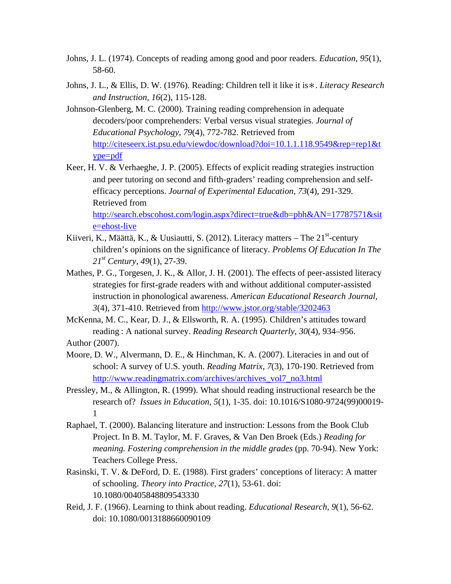- Johns, J. L. (1974). Concepts of reading among good and poor readers. *Education, 95*(1), 58-60.
- Johns, J. L., & Ellis, D. W. (1976). Reading: Children tell it like it is∗. *Literacy Research and Instruction, 16*(2), 115-128.
- Johnson-Glenberg, M. C. (2000). Training reading comprehension in adequate decoders/poor comprehenders: Verbal versus visual strategies. *Journal of Educational Psychology, 79*(4), 772-782. Retrieved from http://citeseerx.ist.psu.edu/viewdoc/download?doi=10.1.1.118.9549&rep=rep1&t ype=pdf
- Keer, H. V. & Verhaeghe, J. P. (2005). Effects of explicit reading strategies instruction and peer tutoring on second and fifth-graders' reading comprehension and selfefficacy perceptions. *Journal of Experimental Education, 73*(4), 291-329. Retrieved from

http://search.ebscohost.com/login.aspx?direct=true&db=pbh&AN=17787571&sit e=ehost-live

- Kiiveri, K., Määttä, K., & Uusiautti, S. (2012). Literacy matters The  $21<sup>st</sup>$ -century children's opinions on the significance of literacy. *Problems Of Education In The 21st Century, 49*(1), 27-39.
- Mathes, P. G., Torgesen, J. K., & Allor, J. H. (2001). The effects of peer-assisted literacy strategies for first-grade readers with and without additional computer-assisted instruction in phonological awareness. *American Educational Research Journal, 3*(4), 371-410. Retrieved from http://www.jstor.org/stable/3202463
- McKenna, M. C., Kear, D. J., & Ellsworth, R. A. (1995). Children's attitudes toward reading : A national survey. *Reading Research Quarterly*, *30*(4), 934–956. Author (2007).
- Moore, D. W., Alvermann, D. E., & Hinchman, K. A. (2007). Literacies in and out of school: A survey of U.S. youth. *Reading Matrix, 7*(3), 170-190. Retrieved from http://www.readingmatrix.com/archives/archives\_vol7\_no3.html
- Pressley, M., & Allington, R. (1999). What should reading instructional research be the research of? *Issues in Education, 5*(1), 1-35. doi: 10.1016/S1080-9724(99)00019- 1
- Raphael, T. (2000). Balancing literature and instruction: Lessons from the Book Club Project. In B. M. Taylor, M. F. Graves, & Van Den Broek (Eds.) *Reading for meaning. Fostering comprehension in the middle grades (pp. 70-94). New York:* Teachers College Press.
- Rasinski, T. V. & DeFord, D. E. (1988). First graders' conceptions of literacy: A matter of schooling. *Theory into Practice, 27*(1), 53-61. doi: 10.1080/00405848809543330
- Reid, J. F. (1966). Learning to think about reading. *Educational Research, 9*(1), 56-62. doi: 10.1080/0013188660090109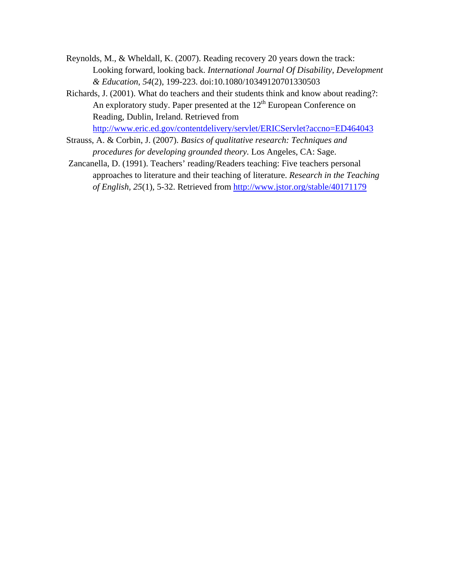- Reynolds, M., & Wheldall, K. (2007). Reading recovery 20 years down the track: Looking forward, looking back. *International Journal Of Disability, Development & Education*, *54*(2), 199-223. doi:10.1080/10349120701330503
- Richards, J. (2001). What do teachers and their students think and know about reading?: An exploratory study. Paper presented at the  $12<sup>th</sup>$  European Conference on Reading, Dublin, Ireland. Retrieved from

http://www.eric.ed.gov/contentdelivery/servlet/ERICServlet?accno=ED464043

- Strauss, A. & Corbin, J. (2007). *Basics of qualitative research: Techniques and procedures for developing grounded theory.* Los Angeles, CA: Sage.
- Zancanella, D. (1991). Teachers' reading/Readers teaching: Five teachers personal approaches to literature and their teaching of literature. *Research in the Teaching of English, 25*(1)*,* 5-32. Retrieved from http://www.jstor.org/stable/40171179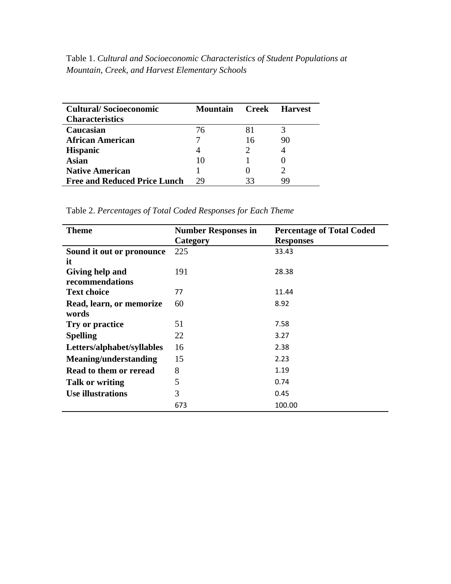Table 1. *Cultural and Socioeconomic Characteristics of Student Populations at Mountain, Creek, and Harvest Elementary Schools*

| <b>Cultural/Socioeconomic</b><br><b>Characteristics</b> | Mountain |    | <b>Creek Harvest</b> |
|---------------------------------------------------------|----------|----|----------------------|
| Caucasian                                               | 76       | 81 |                      |
| <b>African American</b>                                 |          | 16 | 90                   |
| <b>Hispanic</b>                                         |          |    |                      |
| Asian                                                   | 10       |    |                      |
| <b>Native American</b>                                  |          |    |                      |
| <b>Free and Reduced Price Lunch</b>                     | 29       | 33 | 99                   |

Table 2. *Percentages of Total Coded Responses for Each Theme*

| <b>Theme</b>                 | <b>Number Responses in</b> | <b>Percentage of Total Coded</b> |
|------------------------------|----------------------------|----------------------------------|
|                              | Category                   | <b>Responses</b>                 |
| Sound it out or pronounce    | 225                        | 33.43                            |
| it                           |                            |                                  |
| Giving help and              | 191                        | 28.38                            |
| recommendations              |                            |                                  |
| <b>Text choice</b>           | 77                         | 11.44                            |
| Read, learn, or memorize     | 60                         | 8.92                             |
| words                        |                            |                                  |
| Try or practice              | 51                         | 7.58                             |
| <b>Spelling</b>              | 22                         | 3.27                             |
| Letters/alphabet/syllables   | 16                         | 2.38                             |
| <b>Meaning/understanding</b> | 15                         | 2.23                             |
| Read to them or reread       | 8                          | 1.19                             |
| Talk or writing              | 5                          | 0.74                             |
| Use illustrations            | 3                          | 0.45                             |
|                              | 673                        | 100.00                           |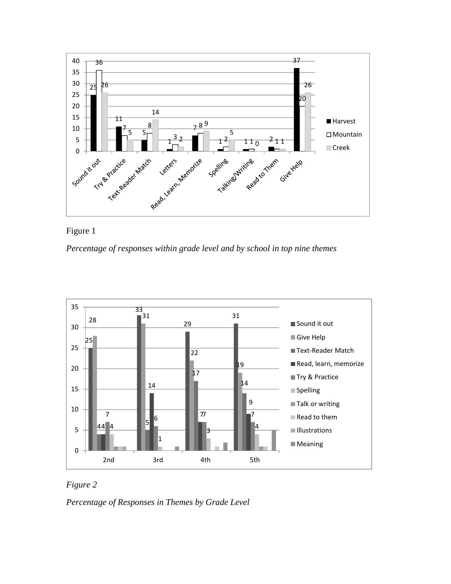



*Percentage of responses within grade level and by school in top nine themes* 





*Percentage of Responses in Themes by Grade Level*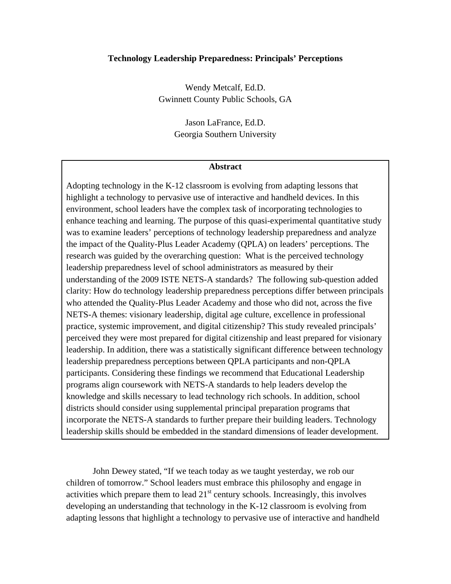#### **Technology Leadership Preparedness: Principals' Perceptions**

Wendy Metcalf, Ed.D. Gwinnett County Public Schools, GA

> Jason LaFrance, Ed.D. Georgia Southern University

#### **Abstract**

Adopting technology in the K-12 classroom is evolving from adapting lessons that highlight a technology to pervasive use of interactive and handheld devices. In this environment, school leaders have the complex task of incorporating technologies to enhance teaching and learning. The purpose of this quasi-experimental quantitative study was to examine leaders' perceptions of technology leadership preparedness and analyze the impact of the Quality-Plus Leader Academy (QPLA) on leaders' perceptions. The research was guided by the overarching question: What is the perceived technology leadership preparedness level of school administrators as measured by their understanding of the 2009 ISTE NETS-A standards? The following sub-question added clarity: How do technology leadership preparedness perceptions differ between principals who attended the Quality-Plus Leader Academy and those who did not, across the five NETS-A themes: visionary leadership, digital age culture, excellence in professional practice, systemic improvement, and digital citizenship? This study revealed principals' perceived they were most prepared for digital citizenship and least prepared for visionary leadership. In addition, there was a statistically significant difference between technology leadership preparedness perceptions between QPLA participants and non-QPLA participants. Considering these findings we recommend that Educational Leadership programs align coursework with NETS-A standards to help leaders develop the knowledge and skills necessary to lead technology rich schools. In addition, school districts should consider using supplemental principal preparation programs that incorporate the NETS-A standards to further prepare their building leaders. Technology leadership skills should be embedded in the standard dimensions of leader development.

John Dewey stated, "If we teach today as we taught yesterday, we rob our children of tomorrow." School leaders must embrace this philosophy and engage in activities which prepare them to lead  $21<sup>st</sup>$  century schools. Increasingly, this involves developing an understanding that technology in the K-12 classroom is evolving from adapting lessons that highlight a technology to pervasive use of interactive and handheld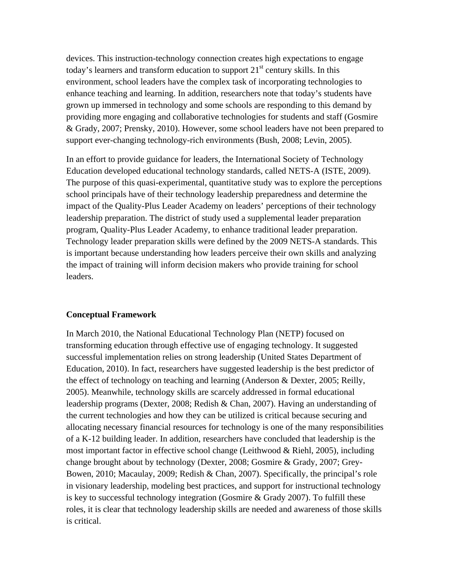devices. This instruction-technology connection creates high expectations to engage today's learners and transform education to support  $21<sup>st</sup>$  century skills. In this environment, school leaders have the complex task of incorporating technologies to enhance teaching and learning. In addition, researchers note that today's students have grown up immersed in technology and some schools are responding to this demand by providing more engaging and collaborative technologies for students and staff (Gosmire & Grady, 2007; Prensky, 2010). However, some school leaders have not been prepared to support ever-changing technology-rich environments (Bush, 2008; Levin, 2005).

In an effort to provide guidance for leaders, the International Society of Technology Education developed educational technology standards, called NETS-A (ISTE, 2009). The purpose of this quasi-experimental, quantitative study was to explore the perceptions school principals have of their technology leadership preparedness and determine the impact of the Quality-Plus Leader Academy on leaders' perceptions of their technology leadership preparation. The district of study used a supplemental leader preparation program, Quality-Plus Leader Academy, to enhance traditional leader preparation. Technology leader preparation skills were defined by the 2009 NETS-A standards. This is important because understanding how leaders perceive their own skills and analyzing the impact of training will inform decision makers who provide training for school leaders.

### **Conceptual Framework**

In March 2010, the National Educational Technology Plan (NETP) focused on transforming education through effective use of engaging technology. It suggested successful implementation relies on strong leadership (United States Department of Education, 2010). In fact, researchers have suggested leadership is the best predictor of the effect of technology on teaching and learning (Anderson & Dexter, 2005; Reilly, 2005). Meanwhile, technology skills are scarcely addressed in formal educational leadership programs (Dexter, 2008; Redish & Chan, 2007). Having an understanding of the current technologies and how they can be utilized is critical because securing and allocating necessary financial resources for technology is one of the many responsibilities of a K-12 building leader. In addition, researchers have concluded that leadership is the most important factor in effective school change (Leithwood & Riehl, 2005), including change brought about by technology (Dexter, 2008; Gosmire & Grady, 2007; Grey-Bowen, 2010; Macaulay, 2009; Redish & Chan, 2007). Specifically, the principal's role in visionary leadership, modeling best practices, and support for instructional technology is key to successful technology integration (Gosmire & Grady 2007). To fulfill these roles, it is clear that technology leadership skills are needed and awareness of those skills is critical.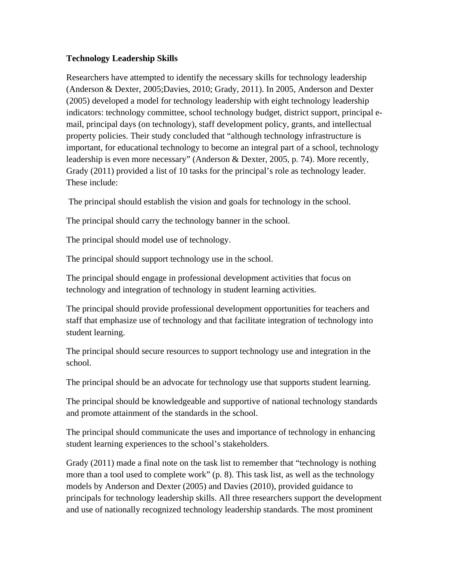# **Technology Leadership Skills**

Researchers have attempted to identify the necessary skills for technology leadership (Anderson & Dexter, 2005;Davies, 2010; Grady, 2011). In 2005, Anderson and Dexter (2005) developed a model for technology leadership with eight technology leadership indicators: technology committee, school technology budget, district support, principal email, principal days (on technology), staff development policy, grants, and intellectual property policies. Their study concluded that "although technology infrastructure is important, for educational technology to become an integral part of a school, technology leadership is even more necessary" (Anderson & Dexter, 2005, p. 74). More recently, Grady (2011) provided a list of 10 tasks for the principal's role as technology leader. These include:

The principal should establish the vision and goals for technology in the school.

The principal should carry the technology banner in the school.

The principal should model use of technology.

The principal should support technology use in the school.

The principal should engage in professional development activities that focus on technology and integration of technology in student learning activities.

The principal should provide professional development opportunities for teachers and staff that emphasize use of technology and that facilitate integration of technology into student learning.

The principal should secure resources to support technology use and integration in the school.

The principal should be an advocate for technology use that supports student learning.

The principal should be knowledgeable and supportive of national technology standards and promote attainment of the standards in the school.

The principal should communicate the uses and importance of technology in enhancing student learning experiences to the school's stakeholders.

Grady (2011) made a final note on the task list to remember that "technology is nothing more than a tool used to complete work" (p. 8). This task list, as well as the technology models by Anderson and Dexter (2005) and Davies (2010), provided guidance to principals for technology leadership skills. All three researchers support the development and use of nationally recognized technology leadership standards. The most prominent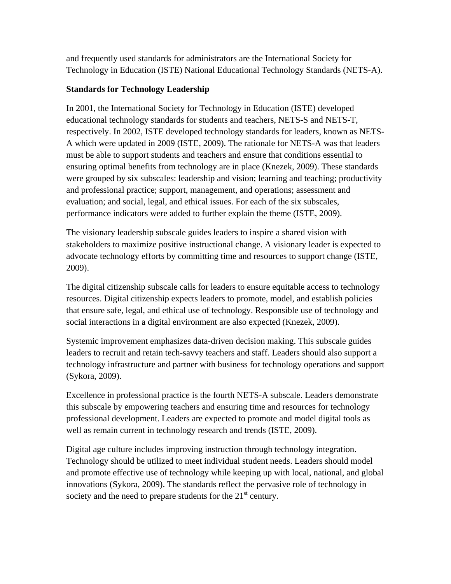and frequently used standards for administrators are the International Society for Technology in Education (ISTE) National Educational Technology Standards (NETS-A).

# **Standards for Technology Leadership**

In 2001, the International Society for Technology in Education (ISTE) developed educational technology standards for students and teachers, NETS-S and NETS-T, respectively. In 2002, ISTE developed technology standards for leaders, known as NETS-A which were updated in 2009 (ISTE, 2009). The rationale for NETS-A was that leaders must be able to support students and teachers and ensure that conditions essential to ensuring optimal benefits from technology are in place (Knezek, 2009). These standards were grouped by six subscales: leadership and vision; learning and teaching; productivity and professional practice; support, management, and operations; assessment and evaluation; and social, legal, and ethical issues. For each of the six subscales, performance indicators were added to further explain the theme (ISTE, 2009).

The visionary leadership subscale guides leaders to inspire a shared vision with stakeholders to maximize positive instructional change. A visionary leader is expected to advocate technology efforts by committing time and resources to support change (ISTE, 2009).

The digital citizenship subscale calls for leaders to ensure equitable access to technology resources. Digital citizenship expects leaders to promote, model, and establish policies that ensure safe, legal, and ethical use of technology. Responsible use of technology and social interactions in a digital environment are also expected (Knezek, 2009).

Systemic improvement emphasizes data-driven decision making. This subscale guides leaders to recruit and retain tech-savvy teachers and staff. Leaders should also support a technology infrastructure and partner with business for technology operations and support (Sykora, 2009).

Excellence in professional practice is the fourth NETS-A subscale. Leaders demonstrate this subscale by empowering teachers and ensuring time and resources for technology professional development. Leaders are expected to promote and model digital tools as well as remain current in technology research and trends (ISTE, 2009).

Digital age culture includes improving instruction through technology integration. Technology should be utilized to meet individual student needs. Leaders should model and promote effective use of technology while keeping up with local, national, and global innovations (Sykora, 2009). The standards reflect the pervasive role of technology in society and the need to prepare students for the  $21<sup>st</sup>$  century.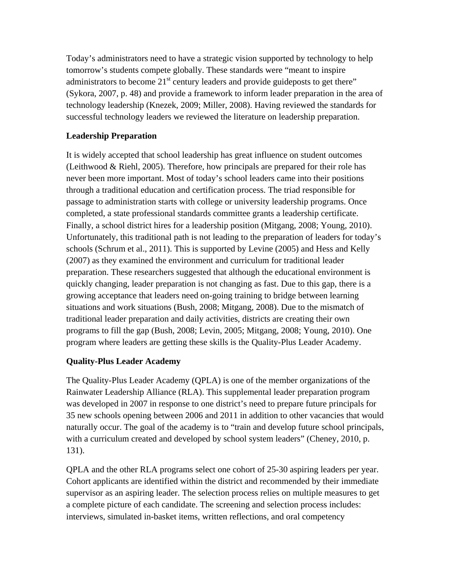Today's administrators need to have a strategic vision supported by technology to help tomorrow's students compete globally. These standards were "meant to inspire administrators to become  $21<sup>st</sup>$  century leaders and provide guideposts to get there" (Sykora, 2007, p. 48) and provide a framework to inform leader preparation in the area of technology leadership (Knezek, 2009; Miller, 2008). Having reviewed the standards for successful technology leaders we reviewed the literature on leadership preparation.

# **Leadership Preparation**

It is widely accepted that school leadership has great influence on student outcomes (Leithwood & Riehl, 2005). Therefore, how principals are prepared for their role has never been more important. Most of today's school leaders came into their positions through a traditional education and certification process. The triad responsible for passage to administration starts with college or university leadership programs. Once completed, a state professional standards committee grants a leadership certificate. Finally, a school district hires for a leadership position (Mitgang, 2008; Young, 2010). Unfortunately, this traditional path is not leading to the preparation of leaders for today's schools (Schrum et al., 2011). This is supported by Levine (2005) and Hess and Kelly (2007) as they examined the environment and curriculum for traditional leader preparation. These researchers suggested that although the educational environment is quickly changing, leader preparation is not changing as fast. Due to this gap, there is a growing acceptance that leaders need on-going training to bridge between learning situations and work situations (Bush, 2008; Mitgang, 2008). Due to the mismatch of traditional leader preparation and daily activities, districts are creating their own programs to fill the gap (Bush, 2008; Levin, 2005; Mitgang, 2008; Young, 2010). One program where leaders are getting these skills is the Quality-Plus Leader Academy.

# **Quality-Plus Leader Academy**

The Quality-Plus Leader Academy (QPLA) is one of the member organizations of the Rainwater Leadership Alliance (RLA). This supplemental leader preparation program was developed in 2007 in response to one district's need to prepare future principals for 35 new schools opening between 2006 and 2011 in addition to other vacancies that would naturally occur. The goal of the academy is to "train and develop future school principals, with a curriculum created and developed by school system leaders" (Cheney, 2010, p. 131).

QPLA and the other RLA programs select one cohort of 25-30 aspiring leaders per year. Cohort applicants are identified within the district and recommended by their immediate supervisor as an aspiring leader. The selection process relies on multiple measures to get a complete picture of each candidate. The screening and selection process includes: interviews, simulated in-basket items, written reflections, and oral competency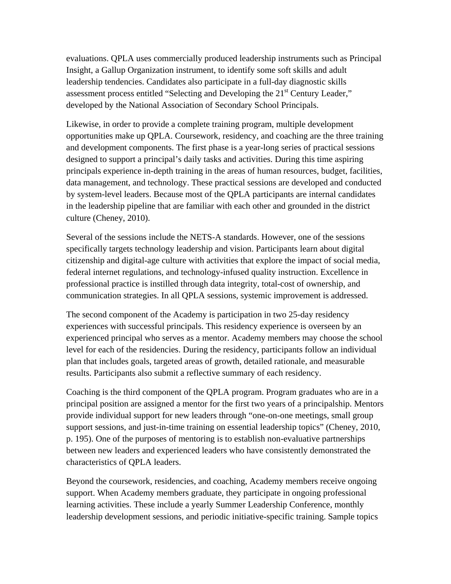evaluations. QPLA uses commercially produced leadership instruments such as Principal Insight, a Gallup Organization instrument, to identify some soft skills and adult leadership tendencies. Candidates also participate in a full-day diagnostic skills assessment process entitled "Selecting and Developing the 21<sup>st</sup> Century Leader," developed by the National Association of Secondary School Principals.

Likewise, in order to provide a complete training program, multiple development opportunities make up QPLA. Coursework, residency, and coaching are the three training and development components. The first phase is a year-long series of practical sessions designed to support a principal's daily tasks and activities. During this time aspiring principals experience in-depth training in the areas of human resources, budget, facilities, data management, and technology. These practical sessions are developed and conducted by system-level leaders. Because most of the QPLA participants are internal candidates in the leadership pipeline that are familiar with each other and grounded in the district culture (Cheney, 2010).

Several of the sessions include the NETS-A standards. However, one of the sessions specifically targets technology leadership and vision. Participants learn about digital citizenship and digital-age culture with activities that explore the impact of social media, federal internet regulations, and technology-infused quality instruction. Excellence in professional practice is instilled through data integrity, total-cost of ownership, and communication strategies. In all QPLA sessions, systemic improvement is addressed.

The second component of the Academy is participation in two 25-day residency experiences with successful principals. This residency experience is overseen by an experienced principal who serves as a mentor. Academy members may choose the school level for each of the residencies. During the residency, participants follow an individual plan that includes goals, targeted areas of growth, detailed rationale, and measurable results. Participants also submit a reflective summary of each residency.

Coaching is the third component of the QPLA program. Program graduates who are in a principal position are assigned a mentor for the first two years of a principalship. Mentors provide individual support for new leaders through "one-on-one meetings, small group support sessions, and just-in-time training on essential leadership topics" (Cheney, 2010, p. 195). One of the purposes of mentoring is to establish non-evaluative partnerships between new leaders and experienced leaders who have consistently demonstrated the characteristics of QPLA leaders.

Beyond the coursework, residencies, and coaching, Academy members receive ongoing support. When Academy members graduate, they participate in ongoing professional learning activities. These include a yearly Summer Leadership Conference, monthly leadership development sessions, and periodic initiative-specific training. Sample topics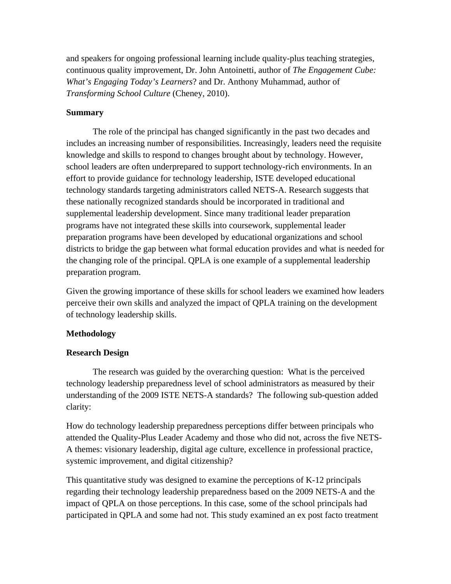and speakers for ongoing professional learning include quality-plus teaching strategies, continuous quality improvement, Dr. John Antoinetti, author of *The Engagement Cube: What's Engaging Today's Learners*? and Dr. Anthony Muhammad, author of *Transforming School Culture* (Cheney, 2010).

### **Summary**

 The role of the principal has changed significantly in the past two decades and includes an increasing number of responsibilities. Increasingly, leaders need the requisite knowledge and skills to respond to changes brought about by technology. However, school leaders are often underprepared to support technology-rich environments. In an effort to provide guidance for technology leadership, ISTE developed educational technology standards targeting administrators called NETS-A. Research suggests that these nationally recognized standards should be incorporated in traditional and supplemental leadership development. Since many traditional leader preparation programs have not integrated these skills into coursework, supplemental leader preparation programs have been developed by educational organizations and school districts to bridge the gap between what formal education provides and what is needed for the changing role of the principal. QPLA is one example of a supplemental leadership preparation program.

Given the growing importance of these skills for school leaders we examined how leaders perceive their own skills and analyzed the impact of QPLA training on the development of technology leadership skills.

# **Methodology**

# **Research Design**

 The research was guided by the overarching question: What is the perceived technology leadership preparedness level of school administrators as measured by their understanding of the 2009 ISTE NETS-A standards? The following sub-question added clarity:

How do technology leadership preparedness perceptions differ between principals who attended the Quality-Plus Leader Academy and those who did not, across the five NETS-A themes: visionary leadership, digital age culture, excellence in professional practice, systemic improvement, and digital citizenship?

This quantitative study was designed to examine the perceptions of K-12 principals regarding their technology leadership preparedness based on the 2009 NETS-A and the impact of QPLA on those perceptions. In this case, some of the school principals had participated in QPLA and some had not. This study examined an ex post facto treatment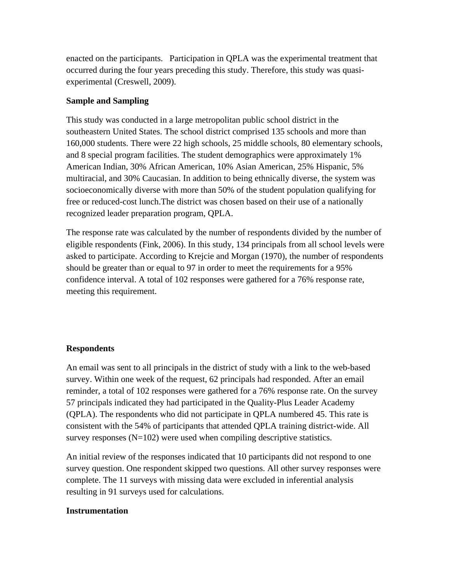enacted on the participants. Participation in QPLA was the experimental treatment that occurred during the four years preceding this study. Therefore, this study was quasiexperimental (Creswell, 2009).

### **Sample and Sampling**

This study was conducted in a large metropolitan public school district in the southeastern United States. The school district comprised 135 schools and more than 160,000 students. There were 22 high schools, 25 middle schools, 80 elementary schools, and 8 special program facilities. The student demographics were approximately 1% American Indian, 30% African American, 10% Asian American, 25% Hispanic, 5% multiracial, and 30% Caucasian. In addition to being ethnically diverse, the system was socioeconomically diverse with more than 50% of the student population qualifying for free or reduced-cost lunch.The district was chosen based on their use of a nationally recognized leader preparation program, QPLA.

The response rate was calculated by the number of respondents divided by the number of eligible respondents (Fink, 2006). In this study, 134 principals from all school levels were asked to participate. According to Krejcie and Morgan (1970), the number of respondents should be greater than or equal to 97 in order to meet the requirements for a 95% confidence interval. A total of 102 responses were gathered for a 76% response rate, meeting this requirement.

#### **Respondents**

An email was sent to all principals in the district of study with a link to the web-based survey. Within one week of the request, 62 principals had responded. After an email reminder, a total of 102 responses were gathered for a 76% response rate. On the survey 57 principals indicated they had participated in the Quality-Plus Leader Academy (QPLA). The respondents who did not participate in QPLA numbered 45. This rate is consistent with the 54% of participants that attended QPLA training district-wide. All survey responses (N=102) were used when compiling descriptive statistics.

An initial review of the responses indicated that 10 participants did not respond to one survey question. One respondent skipped two questions. All other survey responses were complete. The 11 surveys with missing data were excluded in inferential analysis resulting in 91 surveys used for calculations.

### **Instrumentation**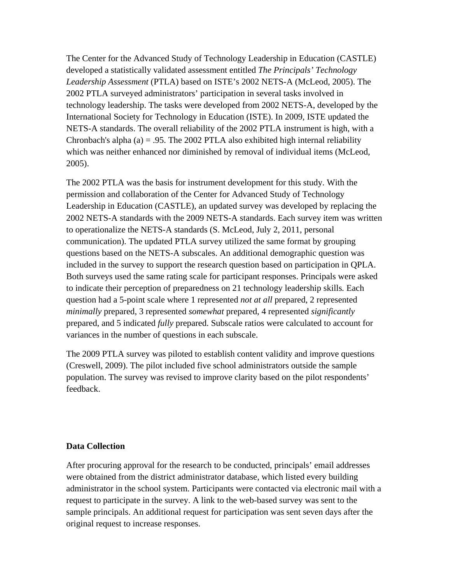The Center for the Advanced Study of Technology Leadership in Education (CASTLE) developed a statistically validated assessment entitled *The Principals' Technology Leadership Assessment* (PTLA) based on ISTE's 2002 NETS-A (McLeod, 2005). The 2002 PTLA surveyed administrators' participation in several tasks involved in technology leadership. The tasks were developed from 2002 NETS-A, developed by the International Society for Technology in Education (ISTE). In 2009, ISTE updated the NETS-A standards. The overall reliability of the 2002 PTLA instrument is high, with a Chronbach's alpha (a) = .95. The 2002 PTLA also exhibited high internal reliability which was neither enhanced nor diminished by removal of individual items (McLeod, 2005).

The 2002 PTLA was the basis for instrument development for this study. With the permission and collaboration of the Center for Advanced Study of Technology Leadership in Education (CASTLE), an updated survey was developed by replacing the 2002 NETS-A standards with the 2009 NETS-A standards. Each survey item was written to operationalize the NETS-A standards (S. McLeod, July 2, 2011, personal communication). The updated PTLA survey utilized the same format by grouping questions based on the NETS-A subscales. An additional demographic question was included in the survey to support the research question based on participation in QPLA. Both surveys used the same rating scale for participant responses. Principals were asked to indicate their perception of preparedness on 21 technology leadership skills*.* Each question had a 5-point scale where 1 represented *not at all* prepared, 2 represented *minimally* prepared, 3 represented *somewhat* prepared, 4 represented *significantly*  prepared, and 5 indicated *fully* prepared. Subscale ratios were calculated to account for variances in the number of questions in each subscale.

The 2009 PTLA survey was piloted to establish content validity and improve questions (Creswell, 2009). The pilot included five school administrators outside the sample population. The survey was revised to improve clarity based on the pilot respondents' feedback.

### **Data Collection**

After procuring approval for the research to be conducted, principals' email addresses were obtained from the district administrator database, which listed every building administrator in the school system. Participants were contacted via electronic mail with a request to participate in the survey. A link to the web-based survey was sent to the sample principals. An additional request for participation was sent seven days after the original request to increase responses.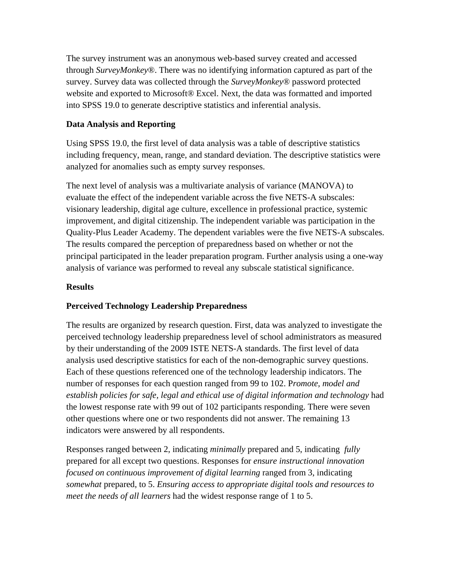The survey instrument was an anonymous web-based survey created and accessed through *SurveyMonkey*®. There was no identifying information captured as part of the survey. Survey data was collected through the *SurveyMonkey*® password protected website and exported to Microsoft® Excel. Next, the data was formatted and imported into SPSS 19.0 to generate descriptive statistics and inferential analysis.

# **Data Analysis and Reporting**

Using SPSS 19.0, the first level of data analysis was a table of descriptive statistics including frequency, mean, range, and standard deviation. The descriptive statistics were analyzed for anomalies such as empty survey responses.

The next level of analysis was a multivariate analysis of variance (MANOVA) to evaluate the effect of the independent variable across the five NETS-A subscales: visionary leadership, digital age culture, excellence in professional practice, systemic improvement, and digital citizenship. The independent variable was participation in the Quality-Plus Leader Academy. The dependent variables were the five NETS-A subscales. The results compared the perception of preparedness based on whether or not the principal participated in the leader preparation program. Further analysis using a one-way analysis of variance was performed to reveal any subscale statistical significance.

# **Results**

# **Perceived Technology Leadership Preparedness**

The results are organized by research question. First, data was analyzed to investigate the perceived technology leadership preparedness level of school administrators as measured by their understanding of the 2009 ISTE NETS-A standards. The first level of data analysis used descriptive statistics for each of the non-demographic survey questions. Each of these questions referenced one of the technology leadership indicators. The number of responses for each question ranged from 99 to 102. P*romote, model and establish policies for safe, legal and ethical use of digital information and technology* had the lowest response rate with 99 out of 102 participants responding. There were seven other questions where one or two respondents did not answer. The remaining 13 indicators were answered by all respondents.

Responses ranged between 2, indicating *minimally* prepared and 5, indicating *fully* prepared for all except two questions. Responses for *ensure instructional innovation focused on continuous improvement of digital learning* ranged from 3, indicating *somewhat* prepared, to 5. *Ensuring access to appropriate digital tools and resources to meet the needs of all learners* had the widest response range of 1 to 5.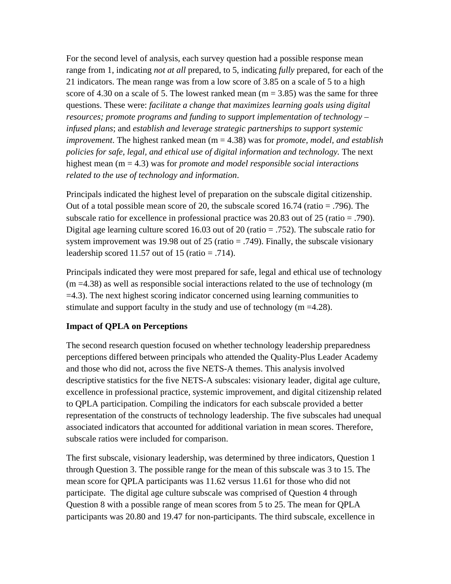For the second level of analysis, each survey question had a possible response mean range from 1, indicating *not at all* prepared, to 5, indicating *fully* prepared, for each of the 21 indicators. The mean range was from a low score of 3.85 on a scale of 5 to a high score of 4.30 on a scale of 5. The lowest ranked mean  $(m = 3.85)$  was the same for three questions. These were: *facilitate a change that maximizes learning goals using digital resources; promote programs and funding to support implementation of technology – infused plans*; and *establish and leverage strategic partnerships to support systemic improvement*. The highest ranked mean (m = 4.38) was for *promote, model, and establish policies for safe, legal, and ethical use of digital information and technology.* The next highest mean (m = 4.3) was for *promote and model responsible social interactions related to the use of technology and information*.

Principals indicated the highest level of preparation on the subscale digital citizenship. Out of a total possible mean score of 20, the subscale scored 16.74 (ratio  $= .796$ ). The subscale ratio for excellence in professional practice was 20.83 out of 25 (ratio = .790). Digital age learning culture scored 16.03 out of 20 (ratio = .752). The subscale ratio for system improvement was 19.98 out of 25 (ratio  $= .749$ ). Finally, the subscale visionary leadership scored 11.57 out of 15 (ratio  $= .714$ ).

Principals indicated they were most prepared for safe, legal and ethical use of technology  $(m = 4.38)$  as well as responsible social interactions related to the use of technology (m =4.3). The next highest scoring indicator concerned using learning communities to stimulate and support faculty in the study and use of technology (m =4.28).

### **Impact of QPLA on Perceptions**

The second research question focused on whether technology leadership preparedness perceptions differed between principals who attended the Quality-Plus Leader Academy and those who did not, across the five NETS-A themes. This analysis involved descriptive statistics for the five NETS-A subscales: visionary leader, digital age culture, excellence in professional practice, systemic improvement, and digital citizenship related to QPLA participation. Compiling the indicators for each subscale provided a better representation of the constructs of technology leadership. The five subscales had unequal associated indicators that accounted for additional variation in mean scores. Therefore, subscale ratios were included for comparison.

The first subscale, visionary leadership, was determined by three indicators, Question 1 through Question 3. The possible range for the mean of this subscale was 3 to 15. The mean score for QPLA participants was 11.62 versus 11.61 for those who did not participate. The digital age culture subscale was comprised of Question 4 through Question 8 with a possible range of mean scores from 5 to 25. The mean for QPLA participants was 20.80 and 19.47 for non-participants. The third subscale, excellence in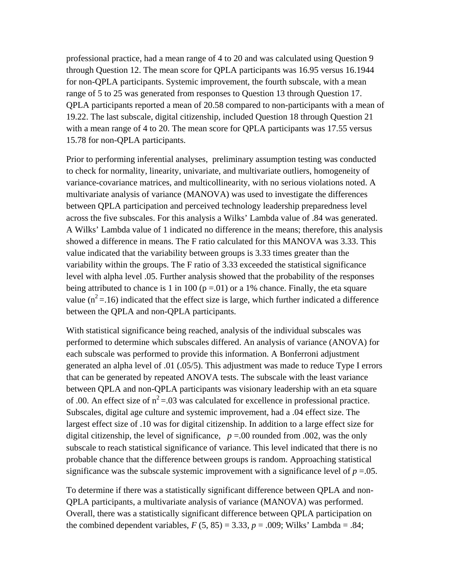professional practice, had a mean range of 4 to 20 and was calculated using Question 9 through Question 12. The mean score for QPLA participants was 16.95 versus 16.1944 for non-QPLA participants. Systemic improvement, the fourth subscale, with a mean range of 5 to 25 was generated from responses to Question 13 through Question 17. QPLA participants reported a mean of 20.58 compared to non-participants with a mean of 19.22. The last subscale, digital citizenship, included Question 18 through Question 21 with a mean range of 4 to 20. The mean score for QPLA participants was 17.55 versus 15.78 for non-QPLA participants.

Prior to performing inferential analyses, preliminary assumption testing was conducted to check for normality, linearity, univariate, and multivariate outliers, homogeneity of variance-covariance matrices, and multicollinearity, with no serious violations noted. A multivariate analysis of variance (MANOVA) was used to investigate the differences between QPLA participation and perceived technology leadership preparedness level across the five subscales. For this analysis a Wilks' Lambda value of .84 was generated. A Wilks' Lambda value of 1 indicated no difference in the means; therefore, this analysis showed a difference in means. The F ratio calculated for this MANOVA was 3.33. This value indicated that the variability between groups is 3.33 times greater than the variability within the groups. The F ratio of 3.33 exceeded the statistical significance level with alpha level .05. Further analysis showed that the probability of the responses being attributed to chance is 1 in 100 ( $p = 01$ ) or a 1% chance. Finally, the eta square value ( $n^2$  = 16) indicated that the effect size is large, which further indicated a difference between the QPLA and non-QPLA participants.

With statistical significance being reached, analysis of the individual subscales was performed to determine which subscales differed. An analysis of variance (ANOVA) for each subscale was performed to provide this information. A Bonferroni adjustment generated an alpha level of .01 (.05/5). This adjustment was made to reduce Type I errors that can be generated by repeated ANOVA tests. The subscale with the least variance between QPLA and non-QPLA participants was visionary leadership with an eta square of .00. An effect size of  $n^2$  =.03 was calculated for excellence in professional practice. Subscales, digital age culture and systemic improvement, had a .04 effect size. The largest effect size of .10 was for digital citizenship. In addition to a large effect size for digital citizenship, the level of significance,  $p = 0.00$  rounded from .002, was the only subscale to reach statistical significance of variance. This level indicated that there is no probable chance that the difference between groups is random. Approaching statistical significance was the subscale systemic improvement with a significance level of  $p = 0.05$ .

To determine if there was a statistically significant difference between QPLA and non-QPLA participants, a multivariate analysis of variance (MANOVA) was performed. Overall, there was a statistically significant difference between QPLA participation on the combined dependent variables,  $F(5, 85) = 3.33$ ,  $p = .009$ ; Wilks' Lambda = .84;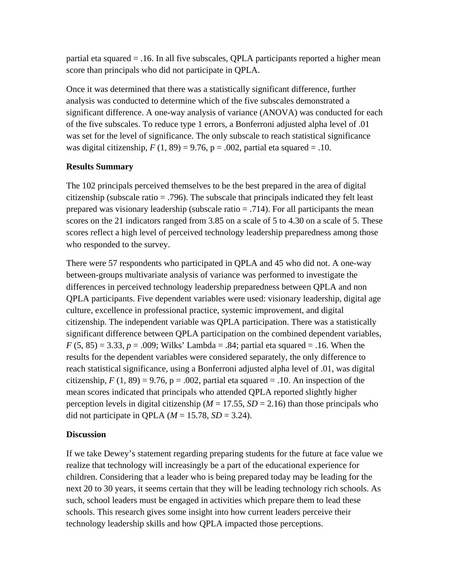partial eta squared = .16. In all five subscales, QPLA participants reported a higher mean score than principals who did not participate in QPLA.

Once it was determined that there was a statistically significant difference, further analysis was conducted to determine which of the five subscales demonstrated a significant difference. A one-way analysis of variance (ANOVA) was conducted for each of the five subscales. To reduce type 1 errors, a Bonferroni adjusted alpha level of .01 was set for the level of significance. The only subscale to reach statistical significance was digital citizenship,  $F(1, 89) = 9.76$ ,  $p = .002$ , partial eta squared = .10.

# **Results Summary**

The 102 principals perceived themselves to be the best prepared in the area of digital citizenship (subscale ratio = .796). The subscale that principals indicated they felt least prepared was visionary leadership (subscale ratio  $= .714$ ). For all participants the mean scores on the 21 indicators ranged from 3.85 on a scale of 5 to 4.30 on a scale of 5. These scores reflect a high level of perceived technology leadership preparedness among those who responded to the survey.

There were 57 respondents who participated in QPLA and 45 who did not. A one-way between-groups multivariate analysis of variance was performed to investigate the differences in perceived technology leadership preparedness between QPLA and non QPLA participants. Five dependent variables were used: visionary leadership, digital age culture, excellence in professional practice, systemic improvement, and digital citizenship. The independent variable was QPLA participation. There was a statistically significant difference between QPLA participation on the combined dependent variables,  $F (5, 85) = 3.33, p = .009$ ; Wilks' Lambda = .84; partial eta squared = .16. When the results for the dependent variables were considered separately, the only difference to reach statistical significance, using a Bonferroni adjusted alpha level of .01, was digital citizenship,  $F(1, 89) = 9.76$ ,  $p = .002$ , partial eta squared = .10. An inspection of the mean scores indicated that principals who attended QPLA reported slightly higher perception levels in digital citizenship ( $M = 17.55$ ,  $SD = 2.16$ ) than those principals who did not participate in QPLA  $(M = 15.78, SD = 3.24)$ .

# **Discussion**

If we take Dewey's statement regarding preparing students for the future at face value we realize that technology will increasingly be a part of the educational experience for children. Considering that a leader who is being prepared today may be leading for the next 20 to 30 years, it seems certain that they will be leading technology rich schools. As such, school leaders must be engaged in activities which prepare them to lead these schools. This research gives some insight into how current leaders perceive their technology leadership skills and how QPLA impacted those perceptions.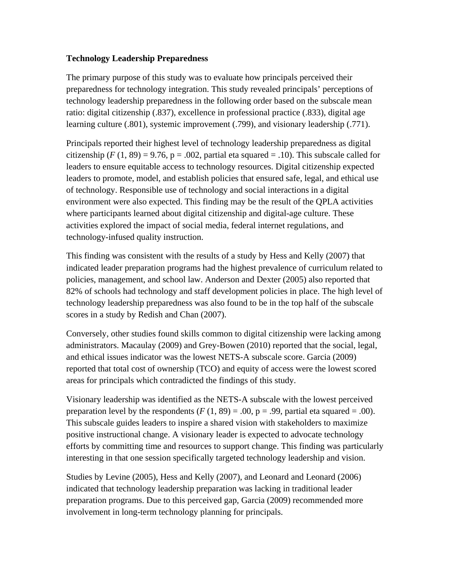# **Technology Leadership Preparedness**

The primary purpose of this study was to evaluate how principals perceived their preparedness for technology integration. This study revealed principals' perceptions of technology leadership preparedness in the following order based on the subscale mean ratio: digital citizenship (.837), excellence in professional practice (.833), digital age learning culture (.801), systemic improvement (.799), and visionary leadership (.771).

Principals reported their highest level of technology leadership preparedness as digital citizenship  $(F (1, 89) = 9.76, p = .002$ , partial eta squared = .10). This subscale called for leaders to ensure equitable access to technology resources. Digital citizenship expected leaders to promote, model, and establish policies that ensured safe, legal, and ethical use of technology. Responsible use of technology and social interactions in a digital environment were also expected. This finding may be the result of the QPLA activities where participants learned about digital citizenship and digital-age culture. These activities explored the impact of social media, federal internet regulations, and technology-infused quality instruction.

This finding was consistent with the results of a study by Hess and Kelly (2007) that indicated leader preparation programs had the highest prevalence of curriculum related to policies, management, and school law. Anderson and Dexter (2005) also reported that 82% of schools had technology and staff development policies in place. The high level of technology leadership preparedness was also found to be in the top half of the subscale scores in a study by Redish and Chan (2007).

Conversely, other studies found skills common to digital citizenship were lacking among administrators. Macaulay (2009) and Grey-Bowen (2010) reported that the social, legal, and ethical issues indicator was the lowest NETS-A subscale score. Garcia (2009) reported that total cost of ownership (TCO) and equity of access were the lowest scored areas for principals which contradicted the findings of this study.

Visionary leadership was identified as the NETS-A subscale with the lowest perceived preparation level by the respondents  $(F(1, 89) = .00, p = .99,$  partial eta squared = .00). This subscale guides leaders to inspire a shared vision with stakeholders to maximize positive instructional change. A visionary leader is expected to advocate technology efforts by committing time and resources to support change. This finding was particularly interesting in that one session specifically targeted technology leadership and vision.

Studies by Levine (2005), Hess and Kelly (2007), and Leonard and Leonard (2006) indicated that technology leadership preparation was lacking in traditional leader preparation programs. Due to this perceived gap, Garcia (2009) recommended more involvement in long-term technology planning for principals.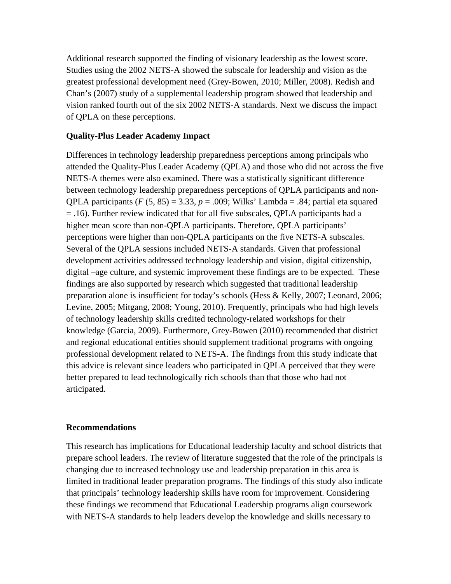Additional research supported the finding of visionary leadership as the lowest score. Studies using the 2002 NETS-A showed the subscale for leadership and vision as the greatest professional development need (Grey-Bowen, 2010; Miller, 2008). Redish and Chan's (2007) study of a supplemental leadership program showed that leadership and vision ranked fourth out of the six 2002 NETS-A standards. Next we discuss the impact of QPLA on these perceptions.

## **Quality-Plus Leader Academy Impact**

Differences in technology leadership preparedness perceptions among principals who attended the Quality-Plus Leader Academy (QPLA) and those who did not across the five NETS-A themes were also examined. There was a statistically significant difference between technology leadership preparedness perceptions of QPLA participants and non-QPLA participants  $(F (5, 85) = 3.33, p = .009;$  Wilks' Lambda = .84; partial eta squared = .16). Further review indicated that for all five subscales, QPLA participants had a higher mean score than non-QPLA participants. Therefore, QPLA participants' perceptions were higher than non-QPLA participants on the five NETS-A subscales. Several of the QPLA sessions included NETS-A standards. Given that professional development activities addressed technology leadership and vision, digital citizenship, digital –age culture, and systemic improvement these findings are to be expected. These findings are also supported by research which suggested that traditional leadership preparation alone is insufficient for today's schools (Hess & Kelly, 2007; Leonard, 2006; Levine, 2005; Mitgang, 2008; Young, 2010). Frequently, principals who had high levels of technology leadership skills credited technology-related workshops for their knowledge (Garcia, 2009). Furthermore, Grey-Bowen (2010) recommended that district and regional educational entities should supplement traditional programs with ongoing professional development related to NETS-A. The findings from this study indicate that this advice is relevant since leaders who participated in QPLA perceived that they were better prepared to lead technologically rich schools than that those who had not articipated.

## **Recommendations**

This research has implications for Educational leadership faculty and school districts that prepare school leaders. The review of literature suggested that the role of the principals is changing due to increased technology use and leadership preparation in this area is limited in traditional leader preparation programs. The findings of this study also indicate that principals' technology leadership skills have room for improvement. Considering these findings we recommend that Educational Leadership programs align coursework with NETS-A standards to help leaders develop the knowledge and skills necessary to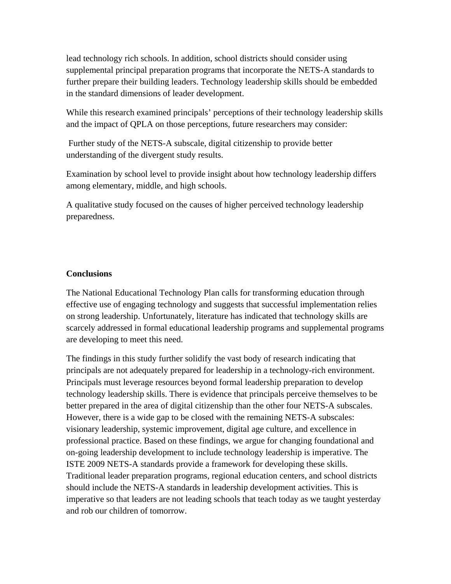lead technology rich schools. In addition, school districts should consider using supplemental principal preparation programs that incorporate the NETS-A standards to further prepare their building leaders. Technology leadership skills should be embedded in the standard dimensions of leader development.

While this research examined principals' perceptions of their technology leadership skills and the impact of QPLA on those perceptions, future researchers may consider:

 Further study of the NETS-A subscale, digital citizenship to provide better understanding of the divergent study results.

Examination by school level to provide insight about how technology leadership differs among elementary, middle, and high schools.

A qualitative study focused on the causes of higher perceived technology leadership preparedness.

# **Conclusions**

The National Educational Technology Plan calls for transforming education through effective use of engaging technology and suggests that successful implementation relies on strong leadership. Unfortunately, literature has indicated that technology skills are scarcely addressed in formal educational leadership programs and supplemental programs are developing to meet this need.

The findings in this study further solidify the vast body of research indicating that principals are not adequately prepared for leadership in a technology-rich environment. Principals must leverage resources beyond formal leadership preparation to develop technology leadership skills. There is evidence that principals perceive themselves to be better prepared in the area of digital citizenship than the other four NETS-A subscales. However, there is a wide gap to be closed with the remaining NETS-A subscales: visionary leadership, systemic improvement, digital age culture, and excellence in professional practice. Based on these findings, we argue for changing foundational and on-going leadership development to include technology leadership is imperative. The ISTE 2009 NETS-A standards provide a framework for developing these skills. Traditional leader preparation programs, regional education centers, and school districts should include the NETS-A standards in leadership development activities. This is imperative so that leaders are not leading schools that teach today as we taught yesterday and rob our children of tomorrow.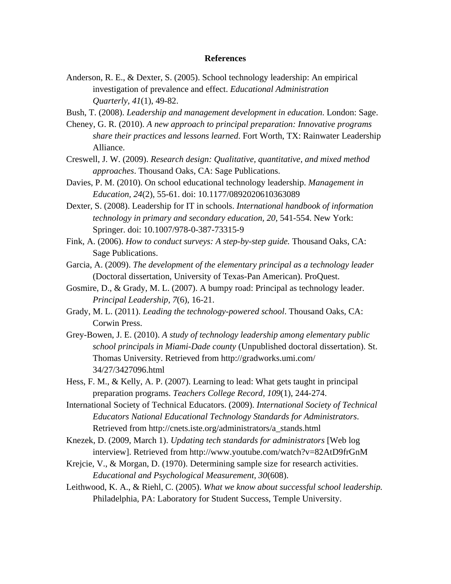#### **References**

Anderson, R. E., & Dexter, S. (2005). School technology leadership: An empirical investigation of prevalence and effect. *Educational Administration Quarterly, 41*(1), 49-82.

Bush, T. (2008). *Leadership and management development in education*. London: Sage.

Cheney, G. R. (2010). *A new approach to principal preparation: Innovative programs share their practices and lessons learned*. Fort Worth, TX: Rainwater Leadership Alliance.

- Creswell, J. W. (2009). *Research design: Qualitative, quantitative, and mixed method approaches*. Thousand Oaks, CA: Sage Publications.
- Davies, P. M. (2010). On school educational technology leadership. *Management in Education, 24*(2), 55-61. doi: 10.1177/0892020610363089
- Dexter, S. (2008). Leadership for IT in schools. *International handbook of information technology in primary and secondary education, 20,* 541-554. New York: Springer. doi: 10.1007/978-0-387-73315-9
- Fink, A. (2006). *How to conduct surveys: A step-by-step guide.* Thousand Oaks, CA: Sage Publications.
- Garcia, A. (2009). *The development of the elementary principal as a technology leader* (Doctoral dissertation, University of Texas-Pan American). ProQuest.
- Gosmire, D., & Grady, M. L. (2007). A bumpy road: Principal as technology leader. *Principal Leadership*, *7*(6), 16-21.
- Grady, M. L. (2011). *Leading the technology-powered school*. Thousand Oaks, CA: Corwin Press.
- Grey-Bowen, J. E. (2010). *A study of technology leadership among elementary public school principals in Miami-Dade county* (Unpublished doctoral dissertation). St. Thomas University. Retrieved from http://gradworks.umi.com/ 34/27/3427096.html
- Hess, F. M., & Kelly, A. P. (2007). Learning to lead: What gets taught in principal preparation programs. *Teachers College Record, 109*(1), 244-274.
- International Society of Technical Educators. (2009). *International Society of Technical Educators National Educational Technology Standards for Administrators*. Retrieved from http://cnets.iste.org/administrators/a\_stands.html
- Knezek, D. (2009, March 1). *Updating tech standards for administrators* [Web log interview]. Retrieved from http://www.youtube.com/watch?v=82AtD9frGnM
- Krejcie, V., & Morgan, D. (1970). Determining sample size for research activities. *Educational and Psychological Measurement, 30*(608).
- Leithwood, K. A., & Riehl, C. (2005). *What we know about successful school leadership.*  Philadelphia, PA: Laboratory for Student Success, Temple University.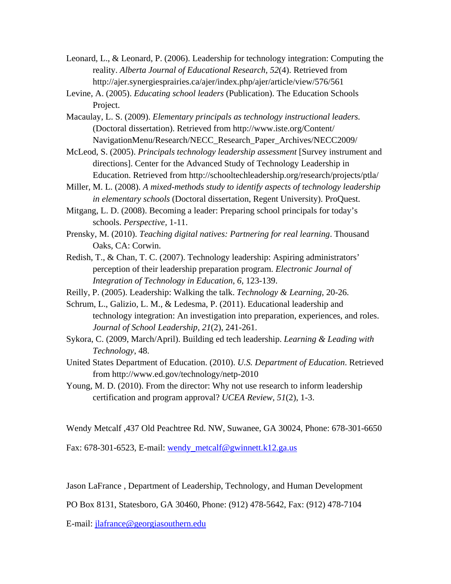Leonard, L., & Leonard, P. (2006). Leadership for technology integration: Computing the reality. *Alberta Journal of Educational Research, 52*(4). Retrieved from http://ajer.synergiesprairies.ca/ajer/index.php/ajer/article/view/576/561

Levine, A. (2005). *Educating school leaders* (Publication). The Education Schools Project.

Macaulay, L. S. (2009). *Elementary principals as technology instructional leaders.*  (Doctoral dissertation). Retrieved from http://www.iste.org/Content/ NavigationMenu/Research/NECC\_Research\_Paper\_Archives/NECC2009/

McLeod, S. (2005). *Principals technology leadership assessment* [Survey instrument and directions]. Center for the Advanced Study of Technology Leadership in Education. Retrieved from http://schooltechleadership.org/research/projects/ptla/

Miller, M. L. (2008). *A mixed-methods study to identify aspects of technology leadership in elementary schools* (Doctoral dissertation, Regent University). ProQuest.

Mitgang, L. D. (2008). Becoming a leader: Preparing school principals for today's schools. *Perspective,* 1-11.

Prensky, M. (2010). *Teaching digital natives: Partnering for real learning*. Thousand Oaks, CA: Corwin.

Redish, T., & Chan, T. C. (2007). Technology leadership: Aspiring administrators' perception of their leadership preparation program. *Electronic Journal of Integration of Technology in Education*, *6*, 123-139.

Reilly, P. (2005). Leadership: Walking the talk. *Technology & Learning*, 20-26.

Schrum, L., Galizio, L. M., & Ledesma, P. (2011). Educational leadership and technology integration: An investigation into preparation, experiences, and roles. *Journal of School Leadership, 21*(2), 241-261.

Sykora, C. (2009, March/April). Building ed tech leadership. *Learning & Leading with Technology*, 48.

United States Department of Education. (2010). *U.S. Department of Education*. Retrieved from http://www.ed.gov/technology/netp-2010

Young, M. D. (2010). From the director: Why not use research to inform leadership certification and program approval? *UCEA Review*, *51*(2), 1-3.

Wendy Metcalf ,437 Old Peachtree Rd. NW, Suwanee, GA 30024, Phone: 678-301-6650

Fax: 678-301-6523, E-mail: wendy\_metcalf@gwinnett.k12.ga.us

Jason LaFrance , Department of Leadership, Technology, and Human Development

PO Box 8131, Statesboro, GA 30460, Phone: (912) 478-5642, Fax: (912) 478-7104

E-mail: jlafrance@georgiasouthern.edu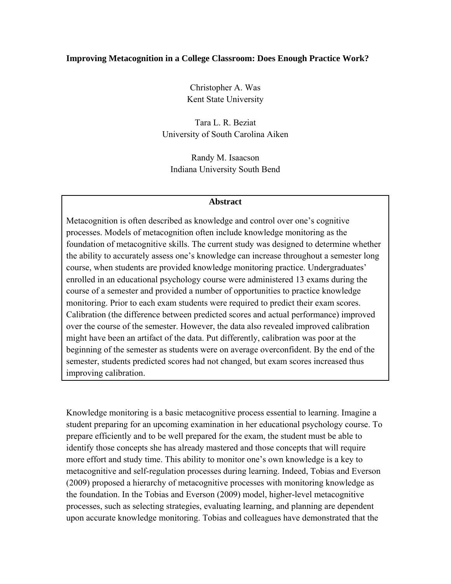### **Improving Metacognition in a College Classroom: Does Enough Practice Work?**

Christopher A. Was Kent State University

Tara L. R. Beziat University of South Carolina Aiken

Randy M. Isaacson Indiana University South Bend

#### **Abstract**

Metacognition is often described as knowledge and control over one's cognitive processes. Models of metacognition often include knowledge monitoring as the foundation of metacognitive skills. The current study was designed to determine whether the ability to accurately assess one's knowledge can increase throughout a semester long course, when students are provided knowledge monitoring practice. Undergraduates' enrolled in an educational psychology course were administered 13 exams during the course of a semester and provided a number of opportunities to practice knowledge monitoring. Prior to each exam students were required to predict their exam scores. Calibration (the difference between predicted scores and actual performance) improved over the course of the semester. However, the data also revealed improved calibration might have been an artifact of the data. Put differently, calibration was poor at the beginning of the semester as students were on average overconfident. By the end of the semester, students predicted scores had not changed, but exam scores increased thus improving calibration.

Knowledge monitoring is a basic metacognitive process essential to learning. Imagine a student preparing for an upcoming examination in her educational psychology course. To prepare efficiently and to be well prepared for the exam, the student must be able to identify those concepts she has already mastered and those concepts that will require more effort and study time. This ability to monitor one's own knowledge is a key to metacognitive and self-regulation processes during learning. Indeed, Tobias and Everson (2009) proposed a hierarchy of metacognitive processes with monitoring knowledge as the foundation. In the Tobias and Everson (2009) model, higher-level metacognitive processes, such as selecting strategies, evaluating learning, and planning are dependent upon accurate knowledge monitoring. Tobias and colleagues have demonstrated that the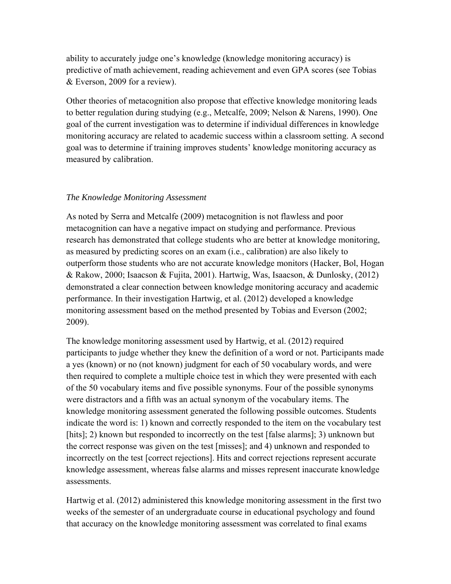ability to accurately judge one's knowledge (knowledge monitoring accuracy) is predictive of math achievement, reading achievement and even GPA scores (see Tobias & Everson, 2009 for a review).

Other theories of metacognition also propose that effective knowledge monitoring leads to better regulation during studying (e.g., Metcalfe, 2009; Nelson & Narens, 1990). One goal of the current investigation was to determine if individual differences in knowledge monitoring accuracy are related to academic success within a classroom setting. A second goal was to determine if training improves students' knowledge monitoring accuracy as measured by calibration.

# *The Knowledge Monitoring Assessment*

As noted by Serra and Metcalfe (2009) metacognition is not flawless and poor metacognition can have a negative impact on studying and performance. Previous research has demonstrated that college students who are better at knowledge monitoring, as measured by predicting scores on an exam (i.e., calibration) are also likely to outperform those students who are not accurate knowledge monitors (Hacker, Bol, Hogan & Rakow, 2000; Isaacson & Fujita, 2001). Hartwig, Was, Isaacson, & Dunlosky, (2012) demonstrated a clear connection between knowledge monitoring accuracy and academic performance. In their investigation Hartwig, et al. (2012) developed a knowledge monitoring assessment based on the method presented by Tobias and Everson (2002; 2009).

The knowledge monitoring assessment used by Hartwig, et al. (2012) required participants to judge whether they knew the definition of a word or not. Participants made a yes (known) or no (not known) judgment for each of 50 vocabulary words, and were then required to complete a multiple choice test in which they were presented with each of the 50 vocabulary items and five possible synonyms. Four of the possible synonyms were distractors and a fifth was an actual synonym of the vocabulary items. The knowledge monitoring assessment generated the following possible outcomes. Students indicate the word is: 1) known and correctly responded to the item on the vocabulary test [hits]; 2) known but responded to incorrectly on the test [false alarms]; 3) unknown but the correct response was given on the test [misses]; and 4) unknown and responded to incorrectly on the test [correct rejections]. Hits and correct rejections represent accurate knowledge assessment, whereas false alarms and misses represent inaccurate knowledge assessments.

Hartwig et al. (2012) administered this knowledge monitoring assessment in the first two weeks of the semester of an undergraduate course in educational psychology and found that accuracy on the knowledge monitoring assessment was correlated to final exams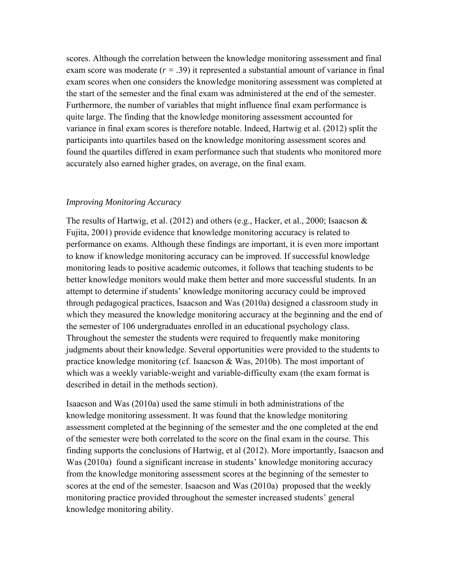scores. Although the correlation between the knowledge monitoring assessment and final exam score was moderate (*r = .*39) it represented a substantial amount of variance in final exam scores when one considers the knowledge monitoring assessment was completed at the start of the semester and the final exam was administered at the end of the semester. Furthermore, the number of variables that might influence final exam performance is quite large. The finding that the knowledge monitoring assessment accounted for variance in final exam scores is therefore notable. Indeed, Hartwig et al. (2012) split the participants into quartiles based on the knowledge monitoring assessment scores and found the quartiles differed in exam performance such that students who monitored more accurately also earned higher grades, on average, on the final exam.

### *Improving Monitoring Accuracy*

The results of Hartwig, et al. (2012) and others (e.g., Hacker, et al., 2000; Isaacson & Fujita, 2001) provide evidence that knowledge monitoring accuracy is related to performance on exams. Although these findings are important, it is even more important to know if knowledge monitoring accuracy can be improved. If successful knowledge monitoring leads to positive academic outcomes, it follows that teaching students to be better knowledge monitors would make them better and more successful students. In an attempt to determine if students' knowledge monitoring accuracy could be improved through pedagogical practices, Isaacson and Was (2010a) designed a classroom study in which they measured the knowledge monitoring accuracy at the beginning and the end of the semester of 106 undergraduates enrolled in an educational psychology class. Throughout the semester the students were required to frequently make monitoring judgments about their knowledge. Several opportunities were provided to the students to practice knowledge monitoring (cf. Isaacson & Was, 2010b). The most important of which was a weekly variable-weight and variable-difficulty exam (the exam format is described in detail in the methods section).

Isaacson and Was (2010a) used the same stimuli in both administrations of the knowledge monitoring assessment. It was found that the knowledge monitoring assessment completed at the beginning of the semester and the one completed at the end of the semester were both correlated to the score on the final exam in the course. This finding supports the conclusions of Hartwig, et al (2012). More importantly, Isaacson and Was (2010a) found a significant increase in students' knowledge monitoring accuracy from the knowledge monitoring assessment scores at the beginning of the semester to scores at the end of the semester. Isaacson and Was (2010a) proposed that the weekly monitoring practice provided throughout the semester increased students' general knowledge monitoring ability.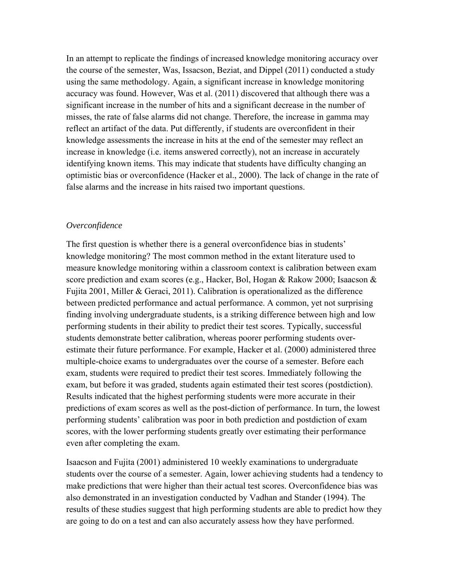In an attempt to replicate the findings of increased knowledge monitoring accuracy over the course of the semester, Was, Issacson, Beziat, and Dippel (2011) conducted a study using the same methodology. Again, a significant increase in knowledge monitoring accuracy was found. However, Was et al. (2011) discovered that although there was a significant increase in the number of hits and a significant decrease in the number of misses, the rate of false alarms did not change. Therefore, the increase in gamma may reflect an artifact of the data. Put differently, if students are overconfident in their knowledge assessments the increase in hits at the end of the semester may reflect an increase in knowledge (i.e. items answered correctly), not an increase in accurately identifying known items. This may indicate that students have difficulty changing an optimistic bias or overconfidence (Hacker et al., 2000). The lack of change in the rate of false alarms and the increase in hits raised two important questions.

### *Overconfidence*

The first question is whether there is a general overconfidence bias in students' knowledge monitoring? The most common method in the extant literature used to measure knowledge monitoring within a classroom context is calibration between exam score prediction and exam scores (e.g., Hacker, Bol, Hogan & Rakow 2000; Isaacson & Fujita 2001, Miller & Geraci, 2011). Calibration is operationalized as the difference between predicted performance and actual performance. A common, yet not surprising finding involving undergraduate students, is a striking difference between high and low performing students in their ability to predict their test scores. Typically, successful students demonstrate better calibration, whereas poorer performing students overestimate their future performance. For example, Hacker et al. (2000) administered three multiple-choice exams to undergraduates over the course of a semester. Before each exam, students were required to predict their test scores. Immediately following the exam, but before it was graded, students again estimated their test scores (postdiction). Results indicated that the highest performing students were more accurate in their predictions of exam scores as well as the post-diction of performance. In turn, the lowest performing students' calibration was poor in both prediction and postdiction of exam scores, with the lower performing students greatly over estimating their performance even after completing the exam.

Isaacson and Fujita (2001) administered 10 weekly examinations to undergraduate students over the course of a semester. Again, lower achieving students had a tendency to make predictions that were higher than their actual test scores. Overconfidence bias was also demonstrated in an investigation conducted by Vadhan and Stander (1994). The results of these studies suggest that high performing students are able to predict how they are going to do on a test and can also accurately assess how they have performed.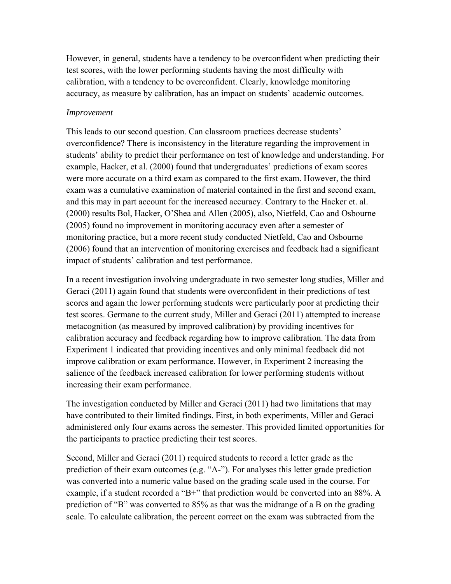However, in general, students have a tendency to be overconfident when predicting their test scores, with the lower performing students having the most difficulty with calibration, with a tendency to be overconfident. Clearly, knowledge monitoring accuracy, as measure by calibration, has an impact on students' academic outcomes.

## *Improvement*

This leads to our second question. Can classroom practices decrease students' overconfidence? There is inconsistency in the literature regarding the improvement in students' ability to predict their performance on test of knowledge and understanding. For example, Hacker, et al. (2000) found that undergraduates' predictions of exam scores were more accurate on a third exam as compared to the first exam. However, the third exam was a cumulative examination of material contained in the first and second exam, and this may in part account for the increased accuracy. Contrary to the Hacker et. al. (2000) results Bol, Hacker, O'Shea and Allen (2005), also, Nietfeld, Cao and Osbourne (2005) found no improvement in monitoring accuracy even after a semester of monitoring practice, but a more recent study conducted Nietfeld, Cao and Osbourne (2006) found that an intervention of monitoring exercises and feedback had a significant impact of students' calibration and test performance.

In a recent investigation involving undergraduate in two semester long studies, Miller and Geraci (2011) again found that students were overconfident in their predictions of test scores and again the lower performing students were particularly poor at predicting their test scores. Germane to the current study, Miller and Geraci (2011) attempted to increase metacognition (as measured by improved calibration) by providing incentives for calibration accuracy and feedback regarding how to improve calibration. The data from Experiment 1 indicated that providing incentives and only minimal feedback did not improve calibration or exam performance. However, in Experiment 2 increasing the salience of the feedback increased calibration for lower performing students without increasing their exam performance.

The investigation conducted by Miller and Geraci (2011) had two limitations that may have contributed to their limited findings. First, in both experiments, Miller and Geraci administered only four exams across the semester. This provided limited opportunities for the participants to practice predicting their test scores.

Second, Miller and Geraci (2011) required students to record a letter grade as the prediction of their exam outcomes (e.g. "A-"). For analyses this letter grade prediction was converted into a numeric value based on the grading scale used in the course. For example, if a student recorded a "B+" that prediction would be converted into an 88%. A prediction of "B" was converted to 85% as that was the midrange of a B on the grading scale. To calculate calibration, the percent correct on the exam was subtracted from the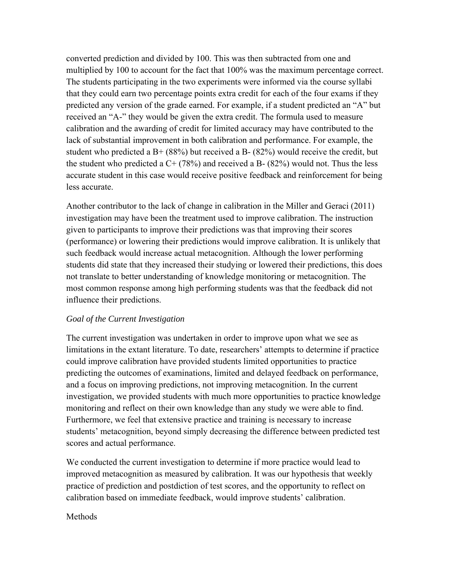converted prediction and divided by 100. This was then subtracted from one and multiplied by 100 to account for the fact that 100% was the maximum percentage correct. The students participating in the two experiments were informed via the course syllabi that they could earn two percentage points extra credit for each of the four exams if they predicted any version of the grade earned. For example, if a student predicted an "A" but received an "A-" they would be given the extra credit. The formula used to measure calibration and the awarding of credit for limited accuracy may have contributed to the lack of substantial improvement in both calibration and performance. For example, the student who predicted a  $B+ (88%)$  but received a  $B- (82%)$  would receive the credit, but the student who predicted a  $C + (78%)$  and received a B-  $(82%)$  would not. Thus the less accurate student in this case would receive positive feedback and reinforcement for being less accurate.

Another contributor to the lack of change in calibration in the Miller and Geraci (2011) investigation may have been the treatment used to improve calibration. The instruction given to participants to improve their predictions was that improving their scores (performance) or lowering their predictions would improve calibration. It is unlikely that such feedback would increase actual metacognition. Although the lower performing students did state that they increased their studying or lowered their predictions, this does not translate to better understanding of knowledge monitoring or metacognition. The most common response among high performing students was that the feedback did not influence their predictions.

## *Goal of the Current Investigation*

The current investigation was undertaken in order to improve upon what we see as limitations in the extant literature. To date, researchers' attempts to determine if practice could improve calibration have provided students limited opportunities to practice predicting the outcomes of examinations, limited and delayed feedback on performance, and a focus on improving predictions, not improving metacognition. In the current investigation, we provided students with much more opportunities to practice knowledge monitoring and reflect on their own knowledge than any study we were able to find. Furthermore, we feel that extensive practice and training is necessary to increase students' metacognition, beyond simply decreasing the difference between predicted test scores and actual performance.

We conducted the current investigation to determine if more practice would lead to improved metacognition as measured by calibration. It was our hypothesis that weekly practice of prediction and postdiction of test scores, and the opportunity to reflect on calibration based on immediate feedback, would improve students' calibration.

## **Methods**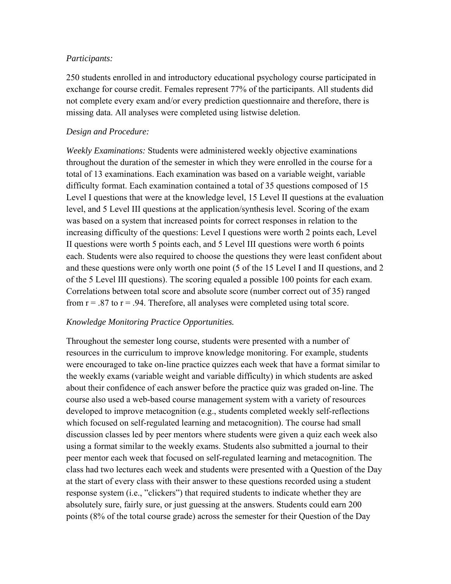## *Participants:*

250 students enrolled in and introductory educational psychology course participated in exchange for course credit. Females represent 77% of the participants. All students did not complete every exam and/or every prediction questionnaire and therefore, there is missing data. All analyses were completed using listwise deletion.

## *Design and Procedure:*

*Weekly Examinations:* Students were administered weekly objective examinations throughout the duration of the semester in which they were enrolled in the course for a total of 13 examinations. Each examination was based on a variable weight, variable difficulty format. Each examination contained a total of 35 questions composed of 15 Level I questions that were at the knowledge level, 15 Level II questions at the evaluation level, and 5 Level III questions at the application/synthesis level. Scoring of the exam was based on a system that increased points for correct responses in relation to the increasing difficulty of the questions: Level I questions were worth 2 points each, Level II questions were worth 5 points each, and 5 Level III questions were worth 6 points each. Students were also required to choose the questions they were least confident about and these questions were only worth one point (5 of the 15 Level I and II questions, and 2 of the 5 Level III questions). The scoring equaled a possible 100 points for each exam. Correlations between total score and absolute score (number correct out of 35) ranged from  $r = .87$  to  $r = .94$ . Therefore, all analyses were completed using total score.

## *Knowledge Monitoring Practice Opportunities.*

Throughout the semester long course, students were presented with a number of resources in the curriculum to improve knowledge monitoring. For example, students were encouraged to take on-line practice quizzes each week that have a format similar to the weekly exams (variable weight and variable difficulty) in which students are asked about their confidence of each answer before the practice quiz was graded on-line. The course also used a web-based course management system with a variety of resources developed to improve metacognition (e.g., students completed weekly self-reflections which focused on self-regulated learning and metacognition). The course had small discussion classes led by peer mentors where students were given a quiz each week also using a format similar to the weekly exams. Students also submitted a journal to their peer mentor each week that focused on self-regulated learning and metacognition. The class had two lectures each week and students were presented with a Question of the Day at the start of every class with their answer to these questions recorded using a student response system (i.e., "clickers") that required students to indicate whether they are absolutely sure, fairly sure, or just guessing at the answers. Students could earn 200 points (8% of the total course grade) across the semester for their Question of the Day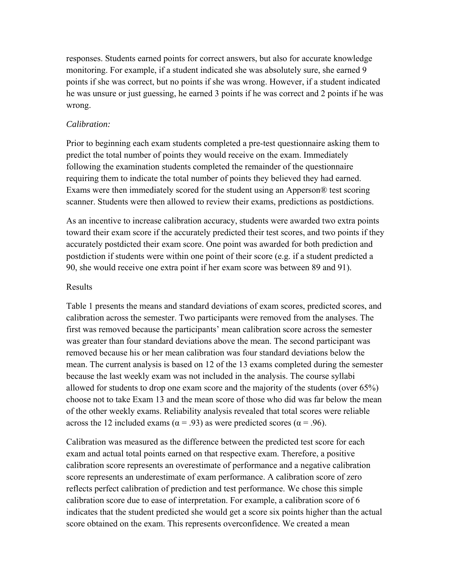responses. Students earned points for correct answers, but also for accurate knowledge monitoring. For example, if a student indicated she was absolutely sure, she earned 9 points if she was correct, but no points if she was wrong. However, if a student indicated he was unsure or just guessing, he earned 3 points if he was correct and 2 points if he was wrong.

## *Calibration:*

Prior to beginning each exam students completed a pre-test questionnaire asking them to predict the total number of points they would receive on the exam. Immediately following the examination students completed the remainder of the questionnaire requiring them to indicate the total number of points they believed they had earned. Exams were then immediately scored for the student using an Apperson® test scoring scanner. Students were then allowed to review their exams, predictions as postdictions.

As an incentive to increase calibration accuracy, students were awarded two extra points toward their exam score if the accurately predicted their test scores, and two points if they accurately postdicted their exam score. One point was awarded for both prediction and postdiction if students were within one point of their score (e.g. if a student predicted a 90, she would receive one extra point if her exam score was between 89 and 91).

## Results

Table 1 presents the means and standard deviations of exam scores, predicted scores, and calibration across the semester. Two participants were removed from the analyses. The first was removed because the participants' mean calibration score across the semester was greater than four standard deviations above the mean. The second participant was removed because his or her mean calibration was four standard deviations below the mean. The current analysis is based on 12 of the 13 exams completed during the semester because the last weekly exam was not included in the analysis. The course syllabi allowed for students to drop one exam score and the majority of the students (over 65%) choose not to take Exam 13 and the mean score of those who did was far below the mean of the other weekly exams. Reliability analysis revealed that total scores were reliable across the 12 included exams ( $\alpha$  = .93) as were predicted scores ( $\alpha$  = .96).

Calibration was measured as the difference between the predicted test score for each exam and actual total points earned on that respective exam. Therefore, a positive calibration score represents an overestimate of performance and a negative calibration score represents an underestimate of exam performance. A calibration score of zero reflects perfect calibration of prediction and test performance. We chose this simple calibration score due to ease of interpretation. For example, a calibration score of 6 indicates that the student predicted she would get a score six points higher than the actual score obtained on the exam. This represents overconfidence. We created a mean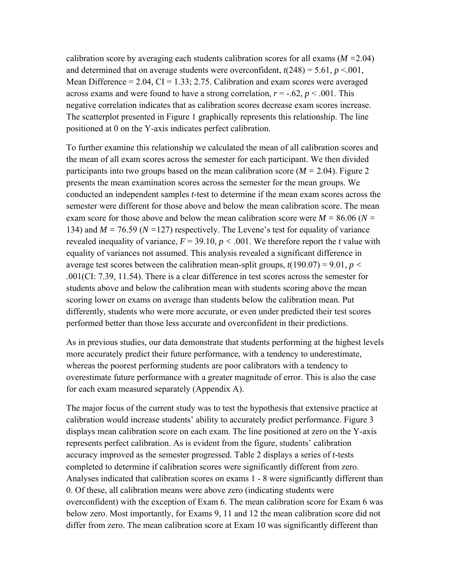calibration score by averaging each students calibration scores for all exams (*M =*2.04) and determined that on average students were overconfident,  $t(248) = 5.61$ ,  $p < 0.001$ , Mean Difference =  $2.04$ , CI =  $1.33$ ; 2.75. Calibration and exam scores were averaged across exams and were found to have a strong correlation,  $r = -0.62$ ,  $p < 0.001$ . This negative correlation indicates that as calibration scores decrease exam scores increase. The scatterplot presented in Figure 1 graphically represents this relationship. The line positioned at 0 on the Y-axis indicates perfect calibration.

To further examine this relationship we calculated the mean of all calibration scores and the mean of all exam scores across the semester for each participant. We then divided participants into two groups based on the mean calibration score (*M =* 2.04). Figure 2 presents the mean examination scores across the semester for the mean groups. We conducted an independent samples *t-*test to determine if the mean exam scores across the semester were different for those above and below the mean calibration score. The mean exam score for those above and below the mean calibration score were *M =* 86.06 (*N =*  134) and *M =* 76.59 (*N =*127) respectively. The Levene's test for equality of variance revealed inequality of variance,  $F = 39.10$ ,  $p < .001$ . We therefore report the *t* value with equality of variances not assumed. This analysis revealed a significant difference in average test scores between the calibration mean-split groups,  $t(190.07) = 9.01$ ,  $p <$ *.*001(CI: 7.39, 11.54). There is a clear difference in test scores across the semester for students above and below the calibration mean with students scoring above the mean scoring lower on exams on average than students below the calibration mean. Put differently, students who were more accurate, or even under predicted their test scores performed better than those less accurate and overconfident in their predictions.

As in previous studies, our data demonstrate that students performing at the highest levels more accurately predict their future performance, with a tendency to underestimate, whereas the poorest performing students are poor calibrators with a tendency to overestimate future performance with a greater magnitude of error. This is also the case for each exam measured separately (Appendix A).

The major focus of the current study was to test the hypothesis that extensive practice at calibration would increase students' ability to accurately predict performance. Figure 3 displays mean calibration score on each exam. The line positioned at zero on the Y-axis represents perfect calibration. As is evident from the figure, students' calibration accuracy improved as the semester progressed. Table 2 displays a series of *t*-tests completed to determine if calibration scores were significantly different from zero. Analyses indicated that calibration scores on exams 1 - 8 were significantly different than 0. Of these, all calibration means were above zero (indicating students were overconfident) with the exception of Exam 6. The mean calibration score for Exam 6 was below zero. Most importantly, for Exams 9, 11 and 12 the mean calibration score did not differ from zero. The mean calibration score at Exam 10 was significantly different than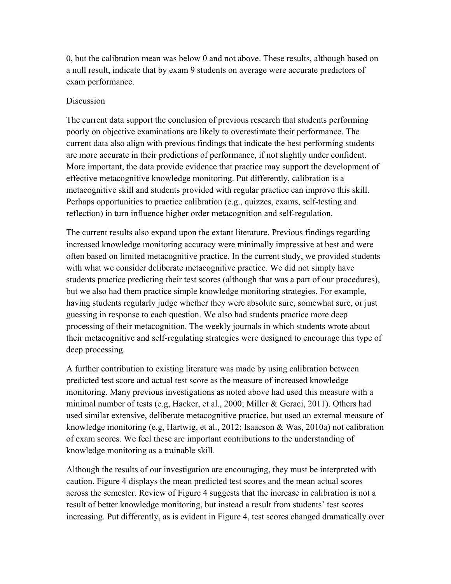0, but the calibration mean was below 0 and not above. These results, although based on a null result, indicate that by exam 9 students on average were accurate predictors of exam performance.

## Discussion

The current data support the conclusion of previous research that students performing poorly on objective examinations are likely to overestimate their performance. The current data also align with previous findings that indicate the best performing students are more accurate in their predictions of performance, if not slightly under confident. More important, the data provide evidence that practice may support the development of effective metacognitive knowledge monitoring. Put differently, calibration is a metacognitive skill and students provided with regular practice can improve this skill. Perhaps opportunities to practice calibration (e.g., quizzes, exams, self-testing and reflection) in turn influence higher order metacognition and self-regulation.

The current results also expand upon the extant literature. Previous findings regarding increased knowledge monitoring accuracy were minimally impressive at best and were often based on limited metacognitive practice. In the current study, we provided students with what we consider deliberate metacognitive practice. We did not simply have students practice predicting their test scores (although that was a part of our procedures), but we also had them practice simple knowledge monitoring strategies. For example, having students regularly judge whether they were absolute sure, somewhat sure, or just guessing in response to each question. We also had students practice more deep processing of their metacognition. The weekly journals in which students wrote about their metacognitive and self-regulating strategies were designed to encourage this type of deep processing.

A further contribution to existing literature was made by using calibration between predicted test score and actual test score as the measure of increased knowledge monitoring. Many previous investigations as noted above had used this measure with a minimal number of tests (e.g, Hacker, et al., 2000; Miller & Geraci, 2011). Others had used similar extensive, deliberate metacognitive practice, but used an external measure of knowledge monitoring (e.g, Hartwig, et al., 2012; Isaacson & Was, 2010a) not calibration of exam scores. We feel these are important contributions to the understanding of knowledge monitoring as a trainable skill.

Although the results of our investigation are encouraging, they must be interpreted with caution. Figure 4 displays the mean predicted test scores and the mean actual scores across the semester. Review of Figure 4 suggests that the increase in calibration is not a result of better knowledge monitoring, but instead a result from students' test scores increasing. Put differently, as is evident in Figure 4, test scores changed dramatically over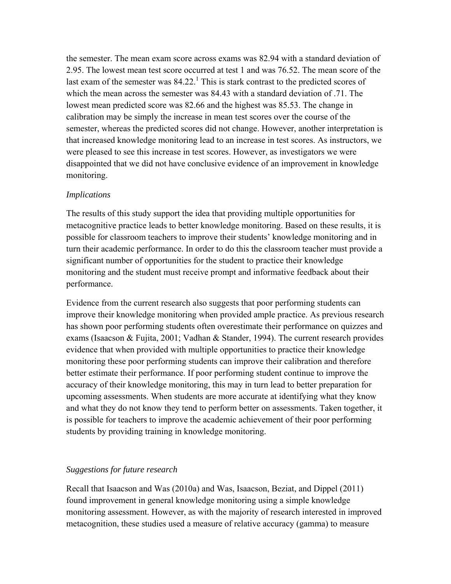the semester. The mean exam score across exams was 82.94 with a standard deviation of 2.95. The lowest mean test score occurred at test 1 and was 76.52. The mean score of the last exam of the semester was  $84.22$ .<sup>1</sup> This is stark contrast to the predicted scores of which the mean across the semester was 84.43 with a standard deviation of .71. The lowest mean predicted score was 82.66 and the highest was 85.53. The change in calibration may be simply the increase in mean test scores over the course of the semester, whereas the predicted scores did not change. However, another interpretation is that increased knowledge monitoring lead to an increase in test scores. As instructors, we were pleased to see this increase in test scores. However, as investigators we were disappointed that we did not have conclusive evidence of an improvement in knowledge monitoring.

## *Implications*

The results of this study support the idea that providing multiple opportunities for metacognitive practice leads to better knowledge monitoring. Based on these results, it is possible for classroom teachers to improve their students' knowledge monitoring and in turn their academic performance. In order to do this the classroom teacher must provide a significant number of opportunities for the student to practice their knowledge monitoring and the student must receive prompt and informative feedback about their performance.

Evidence from the current research also suggests that poor performing students can improve their knowledge monitoring when provided ample practice. As previous research has shown poor performing students often overestimate their performance on quizzes and exams (Isaacson & Fujita, 2001; Vadhan & Stander, 1994). The current research provides evidence that when provided with multiple opportunities to practice their knowledge monitoring these poor performing students can improve their calibration and therefore better estimate their performance. If poor performing student continue to improve the accuracy of their knowledge monitoring, this may in turn lead to better preparation for upcoming assessments. When students are more accurate at identifying what they know and what they do not know they tend to perform better on assessments. Taken together, it is possible for teachers to improve the academic achievement of their poor performing students by providing training in knowledge monitoring.

# *Suggestions for future research*

Recall that Isaacson and Was (2010a) and Was, Isaacson, Beziat, and Dippel (2011) found improvement in general knowledge monitoring using a simple knowledge monitoring assessment. However, as with the majority of research interested in improved metacognition, these studies used a measure of relative accuracy (gamma) to measure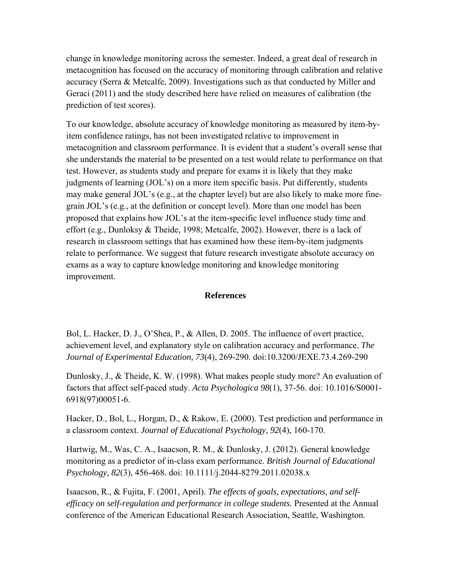change in knowledge monitoring across the semester. Indeed, a great deal of research in metacognition has focused on the accuracy of monitoring through calibration and relative accuracy (Serra & Metcalfe, 2009). Investigations such as that conducted by Miller and Geraci (2011) and the study described here have relied on measures of calibration (the prediction of test scores).

To our knowledge, absolute accuracy of knowledge monitoring as measured by item-byitem confidence ratings, has not been investigated relative to improvement in metacognition and classroom performance. It is evident that a student's overall sense that she understands the material to be presented on a test would relate to performance on that test. However, as students study and prepare for exams it is likely that they make judgments of learning (JOL's) on a more item specific basis. Put differently, students may make general JOL's (e.g., at the chapter level) but are also likely to make more finegrain JOL's (e.g., at the definition or concept level). More than one model has been proposed that explains how JOL's at the item-specific level influence study time and effort (e.g., Dunloksy & Theide, 1998; Metcalfe, 2002). However, there is a lack of research in classroom settings that has examined how these item-by-item judgments relate to performance. We suggest that future research investigate absolute accuracy on exams as a way to capture knowledge monitoring and knowledge monitoring improvement.

### **References**

Bol, L. Hacker, D. J., O'Shea, P., & Allen, D. 2005. The influence of overt practice, achievement level, and explanatory style on calibration accuracy and performance. *The Journal of Experimental Education, 73*(4), 269-290. doi:10.3200/JEXE.73.4.269-290

Dunlosky, J., & Theide, K. W. (1998). What makes people study more? An evaluation of factors that affect self-paced study. *Acta Psychologica 98*(1), 37-56. doi: 10.1016/S0001- 6918(97)00051-6.

Hacker, D., Bol, L., Horgan, D., & Rakow, E. (2000). Test prediction and performance in a classroom context. *Journal of Educational Psychology, 92*(4), 160-170.

Hartwig, M., Was, C. A., Isaacson, R. M., & Dunlosky, J. (2012). General knowledge monitoring as a predictor of in-class exam performance. *British Journal of Educational Psychology, 82*(3), 456-468*.* doi: 10.1111/j.2044-8279.2011.02038.x

Isaacson, R., & Fujita, F. (2001, April). *The effects of goals, expectations, and selfefficacy on self-regulation and performance in college students.* Presented at the Annual conference of the American Educational Research Association, Seattle, Washington.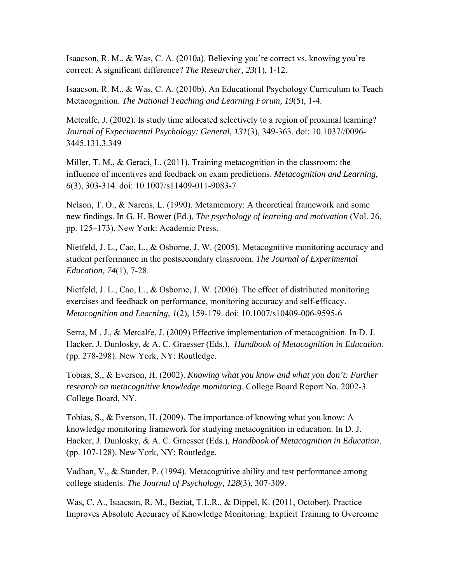Isaacson, R. M., & Was, C. A. (2010a). Believing you're correct vs. knowing you're correct: A significant difference? *The Researcher, 23*(1), 1-12.

Isaacson, R. M., & Was, C. A. (2010b). An Educational Psychology Curriculum to Teach Metacognition. *The National Teaching and Learning Forum, 19*(5), 1-4.

Metcalfe, J. (2002). Is study time allocated selectively to a region of proximal learning? *Journal of Experimental Psychology: General, 131*(3), 349-363. doi: 10.1037//0096- 3445.131.3.349

Miller, T. M., & Geraci, L. (2011). Training metacognition in the classroom: the influence of incentives and feedback on exam predictions. *Metacognition and Learning, 6*(3), 303-314. doi: 10.1007/s11409-011-9083-7

Nelson, T. O., & Narens, L. (1990). Metamemory: A theoretical framework and some new findings. In G. H. Bower (Ed.), *The psychology of learning and motivation* (Vol. 26, pp. 125–173). New York: Academic Press.

Nietfeld, J. L., Cao, L., & Osborne, J. W. (2005). Metacognitive monitoring accuracy and student performance in the postsecondary classroom. *The Journal of Experimental Education, 74*(1), 7-28.

Nietfeld, J. L., Cao, L., & Osborne, J. W. (2006). The effect of distributed monitoring exercises and feedback on performance, monitoring accuracy and self-efficacy. *Metacognition and Learning, 1*(2), 159-179. doi: 10.1007/s10409-006-9595-6

Serra, M . J., & Metcalfe, J. (2009) Effective implementation of metacognition. In D. J. Hacker, J. Dunlosky, & A. C. Graesser (Eds.), *Handbook of Metacognition in Education.*  (pp. 278-298). New York, NY: Routledge.

Tobias, S., & Everson, H. (2002). *Knowing what you know and what you don't: Further research on metacognitive knowledge monitoring*. College Board Report No. 2002-3. College Board, NY.

Tobias, S., & Everson, H. (2009). The importance of knowing what you know: A knowledge monitoring framework for studying metacognition in education. In D. J. Hacker, J. Dunlosky, & A. C. Graesser (Eds.), *Handbook of Metacognition in Education*. (pp. 107-128). New York, NY: Routledge.

Vadhan, V., & Stander, P. (1994). Metacognitive ability and test performance among college students. *The Journal of Psychology, 128*(3), 307-309.

Was, C. A., Isaacson, R. M., Beziat, T.L.R., & Dippel, K. (2011, October). Practice Improves Absolute Accuracy of Knowledge Monitoring: Explicit Training to Overcome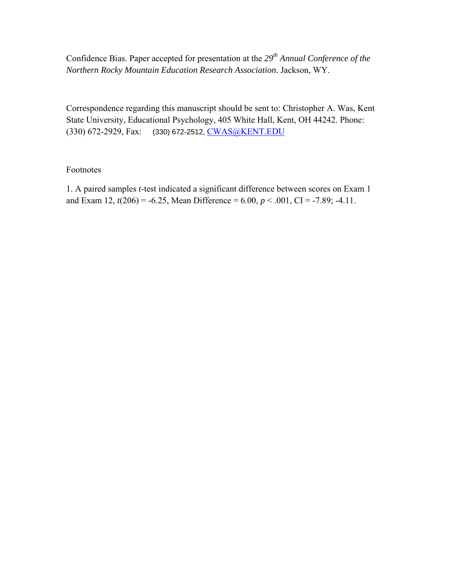Confidence Bias. Paper accepted for presentation at the 29<sup>th</sup> Annual Conference of the *Northern Rocky Mountain Education Research Association.* Jackson, WY.

Correspondence regarding this manuscript should be sent to: Christopher A. Was, Kent State University, Educational Psychology, 405 White Hall, Kent, OH 44242. Phone: (330) 672-2929, Fax: (330) 672-2512, CWAS@KENT.EDU

## Footnotes

1. A paired samples *t*-test indicated a significant difference between scores on Exam 1 and Exam 12,  $t(206) = -6.25$ , Mean Difference = 6.00,  $p < .001$ , CI = -7.89; -4.11.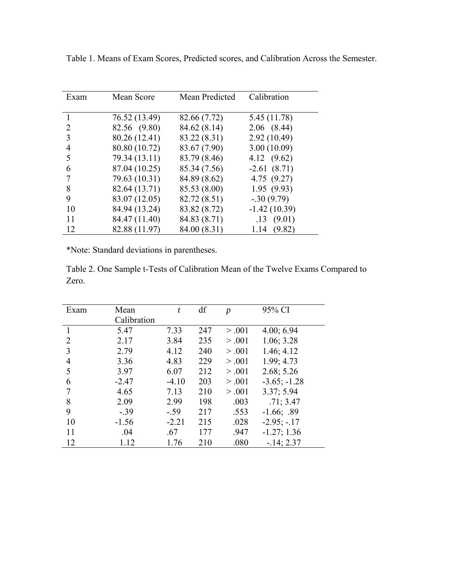| Exam | Mean Score    | Mean Predicted | Calibration     |
|------|---------------|----------------|-----------------|
|      | 76.52 (13.49) | 82.66 (7.72)   | 5.45 (11.78)    |
| 2    | 82.56 (9.80)  | 84.62 (8.14)   | $2.06$ $(8.44)$ |
| 3    | 80.26 (12.41) | 83.22 (8.31)   | 2.92(10.49)     |
| 4    | 80.80 (10.72) | 83.67 (7.90)   | 3.00(10.09)     |
| 5    | 79.34 (13.11) | 83.79 (8.46)   | 4.12 $(9.62)$   |
| 6    | 87.04 (10.25) | 85.34 (7.56)   | $-2.61(8.71)$   |
|      | 79.63 (10.31) | 84.89 (8.62)   | 4.75(9.27)      |
| 8    | 82.64 (13.71) | 85.53 (8.00)   | 1.95(9.93)      |
| 9    | 83.07 (12.05) | 82.72 (8.51)   | $-0.30(9.79)$   |
| 10   | 84.94 (13.24) | 83.82 (8.72)   | $-1.42(10.39)$  |
| 11   | 84.47 (11.40) | 84.83 (8.71)   | .13(9.01)       |
| 12   | 82.88 (11.97) | 84.00 (8.31)   | 1.14<br>(9.82)  |

Table 1. Means of Exam Scores, Predicted scores, and Calibration Across the Semester.

\*Note: Standard deviations in parentheses.

Table 2. One Sample t-Tests of Calibration Mean of the Twelve Exams Compared to Zero.

| Exam | Mean        | t       | df  | $\boldsymbol{p}$ | 95% CI         |
|------|-------------|---------|-----|------------------|----------------|
|      | Calibration |         |     |                  |                |
|      | 5.47        | 7.33    | 247 | > .001           | 4.00; 6.94     |
| 2    | 2.17        | 3.84    | 235 | > 0.001          | 1.06; 3.28     |
| 3    | 2.79        | 4.12    | 240 | > .001           | 1.46; 4.12     |
| 4    | 3.36        | 4.83    | 229 | > .001           | 1.99; 4.73     |
| 5    | 3.97        | 6.07    | 212 | > .001           | 2.68; 5.26     |
| 6    | $-2.47$     | $-4.10$ | 203 | > .001           | $-3.65; -1.28$ |
|      | 4.65        | 7.13    | 210 | > .001           | 3.37; 5.94     |
| 8    | 2.09        | 2.99    | 198 | .003             | .71; 3.47      |
| 9    | $-.39$      | $-.59$  | 217 | .553             | $-1.66; .89$   |
| 10   | $-1.56$     | $-2.21$ | 215 | .028             | $-2.95; -17$   |
| 11   | .04         | .67     | 177 | .947             | $-1.27; 1.36$  |
| 12   | 1.12        | 1.76    | 210 | .080             | $-14; 2.37$    |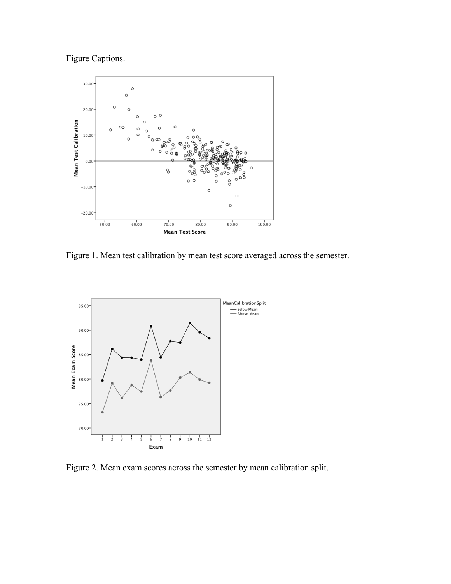Figure Captions.



Figure 1. Mean test calibration by mean test score averaged across the semester.



Figure 2. Mean exam scores across the semester by mean calibration split.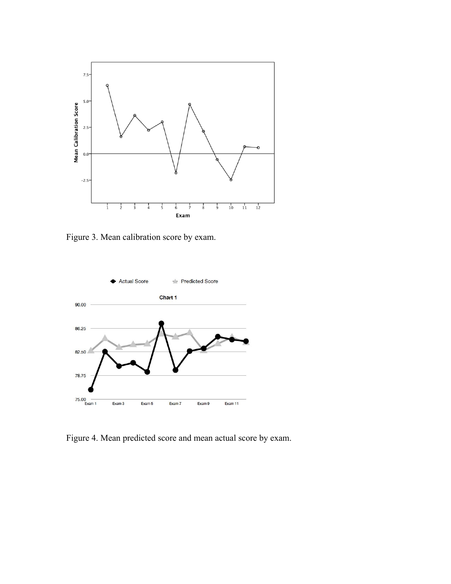

Figure 3. Mean calibration score by exam.



Figure 4. Mean predicted score and mean actual score by exam.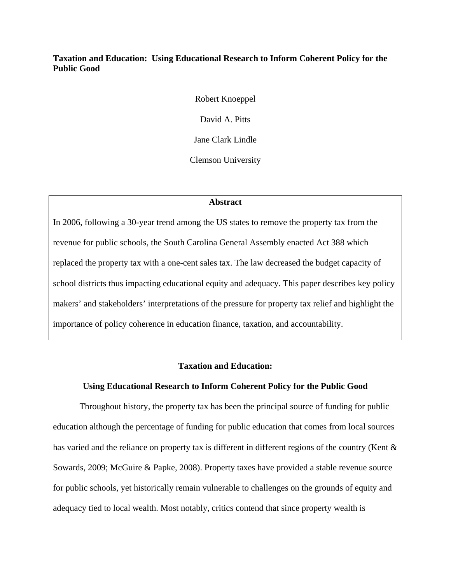## **Taxation and Education: Using Educational Research to Inform Coherent Policy for the Public Good**

Robert Knoeppel David A. Pitts Jane Clark Lindle Clemson University

#### **Abstract**

In 2006, following a 30-year trend among the US states to remove the property tax from the revenue for public schools, the South Carolina General Assembly enacted Act 388 which replaced the property tax with a one-cent sales tax. The law decreased the budget capacity of school districts thus impacting educational equity and adequacy. This paper describes key policy makers' and stakeholders' interpretations of the pressure for property tax relief and highlight the importance of policy coherence in education finance, taxation, and accountability.

### **Taxation and Education:**

## **Using Educational Research to Inform Coherent Policy for the Public Good**

Throughout history, the property tax has been the principal source of funding for public education although the percentage of funding for public education that comes from local sources has varied and the reliance on property tax is different in different regions of the country (Kent & Sowards, 2009; McGuire & Papke, 2008). Property taxes have provided a stable revenue source for public schools, yet historically remain vulnerable to challenges on the grounds of equity and adequacy tied to local wealth. Most notably, critics contend that since property wealth is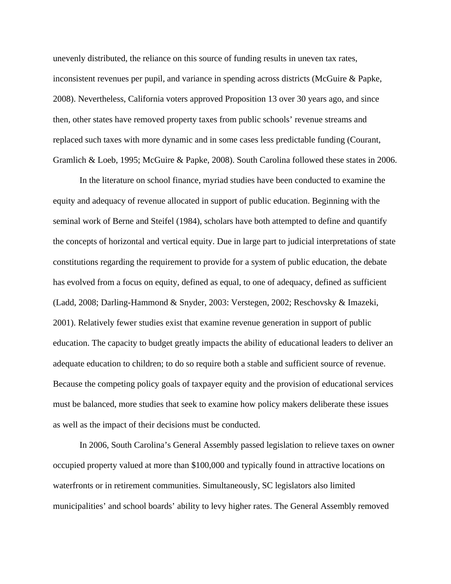unevenly distributed, the reliance on this source of funding results in uneven tax rates, inconsistent revenues per pupil, and variance in spending across districts (McGuire & Papke, 2008). Nevertheless, California voters approved Proposition 13 over 30 years ago, and since then, other states have removed property taxes from public schools' revenue streams and replaced such taxes with more dynamic and in some cases less predictable funding (Courant, Gramlich & Loeb, 1995; McGuire & Papke, 2008). South Carolina followed these states in 2006.

In the literature on school finance, myriad studies have been conducted to examine the equity and adequacy of revenue allocated in support of public education. Beginning with the seminal work of Berne and Steifel (1984), scholars have both attempted to define and quantify the concepts of horizontal and vertical equity. Due in large part to judicial interpretations of state constitutions regarding the requirement to provide for a system of public education, the debate has evolved from a focus on equity, defined as equal, to one of adequacy, defined as sufficient (Ladd, 2008; Darling-Hammond & Snyder, 2003: Verstegen, 2002; Reschovsky & Imazeki, 2001). Relatively fewer studies exist that examine revenue generation in support of public education. The capacity to budget greatly impacts the ability of educational leaders to deliver an adequate education to children; to do so require both a stable and sufficient source of revenue. Because the competing policy goals of taxpayer equity and the provision of educational services must be balanced, more studies that seek to examine how policy makers deliberate these issues as well as the impact of their decisions must be conducted.

In 2006, South Carolina's General Assembly passed legislation to relieve taxes on owner occupied property valued at more than \$100,000 and typically found in attractive locations on waterfronts or in retirement communities. Simultaneously, SC legislators also limited municipalities' and school boards' ability to levy higher rates. The General Assembly removed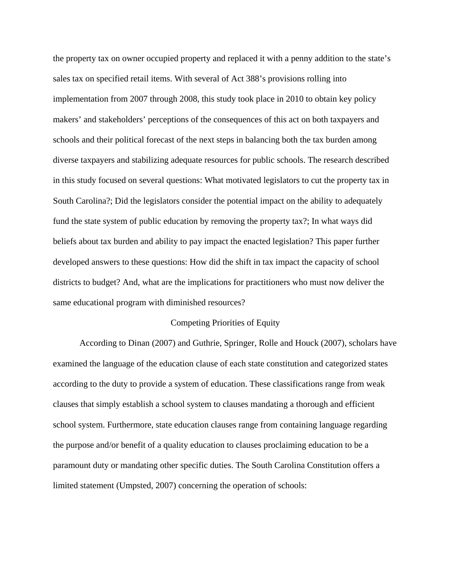the property tax on owner occupied property and replaced it with a penny addition to the state's sales tax on specified retail items. With several of Act 388's provisions rolling into implementation from 2007 through 2008, this study took place in 2010 to obtain key policy makers' and stakeholders' perceptions of the consequences of this act on both taxpayers and schools and their political forecast of the next steps in balancing both the tax burden among diverse taxpayers and stabilizing adequate resources for public schools. The research described in this study focused on several questions: What motivated legislators to cut the property tax in South Carolina?; Did the legislators consider the potential impact on the ability to adequately fund the state system of public education by removing the property tax?; In what ways did beliefs about tax burden and ability to pay impact the enacted legislation? This paper further developed answers to these questions: How did the shift in tax impact the capacity of school districts to budget? And, what are the implications for practitioners who must now deliver the same educational program with diminished resources?

#### Competing Priorities of Equity

According to Dinan (2007) and Guthrie, Springer, Rolle and Houck (2007), scholars have examined the language of the education clause of each state constitution and categorized states according to the duty to provide a system of education. These classifications range from weak clauses that simply establish a school system to clauses mandating a thorough and efficient school system. Furthermore, state education clauses range from containing language regarding the purpose and/or benefit of a quality education to clauses proclaiming education to be a paramount duty or mandating other specific duties. The South Carolina Constitution offers a limited statement (Umpsted, 2007) concerning the operation of schools: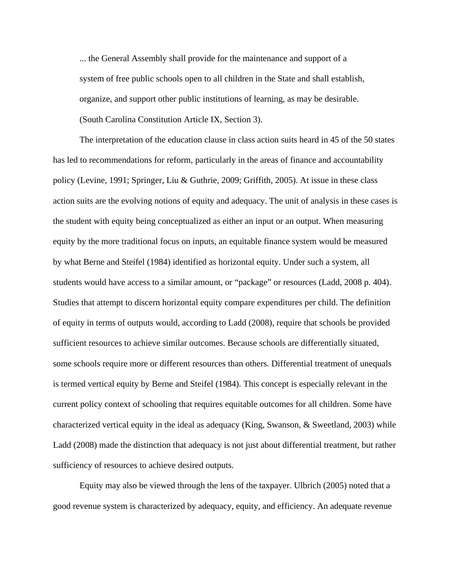... the General Assembly shall provide for the maintenance and support of a system of free public schools open to all children in the State and shall establish, organize, and support other public institutions of learning, as may be desirable. (South Carolina Constitution Article IX, Section 3).

The interpretation of the education clause in class action suits heard in 45 of the 50 states has led to recommendations for reform, particularly in the areas of finance and accountability policy (Levine, 1991; Springer, Liu & Guthrie, 2009; Griffith, 2005). At issue in these class action suits are the evolving notions of equity and adequacy. The unit of analysis in these cases is the student with equity being conceptualized as either an input or an output. When measuring equity by the more traditional focus on inputs, an equitable finance system would be measured by what Berne and Steifel (1984) identified as horizontal equity. Under such a system, all students would have access to a similar amount, or "package" or resources (Ladd, 2008 p. 404). Studies that attempt to discern horizontal equity compare expenditures per child. The definition of equity in terms of outputs would, according to Ladd (2008), require that schools be provided sufficient resources to achieve similar outcomes. Because schools are differentially situated, some schools require more or different resources than others. Differential treatment of unequals is termed vertical equity by Berne and Steifel (1984). This concept is especially relevant in the current policy context of schooling that requires equitable outcomes for all children. Some have characterized vertical equity in the ideal as adequacy (King, Swanson, & Sweetland, 2003) while Ladd (2008) made the distinction that adequacy is not just about differential treatment, but rather sufficiency of resources to achieve desired outputs.

Equity may also be viewed through the lens of the taxpayer. Ulbrich (2005) noted that a good revenue system is characterized by adequacy, equity, and efficiency. An adequate revenue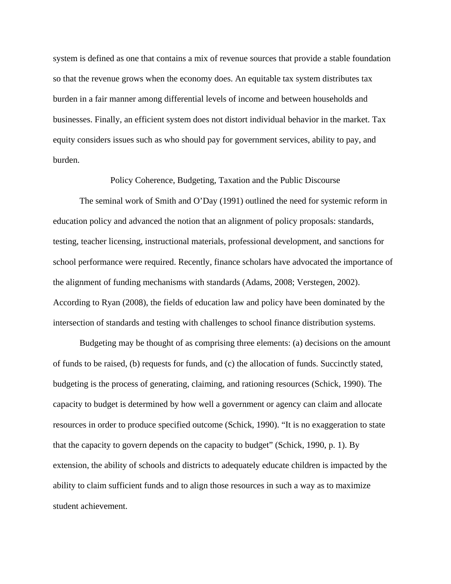system is defined as one that contains a mix of revenue sources that provide a stable foundation so that the revenue grows when the economy does. An equitable tax system distributes tax burden in a fair manner among differential levels of income and between households and businesses. Finally, an efficient system does not distort individual behavior in the market. Tax equity considers issues such as who should pay for government services, ability to pay, and burden.

Policy Coherence, Budgeting, Taxation and the Public Discourse

The seminal work of Smith and O'Day (1991) outlined the need for systemic reform in education policy and advanced the notion that an alignment of policy proposals: standards, testing, teacher licensing, instructional materials, professional development, and sanctions for school performance were required. Recently, finance scholars have advocated the importance of the alignment of funding mechanisms with standards (Adams, 2008; Verstegen, 2002). According to Ryan (2008), the fields of education law and policy have been dominated by the intersection of standards and testing with challenges to school finance distribution systems.

Budgeting may be thought of as comprising three elements: (a) decisions on the amount of funds to be raised, (b) requests for funds, and (c) the allocation of funds. Succinctly stated, budgeting is the process of generating, claiming, and rationing resources (Schick, 1990). The capacity to budget is determined by how well a government or agency can claim and allocate resources in order to produce specified outcome (Schick, 1990). "It is no exaggeration to state that the capacity to govern depends on the capacity to budget" (Schick, 1990, p. 1). By extension, the ability of schools and districts to adequately educate children is impacted by the ability to claim sufficient funds and to align those resources in such a way as to maximize student achievement.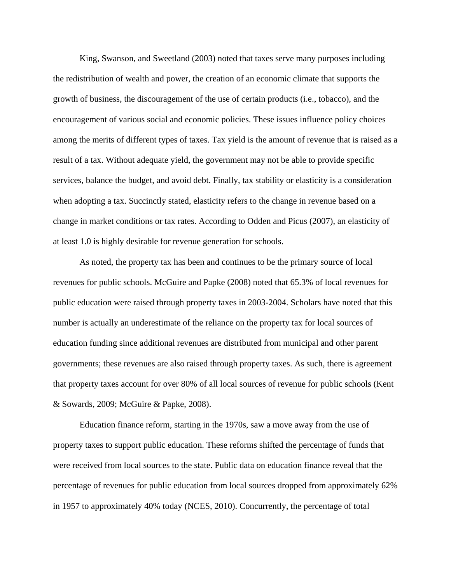King, Swanson, and Sweetland (2003) noted that taxes serve many purposes including the redistribution of wealth and power, the creation of an economic climate that supports the growth of business, the discouragement of the use of certain products (i.e., tobacco), and the encouragement of various social and economic policies. These issues influence policy choices among the merits of different types of taxes. Tax yield is the amount of revenue that is raised as a result of a tax. Without adequate yield, the government may not be able to provide specific services, balance the budget, and avoid debt. Finally, tax stability or elasticity is a consideration when adopting a tax. Succinctly stated, elasticity refers to the change in revenue based on a change in market conditions or tax rates. According to Odden and Picus (2007), an elasticity of at least 1.0 is highly desirable for revenue generation for schools.

As noted, the property tax has been and continues to be the primary source of local revenues for public schools. McGuire and Papke (2008) noted that 65.3% of local revenues for public education were raised through property taxes in 2003-2004. Scholars have noted that this number is actually an underestimate of the reliance on the property tax for local sources of education funding since additional revenues are distributed from municipal and other parent governments; these revenues are also raised through property taxes. As such, there is agreement that property taxes account for over 80% of all local sources of revenue for public schools (Kent & Sowards, 2009; McGuire & Papke, 2008).

Education finance reform, starting in the 1970s, saw a move away from the use of property taxes to support public education. These reforms shifted the percentage of funds that were received from local sources to the state. Public data on education finance reveal that the percentage of revenues for public education from local sources dropped from approximately 62% in 1957 to approximately 40% today (NCES, 2010). Concurrently, the percentage of total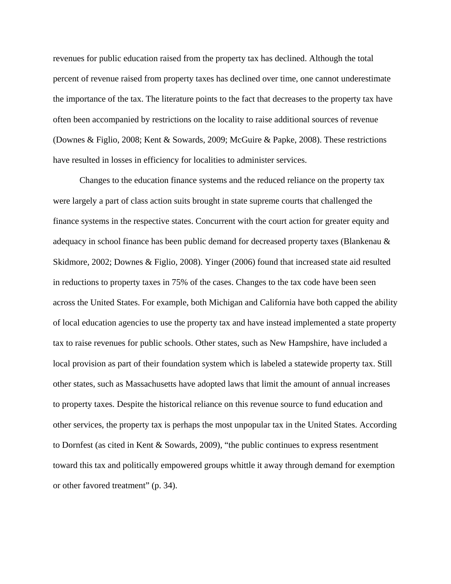revenues for public education raised from the property tax has declined. Although the total percent of revenue raised from property taxes has declined over time, one cannot underestimate the importance of the tax. The literature points to the fact that decreases to the property tax have often been accompanied by restrictions on the locality to raise additional sources of revenue (Downes & Figlio, 2008; Kent & Sowards, 2009; McGuire & Papke, 2008). These restrictions have resulted in losses in efficiency for localities to administer services.

Changes to the education finance systems and the reduced reliance on the property tax were largely a part of class action suits brought in state supreme courts that challenged the finance systems in the respective states. Concurrent with the court action for greater equity and adequacy in school finance has been public demand for decreased property taxes (Blankenau & Skidmore, 2002; Downes & Figlio, 2008). Yinger (2006) found that increased state aid resulted in reductions to property taxes in 75% of the cases. Changes to the tax code have been seen across the United States. For example, both Michigan and California have both capped the ability of local education agencies to use the property tax and have instead implemented a state property tax to raise revenues for public schools. Other states, such as New Hampshire, have included a local provision as part of their foundation system which is labeled a statewide property tax. Still other states, such as Massachusetts have adopted laws that limit the amount of annual increases to property taxes. Despite the historical reliance on this revenue source to fund education and other services, the property tax is perhaps the most unpopular tax in the United States. According to Dornfest (as cited in Kent & Sowards, 2009), "the public continues to express resentment toward this tax and politically empowered groups whittle it away through demand for exemption or other favored treatment" (p. 34).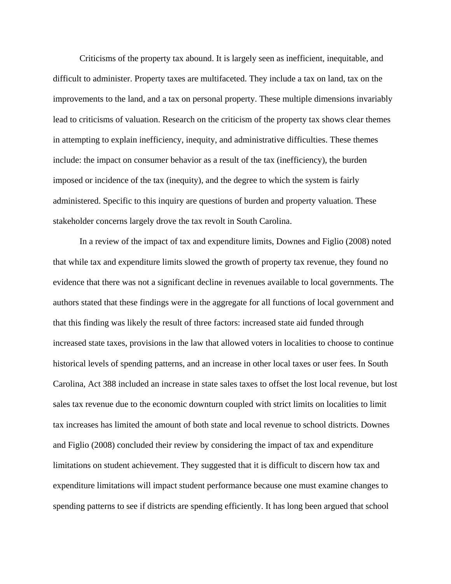Criticisms of the property tax abound. It is largely seen as inefficient, inequitable, and difficult to administer. Property taxes are multifaceted. They include a tax on land, tax on the improvements to the land, and a tax on personal property. These multiple dimensions invariably lead to criticisms of valuation. Research on the criticism of the property tax shows clear themes in attempting to explain inefficiency, inequity, and administrative difficulties. These themes include: the impact on consumer behavior as a result of the tax (inefficiency), the burden imposed or incidence of the tax (inequity), and the degree to which the system is fairly administered. Specific to this inquiry are questions of burden and property valuation. These stakeholder concerns largely drove the tax revolt in South Carolina.

In a review of the impact of tax and expenditure limits, Downes and Figlio (2008) noted that while tax and expenditure limits slowed the growth of property tax revenue, they found no evidence that there was not a significant decline in revenues available to local governments. The authors stated that these findings were in the aggregate for all functions of local government and that this finding was likely the result of three factors: increased state aid funded through increased state taxes, provisions in the law that allowed voters in localities to choose to continue historical levels of spending patterns, and an increase in other local taxes or user fees. In South Carolina, Act 388 included an increase in state sales taxes to offset the lost local revenue, but lost sales tax revenue due to the economic downturn coupled with strict limits on localities to limit tax increases has limited the amount of both state and local revenue to school districts. Downes and Figlio (2008) concluded their review by considering the impact of tax and expenditure limitations on student achievement. They suggested that it is difficult to discern how tax and expenditure limitations will impact student performance because one must examine changes to spending patterns to see if districts are spending efficiently. It has long been argued that school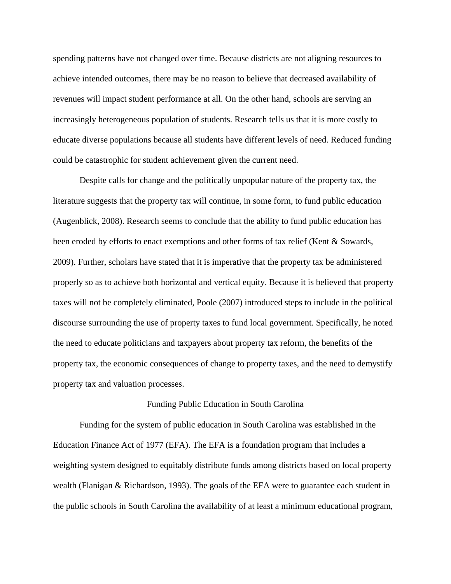spending patterns have not changed over time. Because districts are not aligning resources to achieve intended outcomes, there may be no reason to believe that decreased availability of revenues will impact student performance at all. On the other hand, schools are serving an increasingly heterogeneous population of students. Research tells us that it is more costly to educate diverse populations because all students have different levels of need. Reduced funding could be catastrophic for student achievement given the current need.

Despite calls for change and the politically unpopular nature of the property tax, the literature suggests that the property tax will continue, in some form, to fund public education (Augenblick, 2008). Research seems to conclude that the ability to fund public education has been eroded by efforts to enact exemptions and other forms of tax relief (Kent & Sowards, 2009). Further, scholars have stated that it is imperative that the property tax be administered properly so as to achieve both horizontal and vertical equity. Because it is believed that property taxes will not be completely eliminated, Poole (2007) introduced steps to include in the political discourse surrounding the use of property taxes to fund local government. Specifically, he noted the need to educate politicians and taxpayers about property tax reform, the benefits of the property tax, the economic consequences of change to property taxes, and the need to demystify property tax and valuation processes.

#### Funding Public Education in South Carolina

Funding for the system of public education in South Carolina was established in the Education Finance Act of 1977 (EFA). The EFA is a foundation program that includes a weighting system designed to equitably distribute funds among districts based on local property wealth (Flanigan & Richardson, 1993). The goals of the EFA were to guarantee each student in the public schools in South Carolina the availability of at least a minimum educational program,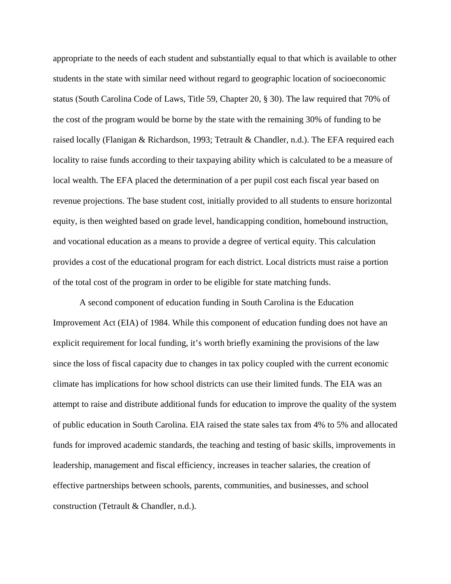appropriate to the needs of each student and substantially equal to that which is available to other students in the state with similar need without regard to geographic location of socioeconomic status (South Carolina Code of Laws, Title 59, Chapter 20, § 30). The law required that 70% of the cost of the program would be borne by the state with the remaining 30% of funding to be raised locally (Flanigan & Richardson, 1993; Tetrault & Chandler, n.d.). The EFA required each locality to raise funds according to their taxpaying ability which is calculated to be a measure of local wealth. The EFA placed the determination of a per pupil cost each fiscal year based on revenue projections. The base student cost, initially provided to all students to ensure horizontal equity, is then weighted based on grade level, handicapping condition, homebound instruction, and vocational education as a means to provide a degree of vertical equity. This calculation provides a cost of the educational program for each district. Local districts must raise a portion of the total cost of the program in order to be eligible for state matching funds.

A second component of education funding in South Carolina is the Education Improvement Act (EIA) of 1984. While this component of education funding does not have an explicit requirement for local funding, it's worth briefly examining the provisions of the law since the loss of fiscal capacity due to changes in tax policy coupled with the current economic climate has implications for how school districts can use their limited funds. The EIA was an attempt to raise and distribute additional funds for education to improve the quality of the system of public education in South Carolina. EIA raised the state sales tax from 4% to 5% and allocated funds for improved academic standards, the teaching and testing of basic skills, improvements in leadership, management and fiscal efficiency, increases in teacher salaries, the creation of effective partnerships between schools, parents, communities, and businesses, and school construction (Tetrault & Chandler, n.d.).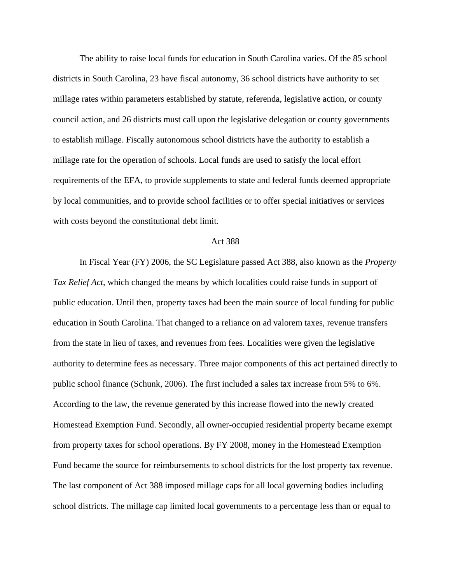The ability to raise local funds for education in South Carolina varies. Of the 85 school districts in South Carolina, 23 have fiscal autonomy, 36 school districts have authority to set millage rates within parameters established by statute, referenda, legislative action, or county council action, and 26 districts must call upon the legislative delegation or county governments to establish millage. Fiscally autonomous school districts have the authority to establish a millage rate for the operation of schools. Local funds are used to satisfy the local effort requirements of the EFA, to provide supplements to state and federal funds deemed appropriate by local communities, and to provide school facilities or to offer special initiatives or services with costs beyond the constitutional debt limit.

#### Act 388

In Fiscal Year (FY) 2006, the SC Legislature passed Act 388, also known as the *Property Tax Relief Act*, which changed the means by which localities could raise funds in support of public education. Until then, property taxes had been the main source of local funding for public education in South Carolina. That changed to a reliance on ad valorem taxes, revenue transfers from the state in lieu of taxes, and revenues from fees. Localities were given the legislative authority to determine fees as necessary. Three major components of this act pertained directly to public school finance (Schunk, 2006). The first included a sales tax increase from 5% to 6%. According to the law, the revenue generated by this increase flowed into the newly created Homestead Exemption Fund. Secondly, all owner-occupied residential property became exempt from property taxes for school operations. By FY 2008, money in the Homestead Exemption Fund became the source for reimbursements to school districts for the lost property tax revenue. The last component of Act 388 imposed millage caps for all local governing bodies including school districts. The millage cap limited local governments to a percentage less than or equal to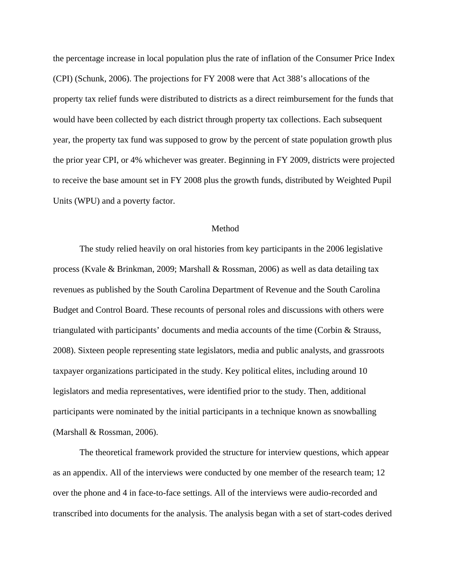the percentage increase in local population plus the rate of inflation of the Consumer Price Index (CPI) (Schunk, 2006). The projections for FY 2008 were that Act 388's allocations of the property tax relief funds were distributed to districts as a direct reimbursement for the funds that would have been collected by each district through property tax collections. Each subsequent year, the property tax fund was supposed to grow by the percent of state population growth plus the prior year CPI, or 4% whichever was greater. Beginning in FY 2009, districts were projected to receive the base amount set in FY 2008 plus the growth funds, distributed by Weighted Pupil Units (WPU) and a poverty factor.

#### **Method**

The study relied heavily on oral histories from key participants in the 2006 legislative process (Kvale & Brinkman, 2009; Marshall & Rossman, 2006) as well as data detailing tax revenues as published by the South Carolina Department of Revenue and the South Carolina Budget and Control Board. These recounts of personal roles and discussions with others were triangulated with participants' documents and media accounts of the time (Corbin & Strauss, 2008). Sixteen people representing state legislators, media and public analysts, and grassroots taxpayer organizations participated in the study. Key political elites, including around 10 legislators and media representatives, were identified prior to the study. Then, additional participants were nominated by the initial participants in a technique known as snowballing (Marshall & Rossman, 2006).

The theoretical framework provided the structure for interview questions, which appear as an appendix. All of the interviews were conducted by one member of the research team; 12 over the phone and 4 in face-to-face settings. All of the interviews were audio-recorded and transcribed into documents for the analysis. The analysis began with a set of start-codes derived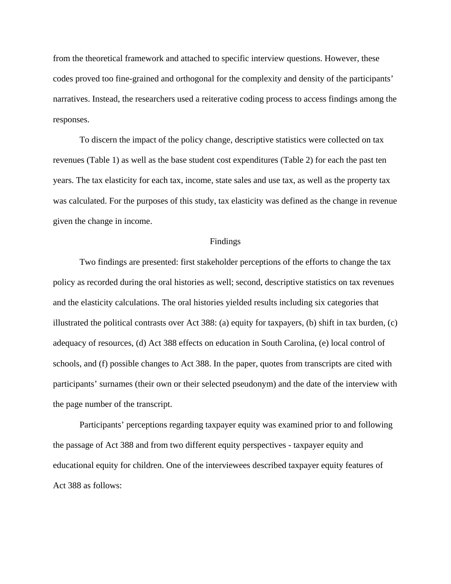from the theoretical framework and attached to specific interview questions. However, these codes proved too fine-grained and orthogonal for the complexity and density of the participants' narratives. Instead, the researchers used a reiterative coding process to access findings among the responses.

To discern the impact of the policy change, descriptive statistics were collected on tax revenues (Table 1) as well as the base student cost expenditures (Table 2) for each the past ten years. The tax elasticity for each tax, income, state sales and use tax, as well as the property tax was calculated. For the purposes of this study, tax elasticity was defined as the change in revenue given the change in income.

#### Findings

Two findings are presented: first stakeholder perceptions of the efforts to change the tax policy as recorded during the oral histories as well; second, descriptive statistics on tax revenues and the elasticity calculations. The oral histories yielded results including six categories that illustrated the political contrasts over Act 388: (a) equity for taxpayers, (b) shift in tax burden, (c) adequacy of resources, (d) Act 388 effects on education in South Carolina, (e) local control of schools, and (f) possible changes to Act 388. In the paper, quotes from transcripts are cited with participants' surnames (their own or their selected pseudonym) and the date of the interview with the page number of the transcript.

Participants' perceptions regarding taxpayer equity was examined prior to and following the passage of Act 388 and from two different equity perspectives - taxpayer equity and educational equity for children. One of the interviewees described taxpayer equity features of Act 388 as follows: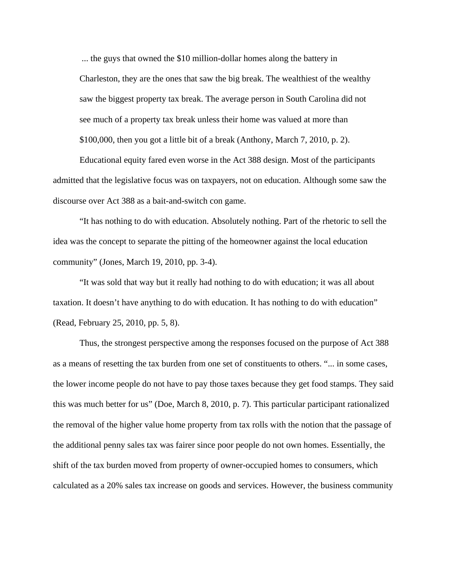... the guys that owned the \$10 million-dollar homes along the battery in Charleston, they are the ones that saw the big break. The wealthiest of the wealthy saw the biggest property tax break. The average person in South Carolina did not see much of a property tax break unless their home was valued at more than \$100,000, then you got a little bit of a break (Anthony, March 7, 2010, p. 2).

Educational equity fared even worse in the Act 388 design. Most of the participants admitted that the legislative focus was on taxpayers, not on education. Although some saw the discourse over Act 388 as a bait-and-switch con game.

"It has nothing to do with education. Absolutely nothing. Part of the rhetoric to sell the idea was the concept to separate the pitting of the homeowner against the local education community" (Jones, March 19, 2010, pp. 3-4).

"It was sold that way but it really had nothing to do with education; it was all about taxation. It doesn't have anything to do with education. It has nothing to do with education" (Read, February 25, 2010, pp. 5, 8).

Thus, the strongest perspective among the responses focused on the purpose of Act 388 as a means of resetting the tax burden from one set of constituents to others. "... in some cases, the lower income people do not have to pay those taxes because they get food stamps. They said this was much better for us" (Doe, March 8, 2010, p. 7). This particular participant rationalized the removal of the higher value home property from tax rolls with the notion that the passage of the additional penny sales tax was fairer since poor people do not own homes. Essentially, the shift of the tax burden moved from property of owner-occupied homes to consumers, which calculated as a 20% sales tax increase on goods and services. However, the business community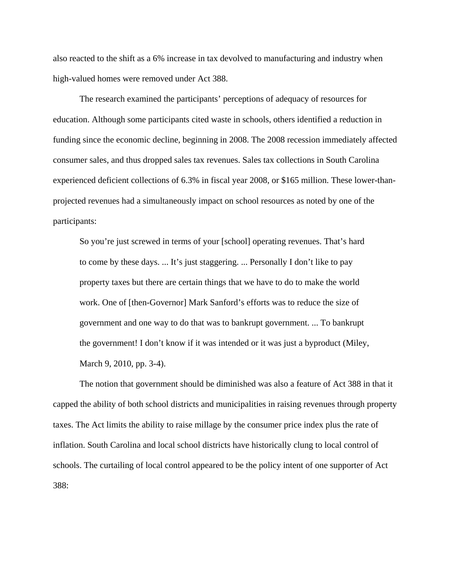also reacted to the shift as a 6% increase in tax devolved to manufacturing and industry when high-valued homes were removed under Act 388.

The research examined the participants' perceptions of adequacy of resources for education. Although some participants cited waste in schools, others identified a reduction in funding since the economic decline, beginning in 2008. The 2008 recession immediately affected consumer sales, and thus dropped sales tax revenues. Sales tax collections in South Carolina experienced deficient collections of 6.3% in fiscal year 2008, or \$165 million. These lower-thanprojected revenues had a simultaneously impact on school resources as noted by one of the participants:

So you're just screwed in terms of your [school] operating revenues. That's hard to come by these days. ... It's just staggering. ... Personally I don't like to pay property taxes but there are certain things that we have to do to make the world work. One of [then-Governor] Mark Sanford's efforts was to reduce the size of government and one way to do that was to bankrupt government. ... To bankrupt the government! I don't know if it was intended or it was just a byproduct (Miley, March 9, 2010, pp. 3-4).

The notion that government should be diminished was also a feature of Act 388 in that it capped the ability of both school districts and municipalities in raising revenues through property taxes. The Act limits the ability to raise millage by the consumer price index plus the rate of inflation. South Carolina and local school districts have historically clung to local control of schools. The curtailing of local control appeared to be the policy intent of one supporter of Act 388: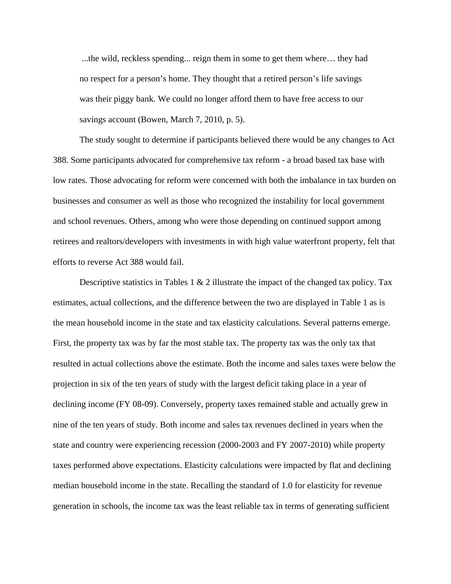...the wild, reckless spending... reign them in some to get them where… they had no respect for a person's home. They thought that a retired person's life savings was their piggy bank. We could no longer afford them to have free access to our savings account (Bowen, March 7, 2010, p. 5).

The study sought to determine if participants believed there would be any changes to Act 388. Some participants advocated for comprehensive tax reform - a broad based tax base with low rates. Those advocating for reform were concerned with both the imbalance in tax burden on businesses and consumer as well as those who recognized the instability for local government and school revenues. Others, among who were those depending on continued support among retirees and realtors/developers with investments in with high value waterfront property, felt that efforts to reverse Act 388 would fail.

Descriptive statistics in Tables 1  $\&$  2 illustrate the impact of the changed tax policy. Tax estimates, actual collections, and the difference between the two are displayed in Table 1 as is the mean household income in the state and tax elasticity calculations. Several patterns emerge. First, the property tax was by far the most stable tax. The property tax was the only tax that resulted in actual collections above the estimate. Both the income and sales taxes were below the projection in six of the ten years of study with the largest deficit taking place in a year of declining income (FY 08-09). Conversely, property taxes remained stable and actually grew in nine of the ten years of study. Both income and sales tax revenues declined in years when the state and country were experiencing recession (2000-2003 and FY 2007-2010) while property taxes performed above expectations. Elasticity calculations were impacted by flat and declining median household income in the state. Recalling the standard of 1.0 for elasticity for revenue generation in schools, the income tax was the least reliable tax in terms of generating sufficient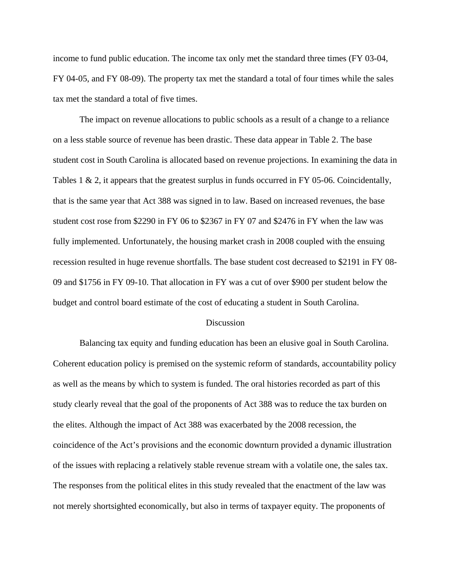income to fund public education. The income tax only met the standard three times (FY 03-04, FY 04-05, and FY 08-09). The property tax met the standard a total of four times while the sales tax met the standard a total of five times.

The impact on revenue allocations to public schools as a result of a change to a reliance on a less stable source of revenue has been drastic. These data appear in Table 2. The base student cost in South Carolina is allocated based on revenue projections. In examining the data in Tables 1 & 2, it appears that the greatest surplus in funds occurred in FY 05-06. Coincidentally, that is the same year that Act 388 was signed in to law. Based on increased revenues, the base student cost rose from \$2290 in FY 06 to \$2367 in FY 07 and \$2476 in FY when the law was fully implemented. Unfortunately, the housing market crash in 2008 coupled with the ensuing recession resulted in huge revenue shortfalls. The base student cost decreased to \$2191 in FY 08- 09 and \$1756 in FY 09-10. That allocation in FY was a cut of over \$900 per student below the budget and control board estimate of the cost of educating a student in South Carolina.

#### Discussion

Balancing tax equity and funding education has been an elusive goal in South Carolina. Coherent education policy is premised on the systemic reform of standards, accountability policy as well as the means by which to system is funded. The oral histories recorded as part of this study clearly reveal that the goal of the proponents of Act 388 was to reduce the tax burden on the elites. Although the impact of Act 388 was exacerbated by the 2008 recession, the coincidence of the Act's provisions and the economic downturn provided a dynamic illustration of the issues with replacing a relatively stable revenue stream with a volatile one, the sales tax. The responses from the political elites in this study revealed that the enactment of the law was not merely shortsighted economically, but also in terms of taxpayer equity. The proponents of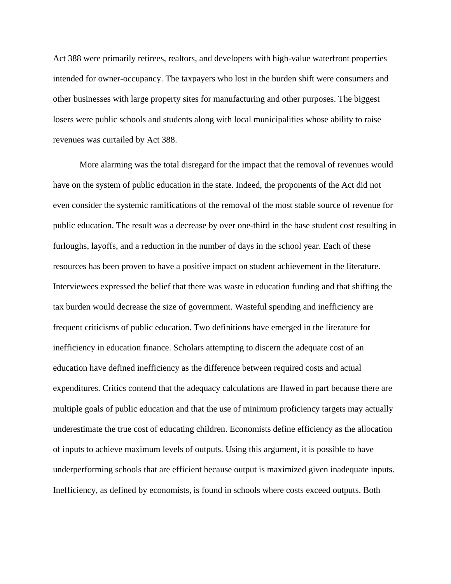Act 388 were primarily retirees, realtors, and developers with high-value waterfront properties intended for owner-occupancy. The taxpayers who lost in the burden shift were consumers and other businesses with large property sites for manufacturing and other purposes. The biggest losers were public schools and students along with local municipalities whose ability to raise revenues was curtailed by Act 388.

More alarming was the total disregard for the impact that the removal of revenues would have on the system of public education in the state. Indeed, the proponents of the Act did not even consider the systemic ramifications of the removal of the most stable source of revenue for public education. The result was a decrease by over one-third in the base student cost resulting in furloughs, layoffs, and a reduction in the number of days in the school year. Each of these resources has been proven to have a positive impact on student achievement in the literature. Interviewees expressed the belief that there was waste in education funding and that shifting the tax burden would decrease the size of government. Wasteful spending and inefficiency are frequent criticisms of public education. Two definitions have emerged in the literature for inefficiency in education finance. Scholars attempting to discern the adequate cost of an education have defined inefficiency as the difference between required costs and actual expenditures. Critics contend that the adequacy calculations are flawed in part because there are multiple goals of public education and that the use of minimum proficiency targets may actually underestimate the true cost of educating children. Economists define efficiency as the allocation of inputs to achieve maximum levels of outputs. Using this argument, it is possible to have underperforming schools that are efficient because output is maximized given inadequate inputs. Inefficiency, as defined by economists, is found in schools where costs exceed outputs. Both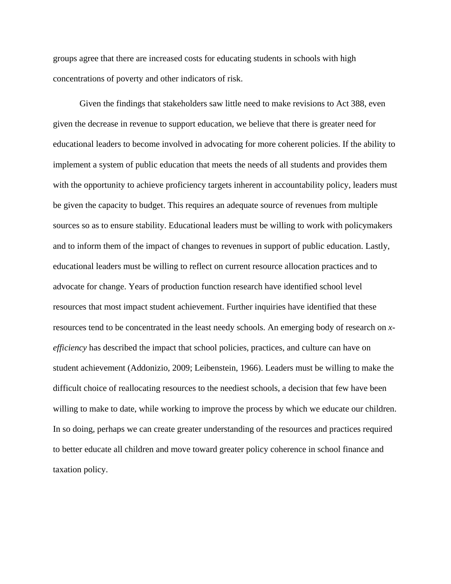groups agree that there are increased costs for educating students in schools with high concentrations of poverty and other indicators of risk.

Given the findings that stakeholders saw little need to make revisions to Act 388, even given the decrease in revenue to support education, we believe that there is greater need for educational leaders to become involved in advocating for more coherent policies. If the ability to implement a system of public education that meets the needs of all students and provides them with the opportunity to achieve proficiency targets inherent in accountability policy, leaders must be given the capacity to budget. This requires an adequate source of revenues from multiple sources so as to ensure stability. Educational leaders must be willing to work with policymakers and to inform them of the impact of changes to revenues in support of public education. Lastly, educational leaders must be willing to reflect on current resource allocation practices and to advocate for change. Years of production function research have identified school level resources that most impact student achievement. Further inquiries have identified that these resources tend to be concentrated in the least needy schools. An emerging body of research on *xefficiency* has described the impact that school policies, practices, and culture can have on student achievement (Addonizio, 2009; Leibenstein, 1966). Leaders must be willing to make the difficult choice of reallocating resources to the neediest schools, a decision that few have been willing to make to date, while working to improve the process by which we educate our children. In so doing, perhaps we can create greater understanding of the resources and practices required to better educate all children and move toward greater policy coherence in school finance and taxation policy.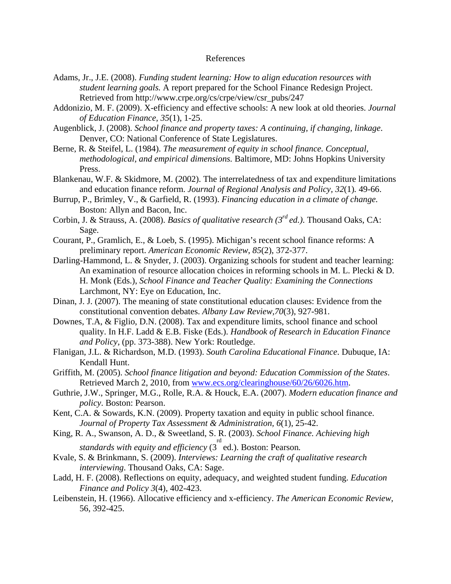### References

- Adams, Jr., J.E. (2008). *Funding student learning: How to align education resources with student learning goals.* A report prepared for the School Finance Redesign Project. Retrieved from http://www.crpe.org/cs/crpe/view/csr\_pubs/247
- Addonizio, M. F. (2009). X-efficiency and effective schools: A new look at old theories. *Journal of Education Finance, 35*(1), 1-25.
- Augenblick, J. (2008). *School finance and property taxes: A continuing, if changing, linkage*. Denver, CO: National Conference of State Legislatures.
- Berne, R. & Steifel, L. (1984). *The measurement of equity in school finance. Conceptual, methodological, and empirical dimensions.* Baltimore, MD: Johns Hopkins University Press.
- Blankenau, W.F. & Skidmore, M. (2002). The interrelatedness of tax and expenditure limitations and education finance reform. *Journal of Regional Analysis and Policy, 32*(1)*.* 49-66.
- Burrup, P., Brimley, V., & Garfield, R. (1993). *Financing education in a climate of change.*  Boston: Allyn and Bacon, Inc.
- Corbin, J. & Strauss, A. (2008). *Basics of qualitative research (3rd ed.)*. Thousand Oaks, CA: Sage.
- Courant, P., Gramlich, E., & Loeb, S. (1995). Michigan's recent school finance reforms: A preliminary report. *American Economic Review*, *85*(2), 372-377.
- Darling-Hammond, L. & Snyder, J. (2003). Organizing schools for student and teacher learning: An examination of resource allocation choices in reforming schools in M. L. Plecki & D. H. Monk (Eds.), *School Finance and Teacher Quality: Examining the Connections* Larchmont, NY: Eye on Education, Inc.
- Dinan, J. J. (2007). The meaning of state constitutional education clauses: Evidence from the constitutional convention debates. *Albany Law Review,70*(3), 927-981.
- Downes, T.A, & Figlio, D.N. (2008). Tax and expenditure limits, school finance and school quality. In H.F. Ladd & E.B. Fiske (Eds.). *Handbook of Research in Education Finance and Policy,* (pp. 373-388). New York: Routledge.
- Flanigan, J.L. & Richardson, M.D. (1993). *South Carolina Educational Finance*. Dubuque, IA: Kendall Hunt.
- Griffith, M. (2005). *School finance litigation and beyond: Education Commission of the States*. Retrieved March 2, 2010, from www.ecs.org/clearinghouse/60/26/6026.htm.
- Guthrie, J.W., Springer, M.G., Rolle, R.A. & Houck, E.A. (2007). *Modern education finance and policy*. Boston: Pearson.
- Kent, C.A. & Sowards, K.N. (2009). Property taxation and equity in public school finance. *Journal of Property Tax Assessment & Administration, 6*(1), 25-42.
- King, R. A., Swanson, A. D., & Sweetland, S. R. (2003). *School Finance. Achieving high standards with equity and efficiency* (3<sup>rd</sup> ed.). Boston: Pearson.
- Kvale, S. & Brinkmann, S. (2009). *Interviews: Learning the craft of qualitative research interviewing*. Thousand Oaks, CA: Sage.
- Ladd, H. F. (2008). Reflections on equity, adequacy, and weighted student funding. *Education Finance and Policy 3*(4), 402-423.
- Leibenstein, H. (1966). Allocative efficiency and x-efficiency. *The American Economic Review*, 56, 392-425.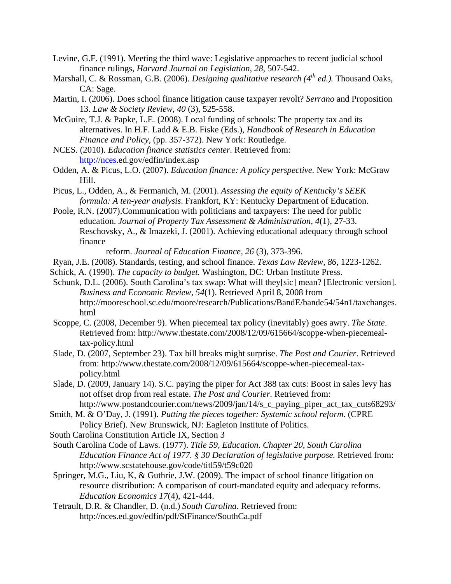- Levine, G.F. (1991). Meeting the third wave: Legislative approaches to recent judicial school finance rulings, *Harvard Journal on Legislation, 28,* 507-542.
- Marshall, C. & Rossman, G.B. (2006). *Designing qualitative research* (4<sup>th</sup> ed.). Thousand Oaks, CA: Sage.
- Martin, I. (2006). Does school finance litigation cause taxpayer revolt? *Serrano* and Proposition 13. *Law & Society Review, 40* (3), 525-558.
- McGuire, T.J. & Papke, L.E. (2008). Local funding of schools: The property tax and its alternatives. In H.F. Ladd & E.B. Fiske (Eds.), *Handbook of Research in Education Finance and Policy,* (pp. 357-372). New York: Routledge.
- NCES. (2010). *Education finance statistics center*. Retrieved from: http://nces.ed.gov/edfin/index.asp
- Odden, A. & Picus, L.O. (2007). *Education finance: A policy perspective.* New York: McGraw Hill.
- Picus, L., Odden, A., & Fermanich, M. (2001). *Assessing the equity of Kentucky's SEEK formula: A ten-year analysis*. Frankfort, KY: Kentucky Department of Education.
- Poole, R.N. (2007).Communication with politicians and taxpayers: The need for public education. *Journal of Property Tax Assessment & Administration, 4*(1), 27-33. Reschovsky, A., & Imazeki, J. (2001). Achieving educational adequacy through school finance

reform. *Journal of Education Finance, 26* (3), 373-396.

- Ryan, J.E. (2008). Standards, testing, and school finance. *Texas Law Review, 86*, 1223-1262.
- Schick, A. (1990). *The capacity to budget.* Washington, DC: Urban Institute Press.
- Schunk, D.L. (2006). South Carolina's tax swap: What will they[sic] mean? [Electronic version]. *Business and Economic Review, 54*(1). Retrieved April 8, 2008 from http://mooreschool.sc.edu/moore/research/Publications/BandE/bande54/54n1/taxchanges. html
- Scoppe, C. (2008, December 9). When piecemeal tax policy (inevitably) goes awry. *The State*. Retrieved from: http://www.thestate.com/2008/12/09/615664/scoppe-when-piecemealtax-policy.html
- Slade, D. (2007, September 23). Tax bill breaks might surprise. *The Post and Courier*. Retrieved from: http://www.thestate.com/2008/12/09/615664/scoppe-when-piecemeal-taxpolicy.html
- Slade, D. (2009, January 14). S.C. paying the piper for Act 388 tax cuts: Boost in sales levy has not offset drop from real estate. *The Post and Courier*. Retrieved from: http://www.postandcourier.com/news/2009/jan/14/s\_c\_paying\_piper\_act\_tax\_cuts68293/
- Smith, M. & O'Day, J. (1991). *Putting the pieces together: Systemic school reform.* (CPRE Policy Brief). New Brunswick, NJ: Eagleton Institute of Politics.
- South Carolina Constitution Article IX, Section 3
- South Carolina Code of Laws. (1977). *Title 59, Education. Chapter 20, South Carolina Education Finance Act of 1977. § 30 Declaration of legislative purpose. Retrieved from:* http://www.scstatehouse.gov/code/titl59/t59c020
- Springer, M.G., Liu, K, & Guthrie, J.W. (2009). The impact of school finance litigation on resource distribution: A comparison of court-mandated equity and adequacy reforms. *Education Economics 17*(4), 421-444.
- Tetrault, D.R. & Chandler, D. (n.d.) *South Carolina*. Retrieved from: http://nces.ed.gov/edfin/pdf/StFinance/SouthCa.pdf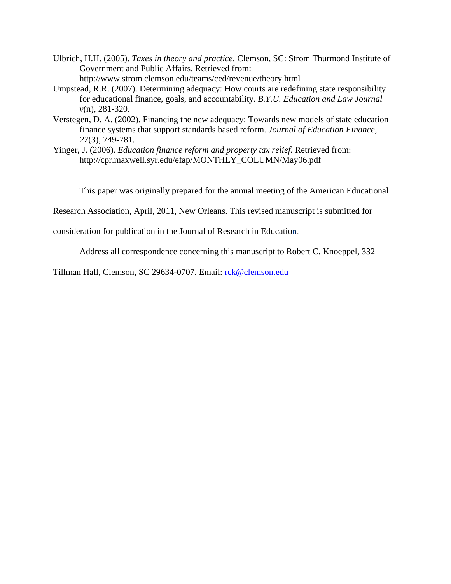- Ulbrich, H.H. (2005). *Taxes in theory and practice.* Clemson, SC: Strom Thurmond Institute of Government and Public Affairs. Retrieved from: http://www.strom.clemson.edu/teams/ced/revenue/theory.html
- Umpstead, R.R. (2007). Determining adequacy: How courts are redefining state responsibility for educational finance, goals, and accountability. *B.Y.U. Education and Law Journal v*(n), 281-320.
- Verstegen, D. A. (2002). Financing the new adequacy: Towards new models of state education finance systems that support standards based reform. *Journal of Education Finance, 27*(3), 749-781.
- Yinger, J. (2006). *Education finance reform and property tax relief.* Retrieved from: http://cpr.maxwell.syr.edu/efap/MONTHLY\_COLUMN/May06.pdf

This paper was originally prepared for the annual meeting of the American Educational

Research Association, April, 2011, New Orleans. This revised manuscript is submitted for

consideration for publication in the Journal of Research in Education.

Address all correspondence concerning this manuscript to Robert C. Knoeppel, 332

Tillman Hall, Clemson, SC 29634-0707. Email: rck@clemson.edu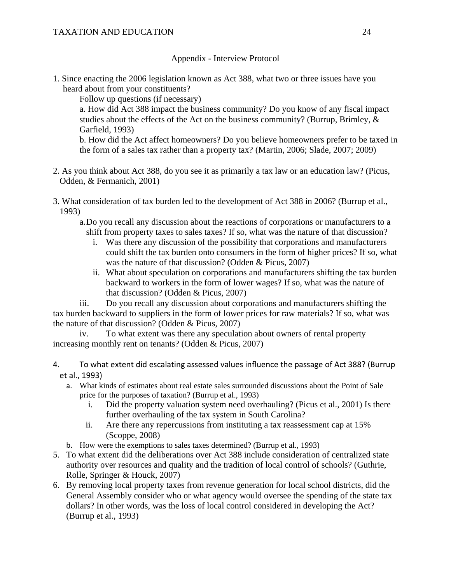## TAXATION AND EDUCATION 24

Appendix - Interview Protocol

1. Since enacting the 2006 legislation known as Act 388, what two or three issues have you heard about from your constituents?

Follow up questions (if necessary)

a. How did Act 388 impact the business community? Do you know of any fiscal impact studies about the effects of the Act on the business community? (Burrup, Brimley,  $\&$ Garfield, 1993)

b. How did the Act affect homeowners? Do you believe homeowners prefer to be taxed in the form of a sales tax rather than a property tax? (Martin, 2006; Slade, 2007; 2009)

- 2. As you think about Act 388, do you see it as primarily a tax law or an education law? (Picus, Odden, & Fermanich, 2001)
- 3. What consideration of tax burden led to the development of Act 388 in 2006? (Burrup et al., 1993)
	- a.Do you recall any discussion about the reactions of corporations or manufacturers to a shift from property taxes to sales taxes? If so, what was the nature of that discussion?
		- i. Was there any discussion of the possibility that corporations and manufacturers could shift the tax burden onto consumers in the form of higher prices? If so, what was the nature of that discussion? (Odden & Picus, 2007)
		- ii. What about speculation on corporations and manufacturers shifting the tax burden backward to workers in the form of lower wages? If so, what was the nature of that discussion? (Odden & Picus, 2007)

iii. Do you recall any discussion about corporations and manufacturers shifting the tax burden backward to suppliers in the form of lower prices for raw materials? If so, what was the nature of that discussion? (Odden & Picus, 2007)

iv. To what extent was there any speculation about owners of rental property increasing monthly rent on tenants? (Odden & Picus, 2007)

- 4. To what extent did escalating assessed values influence the passage of Act 388? (Burrup et al., 1993)
	- a. What kinds of estimates about real estate sales surrounded discussions about the Point of Sale price for the purposes of taxation? (Burrup et al., 1993)
		- i. Did the property valuation system need overhauling? (Picus et al., 2001) Is there further overhauling of the tax system in South Carolina?
		- ii. Are there any repercussions from instituting a tax reassessment cap at 15% (Scoppe, 2008)
	- b. How were the exemptions to sales taxes determined? (Burrup et al., 1993)
- 5. To what extent did the deliberations over Act 388 include consideration of centralized state authority over resources and quality and the tradition of local control of schools? (Guthrie, Rolle, Springer & Houck, 2007)
- 6. By removing local property taxes from revenue generation for local school districts, did the General Assembly consider who or what agency would oversee the spending of the state tax dollars? In other words, was the loss of local control considered in developing the Act? (Burrup et al., 1993)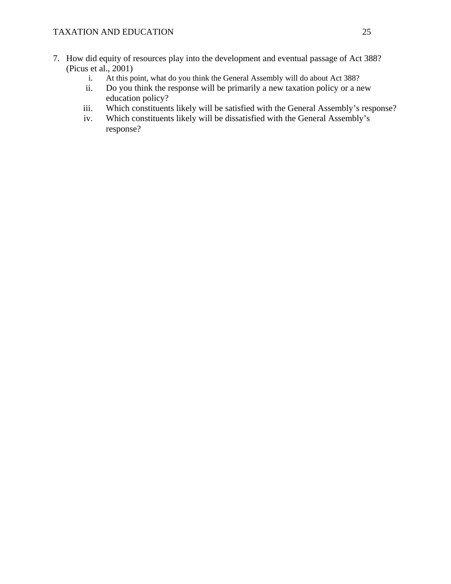- 7. How did equity of resources play into the development and eventual passage of Act 388? (Picus et al., 2001)
	- i. At this point, what do you think the General Assembly will do about Act 388?
	- ii. Do you think the response will be primarily a new taxation policy or a new education policy?
	- iii. Which constituents likely will be satisfied with the General Assembly's response?
	- iv. Which constituents likely will be dissatisfied with the General Assembly's response?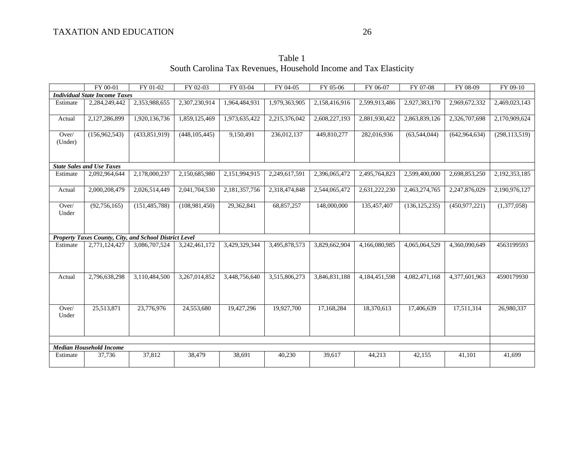Table 1 South Carolina Tax Revenues, Household Income and Tax Elasticity

|                                      | FY 00-01                                               | FY 01-02        | FY 02-03        | FY 03-04      | FY 04-05      | FY 05-06      | FY 06-07      | FY 07-08        | FY 08-09        | FY 09-10        |
|--------------------------------------|--------------------------------------------------------|-----------------|-----------------|---------------|---------------|---------------|---------------|-----------------|-----------------|-----------------|
| <b>Individual State Income Taxes</b> |                                                        |                 |                 |               |               |               |               |                 |                 |                 |
| Estimate                             | 2,284,249,442                                          | 2,353,988,655   | 2,307,230,914   | 1,964,484,931 | 1,979,363,905 | 2,158,416,916 | 2,599,913,486 | 2,927,383,170   | 2,969,672,332   | 2,469,023,143   |
| Actual                               | 2,127,286,899                                          | 1,920,136,736   | 1,859,125,469   | 1,973,635,422 | 2,215,376,042 | 2,608,227,193 | 2,881,930,422 | 2,863,839,126   | 2,326,707,698   | 2,170,909,624   |
| Over/<br>(Under)                     | (156, 962, 543)                                        | (433,851,919)   | (448, 105, 445) | 9,150,491     | 236,012,137   | 449,810,277   | 282,016,936   | (63, 544, 044)  | (642, 964, 634) | (298, 113, 519) |
|                                      | <b>State Sales and Use Taxes</b>                       |                 |                 |               |               |               |               |                 |                 |                 |
| Estimate                             | 2,092,964,644                                          | 2,178,000,237   | 2,150,685,980   | 2,151,994,915 | 2,249,617,591 | 2,396,065,472 | 2,495,764,823 | 2,599,400,000   | 2,698,853,250   | 2,192,353,185   |
| Actual                               | 2,000,208,479                                          | 2,026,514,449   | 2,041,704,530   | 2,181,357,756 | 2,318,474,848 | 2,544,065,472 | 2,631,222,230 | 2,463,274,765   | 2,247,876,029   | 2,190,976,127   |
| Over/<br>Under                       | (92, 756, 165)                                         | (151, 485, 788) | (108,981,450)   | 29,362,841    | 68,857,257    | 148,000,000   | 135,457,407   | (136, 125, 235) | (450, 977, 221) | (1,377,058)     |
|                                      | Property Taxes County, City, and School District Level |                 |                 |               |               |               |               |                 |                 |                 |
| Estimate                             | 2,771,124,427                                          | 3,086,707,524   | 3,242,461,172   | 3,429,329,344 | 3,495,878,573 | 3,829,662,904 | 4,166,080,985 | 4,065,064,529   | 4,360,090,649   | 4563199593      |
| Actual                               | 2,796,638,298                                          | 3,110,484,500   | 3,267,014,852   | 3,448,756,640 | 3,515,806,273 | 3,846,831,188 | 4,184,451,598 | 4,082,471,168   | 4,377,601,963   | 4590179930      |
| Over/<br>Under                       | 25,513,871                                             | 23,776,976      | 24,553,680      | 19,427,296    | 19,927,700    | 17.168.284    | 18,370,613    | 17,406,639      | 17.511.314      | 26,980,337      |
|                                      |                                                        |                 |                 |               |               |               |               |                 |                 |                 |
|                                      | <b>Median Household Income</b>                         |                 |                 |               |               |               |               |                 |                 |                 |
| Estimate                             | 37,736                                                 | 37,812          | 38,479          | 38,691        | 40,230        | 39,617        | 44,213        | 42,155          | 41,101          | 41,699          |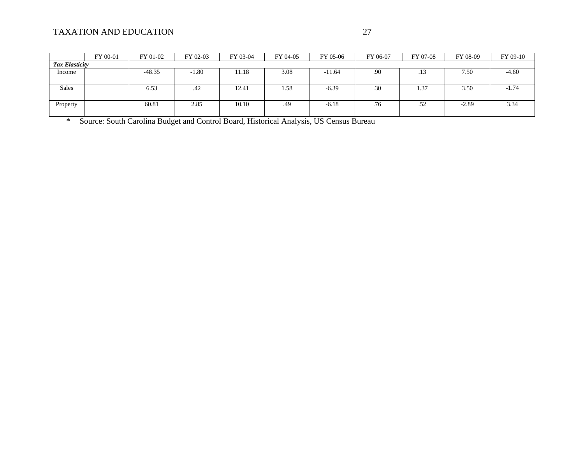|                       | FY 00-01 | FY 01-02 | FY 02-03 | FY 03-04 | FY 04-05 | FY 05-06 | FY 06-07 | FY 07-08 | FY 08-09 | FY 09-10 |
|-----------------------|----------|----------|----------|----------|----------|----------|----------|----------|----------|----------|
| <b>Tax Elasticity</b> |          |          |          |          |          |          |          |          |          |          |
| Income                |          | $-48.35$ | $-1.80$  | 11.18    | 3.08     | $-11.64$ | .90      | .13      | 7.50     | $-4.60$  |
|                       |          |          |          |          |          |          |          |          |          |          |
| <b>Sales</b>          |          | 6.53     | .42      | 12.41    | 1.58     | $-6.39$  | .30      | 1.37     | 3.50     | $-1.74$  |
|                       |          |          |          |          |          |          |          |          |          |          |
| Property              |          | 60.81    | 2.85     | 10.10    | .49      | $-6.18$  | .76      | .52      | $-2.89$  | 3.34     |
|                       |          |          |          |          |          |          |          |          |          |          |

\* Source: South Carolina Budget and Control Board, Historical Analysis, US Census Bureau